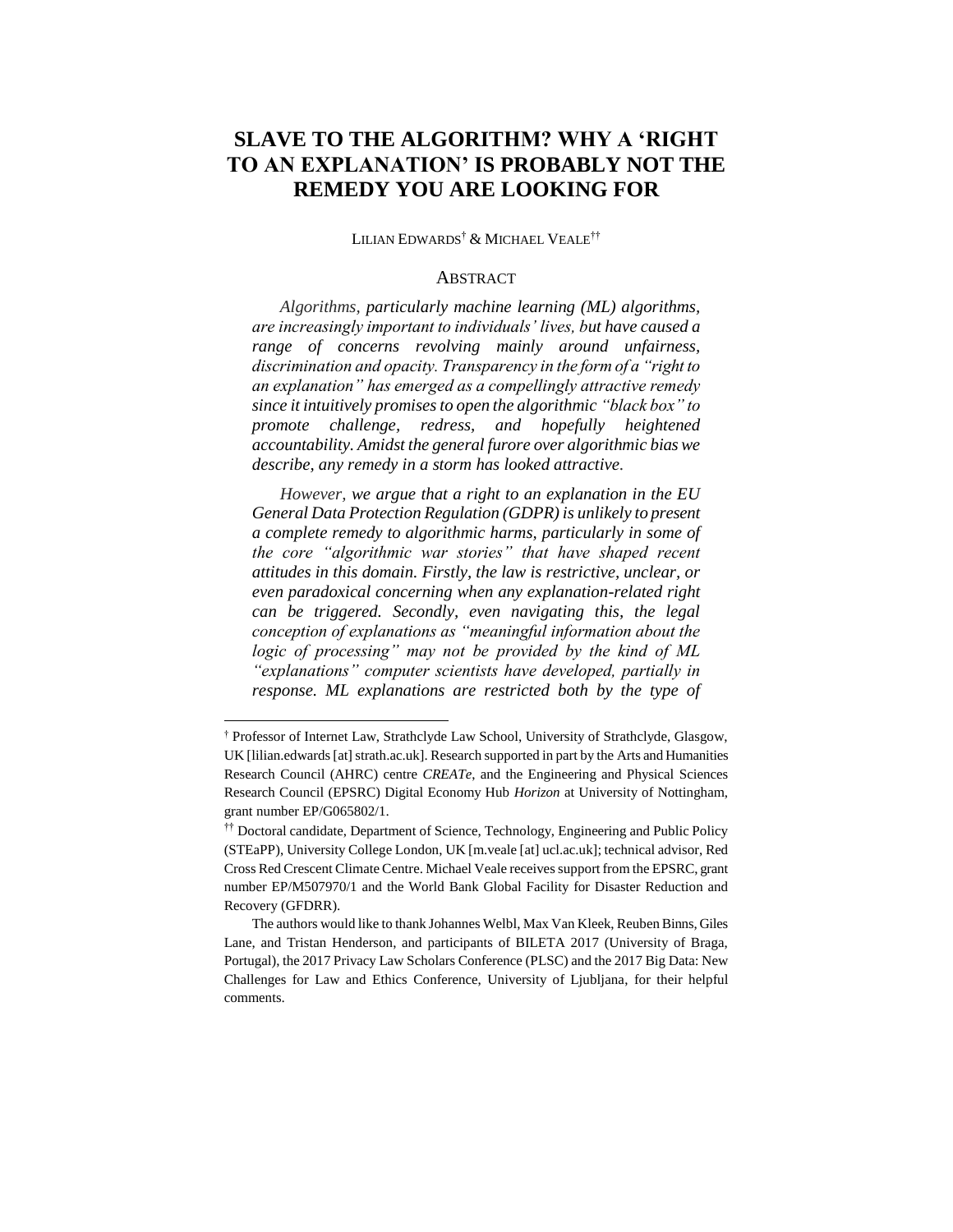# **SLAVE TO THE ALGORITHM? WHY A 'RIGHT TO AN EXPLANATION' IS PROBABLY NOT THE REMEDY YOU ARE LOOKING FOR**

LILIAN EDWARDS† & MICHAEL VEALE††

#### ABSTRACT

*Algorithms, particularly machine learning (ML) algorithms, are increasingly important to individuals' lives, but have caused a range of concerns revolving mainly around unfairness, discrimination and opacity. Transparency in the form of a "right to an explanation" has emerged as a compellingly attractive remedy since it intuitively promises to open the algorithmic "black box" to promote challenge, redress, and hopefully heightened accountability. Amidst the general furore over algorithmic bias we describe, any remedy in a storm has looked attractive.*

*However, we argue that a right to an explanation in the EU General Data Protection Regulation (GDPR) is unlikely to present a complete remedy to algorithmic harms, particularly in some of the core "algorithmic war stories" that have shaped recent attitudes in this domain. Firstly, the law is restrictive, unclear, or even paradoxical concerning when any explanation-related right can be triggered. Secondly, even navigating this, the legal conception of explanations as "meaningful information about the logic of processing" may not be provided by the kind of ML "explanations" computer scientists have developed, partially in response. ML explanations are restricted both by the type of* 

<sup>†</sup> Professor of Internet Law, Strathclyde Law School, University of Strathclyde, Glasgow, UK [lilian.edwards [at] strath.ac.uk]. Research supported in part by the Arts and Humanities Research Council (AHRC) centre *CREATe*, and the Engineering and Physical Sciences Research Council (EPSRC) Digital Economy Hub *Horizon* at University of Nottingham, grant number EP/G065802/1.

<sup>††</sup> Doctoral candidate, Department of Science, Technology, Engineering and Public Policy (STEaPP), University College London, UK [m.veale [at] ucl.ac.uk]; technical advisor, Red Cross Red Crescent Climate Centre. Michael Veale receives support from the EPSRC, grant number EP/M507970/1 and the World Bank Global Facility for Disaster Reduction and Recovery (GFDRR).

The authors would like to thank Johannes Welbl, Max Van Kleek, Reuben Binns, Giles Lane, and Tristan Henderson, and participants of BILETA 2017 (University of Braga, Portugal), the 2017 Privacy Law Scholars Conference (PLSC) and the 2017 Big Data: New Challenges for Law and Ethics Conference, University of Ljubljana, for their helpful comments.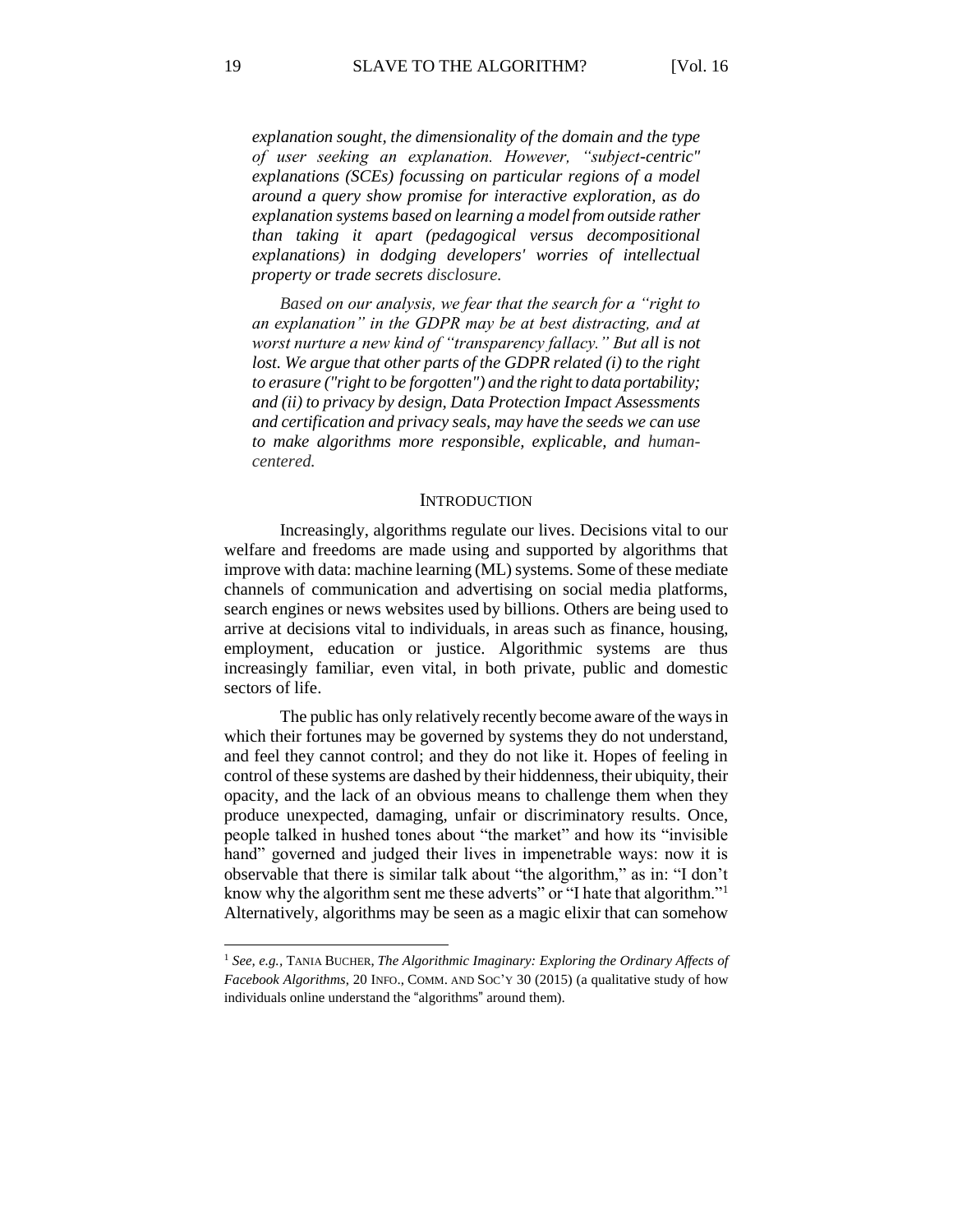*explanation sought, the dimensionality of the domain and the type of user seeking an explanation. However, "subject-centric" explanations (SCEs) focussing on particular regions of a model around a query show promise for interactive exploration, as do explanation systems based on learning a model from outside rather than taking it apart (pedagogical versus decompositional explanations) in dodging developers' worries of intellectual property or trade secrets disclosure.*

*Based on our analysis, we fear that the search for a "right to an explanation" in the GDPR may be at best distracting, and at worst nurture a new kind of "transparency fallacy." But all is not lost. We argue that other parts of the GDPR related (i) to the right to erasure ("right to be forgotten") and the right to data portability; and (ii) to privacy by design, Data Protection Impact Assessments and certification and privacy seals, may have the seeds we can use to make algorithms more responsible, explicable, and humancentered.*

#### **INTRODUCTION**

Increasingly, algorithms regulate our lives. Decisions vital to our welfare and freedoms are made using and supported by algorithms that improve with data: machine learning (ML) systems. Some of these mediate channels of communication and advertising on social media platforms, search engines or news websites used by billions. Others are being used to arrive at decisions vital to individuals, in areas such as finance, housing, employment, education or justice. Algorithmic systems are thus increasingly familiar, even vital, in both private, public and domestic sectors of life.

The public has only relatively recently become aware of the ways in which their fortunes may be governed by systems they do not understand, and feel they cannot control; and they do not like it. Hopes of feeling in control of these systems are dashed by their hiddenness, their ubiquity, their opacity, and the lack of an obvious means to challenge them when they produce unexpected, damaging, unfair or discriminatory results. Once, people talked in hushed tones about "the market" and how its "invisible hand" governed and judged their lives in impenetrable ways: now it is observable that there is similar talk about "the algorithm," as in: "I don't know why the algorithm sent me these adverts" or "I hate that algorithm."<sup>1</sup> Alternatively, algorithms may be seen as a magic elixir that can somehow

<sup>1</sup> *See, e.g.,* TANIA BUCHER, *The Algorithmic Imaginary: Exploring the Ordinary Affects of Facebook Algorithms*, 20 INFO., COMM. AND SOC'Y 30 (2015) (a qualitative study of how individuals online understand the "algorithms" around them).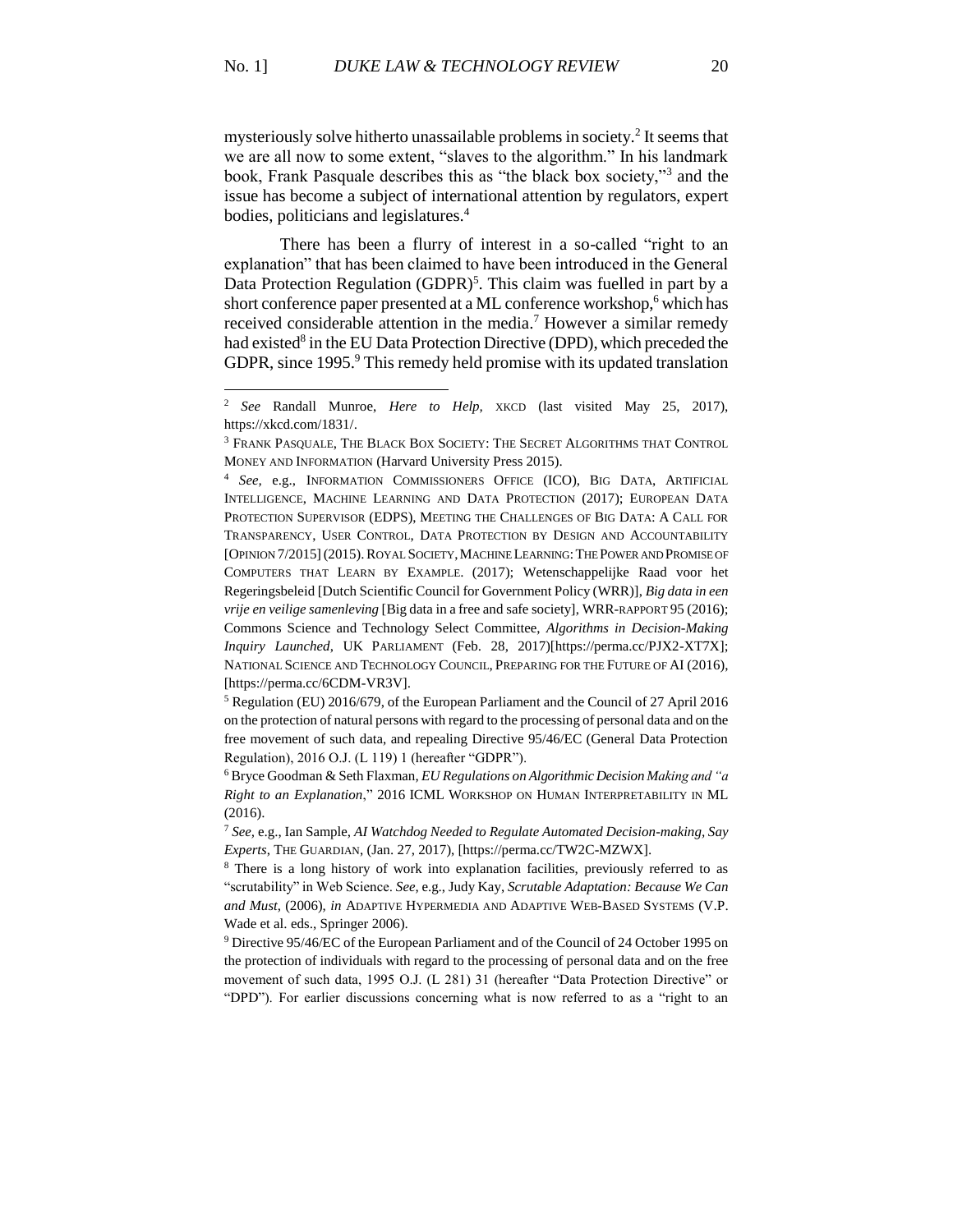<span id="page-2-0"></span>mysteriously solve hitherto unassailable problems in society.<sup>2</sup> It seems that we are all now to some extent, "slaves to the algorithm." In his landmark book, Frank Pasquale describes this as "the black box society,"<sup>3</sup> and the issue has become a subject of international attention by regulators, expert bodies, politicians and legislatures.<sup>4</sup>

<span id="page-2-3"></span><span id="page-2-1"></span>There has been a flurry of interest in a so-called "right to an explanation" that has been claimed to have been introduced in the General Data Protection Regulation (GDPR)<sup>5</sup>. This claim was fuelled in part by a short conference paper presented at a ML conference workshop,<sup>6</sup> which has received considerable attention in the media.<sup>7</sup> However a similar remedy had existed<sup>8</sup> in the EU Data Protection Directive (DPD), which preceded the GDPR, since 1995.<sup>9</sup> This remedy held promise with its updated translation

<span id="page-2-5"></span><span id="page-2-4"></span><span id="page-2-2"></span><sup>2</sup> *See* Randall Munroe, *Here to Help,* XKCD (last visited May 25, 2017), https://xkcd.com/1831/.

<sup>3</sup> FRANK PASQUALE, THE BLACK BOX SOCIETY: THE SECRET ALGORITHMS THAT CONTROL MONEY AND INFORMATION (Harvard University Press 2015).

<sup>4</sup> *See,* e.g., INFORMATION COMMISSIONERS OFFICE (ICO), BIG DATA, ARTIFICIAL INTELLIGENCE, MACHINE LEARNING AND DATA PROTECTION (2017); EUROPEAN DATA PROTECTION SUPERVISOR (EDPS), MEETING THE CHALLENGES OF BIG DATA: A CALL FOR TRANSPARENCY, USER CONTROL, DATA PROTECTION BY DESIGN AND ACCOUNTABILITY [OPINION 7/2015] (2015). ROYAL SOCIETY, MACHINE LEARNING: THE POWER AND PROMISE OF COMPUTERS THAT LEARN BY EXAMPLE. (2017); Wetenschappelijke Raad voor het Regeringsbeleid [Dutch Scientific Council for Government Policy (WRR)], *Big data in een vrije en veilige samenleving* [Big data in a free and safe society], WRR-RAPPORT 95 (2016); Commons Science and Technology Select Committee, *Algorithms in Decision-Making Inquiry Launched*, UK PARLIAMENT (Feb. 28, 2017)[https://perma.cc/PJX2-XT7X]; NATIONAL SCIENCE AND TECHNOLOGY COUNCIL, PREPARING FOR THE FUTURE OF AI (2016), [https://perma.cc/6CDM-VR3V].

<sup>5</sup> Regulation (EU) 2016/679, of the European Parliament and the Council of 27 April 2016 on the protection of natural persons with regard to the processing of personal data and on the free movement of such data, and repealing Directive 95/46/EC (General Data Protection Regulation), 2016 O.J. (L 119) 1 (hereafter "GDPR").

<sup>6</sup> Bryce Goodman & Seth Flaxman, *EU Regulations on Algorithmic Decision Making and "a Right to an Explanation*," 2016 ICML WORKSHOP ON HUMAN INTERPRETABILITY IN ML (2016).

<sup>7</sup> *See,* e.g., Ian Sample, *AI Watchdog Needed to Regulate Automated Decision-making, Say Experts*, THE GUARDIAN, (Jan. 27, 2017), [https://perma.cc/TW2C-MZWX].

<sup>8</sup> There is a long history of work into explanation facilities, previously referred to as "scrutability" in Web Science. *See*, e.g., Judy Kay, *Scrutable Adaptation: Because We Can and Must*, (2006), *in* ADAPTIVE HYPERMEDIA AND ADAPTIVE WEB-BASED SYSTEMS (V.P. Wade et al. eds., Springer 2006).

<sup>9</sup> Directive 95/46/EC of the European Parliament and of the Council of 24 October 1995 on the protection of individuals with regard to the processing of personal data and on the free movement of such data, 1995 O.J. (L 281) 31 (hereafter "Data Protection Directive" or "DPD"). For earlier discussions concerning what is now referred to as a "right to an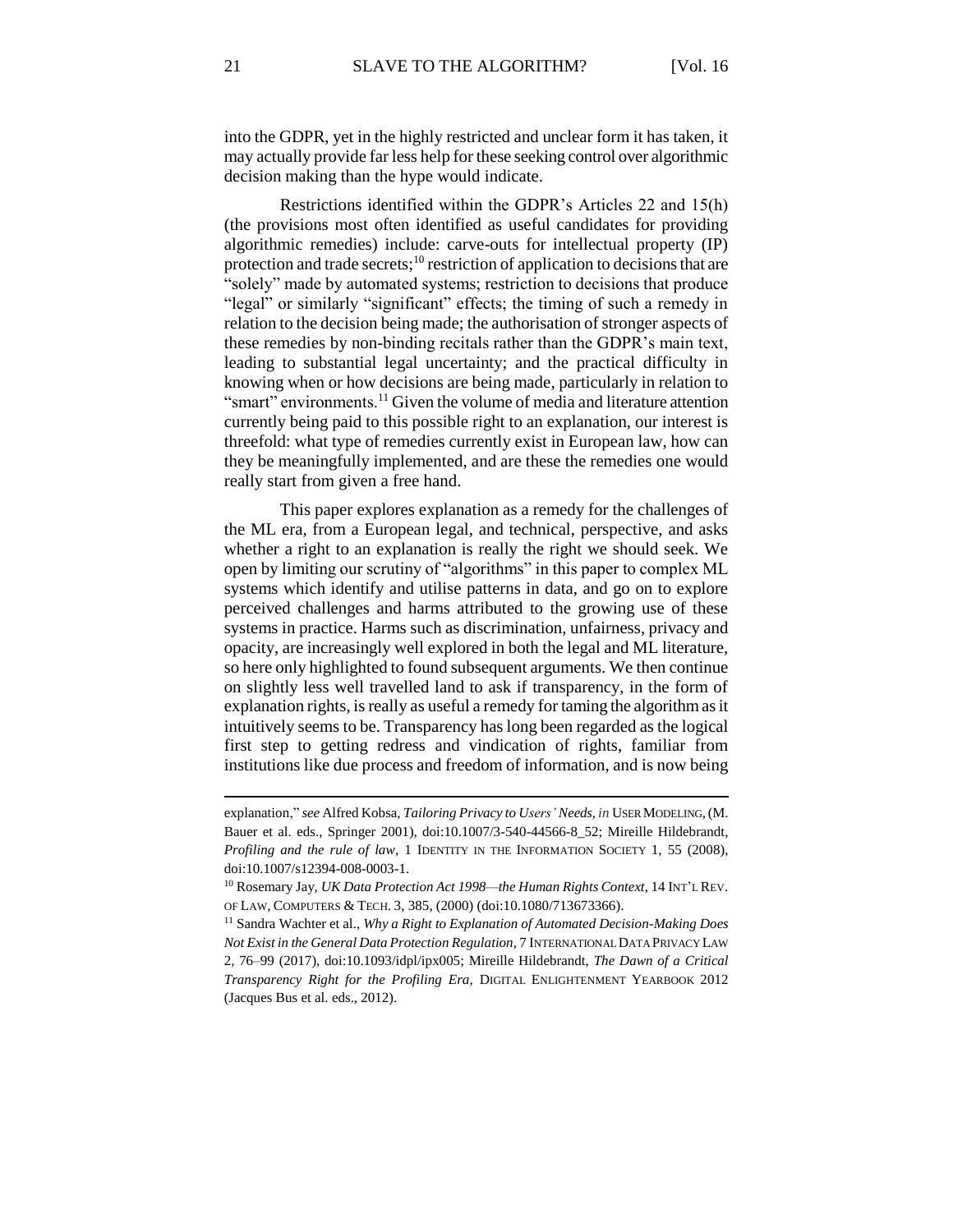into the GDPR, yet in the highly restricted and unclear form it has taken, it may actually provide far less help for these seeking control over algorithmic decision making than the hype would indicate.

<span id="page-3-1"></span>Restrictions identified within the GDPR's Articles 22 and 15(h) (the provisions most often identified as useful candidates for providing algorithmic remedies) include: carve-outs for intellectual property (IP) protection and trade secrets;<sup>10</sup> restriction of application to decisions that are "solely" made by automated systems; restriction to decisions that produce "legal" or similarly "significant" effects; the timing of such a remedy in relation to the decision being made; the authorisation of stronger aspects of these remedies by non-binding recitals rather than the GDPR's main text, leading to substantial legal uncertainty; and the practical difficulty in knowing when or how decisions are being made, particularly in relation to "smart" environments.<sup>11</sup> Given the volume of media and literature attention currently being paid to this possible right to an explanation, our interest is threefold: what type of remedies currently exist in European law, how can they be meaningfully implemented, and are these the remedies one would really start from given a free hand.

<span id="page-3-0"></span>This paper explores explanation as a remedy for the challenges of the ML era, from a European legal, and technical, perspective, and asks whether a right to an explanation is really the right we should seek. We open by limiting our scrutiny of "algorithms" in this paper to complex ML systems which identify and utilise patterns in data, and go on to explore perceived challenges and harms attributed to the growing use of these systems in practice. Harms such as discrimination, unfairness, privacy and opacity, are increasingly well explored in both the legal and ML literature, so here only highlighted to found subsequent arguments. We then continue on slightly less well travelled land to ask if transparency, in the form of explanation rights, is really as useful a remedy for taming the algorithm as it intuitively seems to be. Transparency has long been regarded as the logical first step to getting redress and vindication of rights, familiar from institutions like due process and freedom of information, and is now being

explanation," *see* Alfred Kobsa, *Tailoring Privacy to Users' Needs, in* USER MODELING, (M. Bauer et al. eds., Springer 2001), doi:10.1007/3-540-44566-8\_52; Mireille Hildebrandt, *Profiling and the rule of law*, 1 IDENTITY IN THE INFORMATION SOCIETY 1, 55 (2008), doi:10.1007/s12394-008-0003-1.

<sup>10</sup> Rosemary Jay, *UK Data Protection Act 1998—the Human Rights Context*, 14 INT'L REV. OF LAW, COMPUTERS & TECH. 3, 385, (2000) (doi:10.1080/713673366).

<sup>11</sup> Sandra Wachter et al., *Why a Right to Explanation of Automated Decision-Making Does Not Exist in the General Data Protection Regulation*, 7 INTERNATIONAL DATA PRIVACY LAW 2, 76–99 (2017), doi:10.1093/idpl/ipx005; Mireille Hildebrandt, *The Dawn of a Critical Transparency Right for the Profiling Era*, DIGITAL ENLIGHTENMENT YEARBOOK 2012 (Jacques Bus et al. eds., 2012).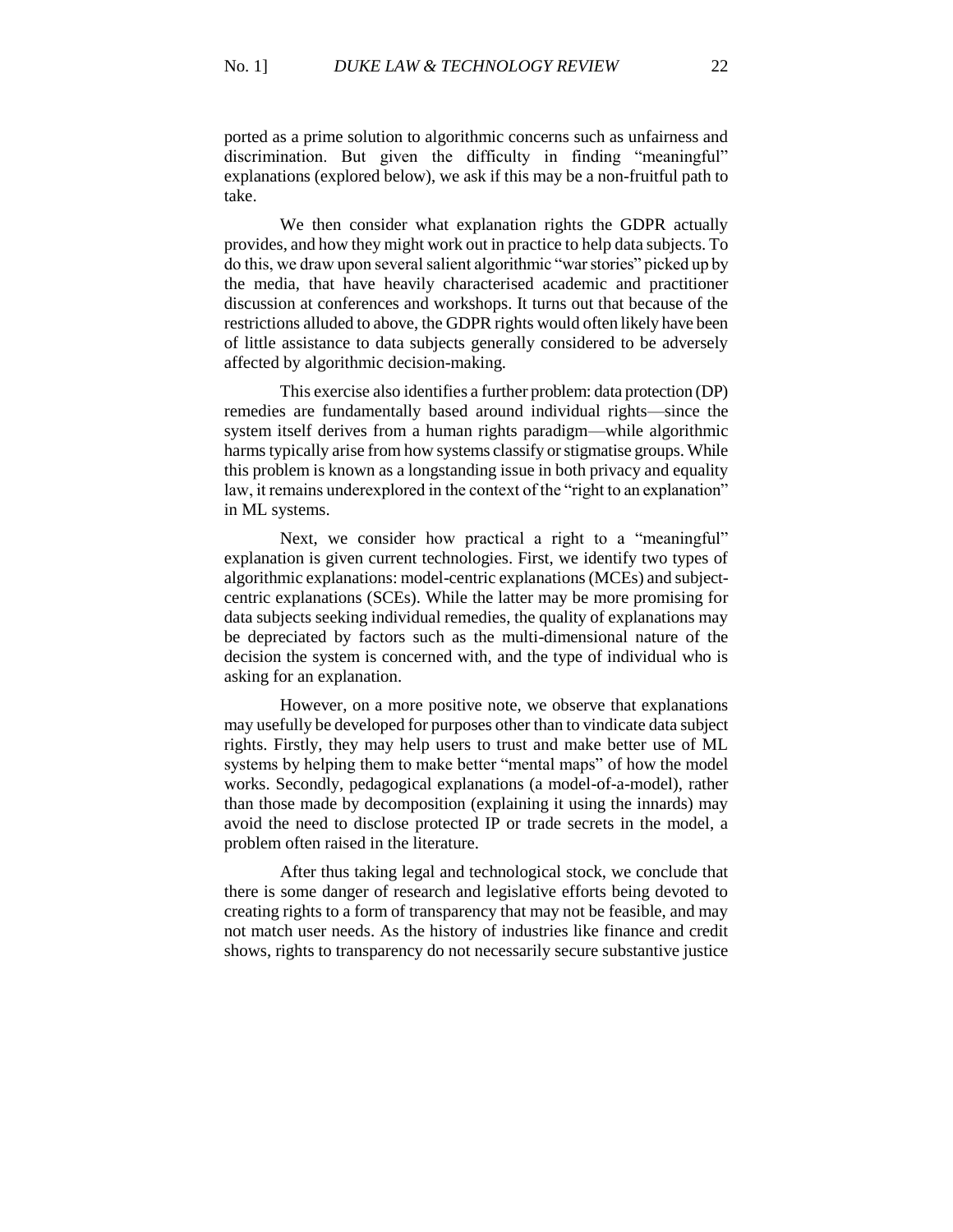ported as a prime solution to algorithmic concerns such as unfairness and discrimination. But given the difficulty in finding "meaningful" explanations (explored below), we ask if this may be a non-fruitful path to take.

We then consider what explanation rights the GDPR actually provides, and how they might work out in practice to help data subjects. To do this, we draw upon several salient algorithmic "war stories" picked up by the media, that have heavily characterised academic and practitioner discussion at conferences and workshops. It turns out that because of the restrictions alluded to above, the GDPR rights would often likely have been of little assistance to data subjects generally considered to be adversely affected by algorithmic decision-making.

This exercise also identifies a further problem: data protection (DP) remedies are fundamentally based around individual rights—since the system itself derives from a human rights paradigm—while algorithmic harms typically arise from how systems classify or stigmatise groups. While this problem is known as a longstanding issue in both privacy and equality law, it remains underexplored in the context of the "right to an explanation" in ML systems.

Next, we consider how practical a right to a "meaningful" explanation is given current technologies. First, we identify two types of algorithmic explanations: model-centric explanations (MCEs) and subjectcentric explanations (SCEs). While the latter may be more promising for data subjects seeking individual remedies, the quality of explanations may be depreciated by factors such as the multi-dimensional nature of the decision the system is concerned with, and the type of individual who is asking for an explanation.

However, on a more positive note, we observe that explanations may usefully be developed for purposes other than to vindicate data subject rights. Firstly, they may help users to trust and make better use of ML systems by helping them to make better "mental maps" of how the model works. Secondly, pedagogical explanations (a model-of-a-model), rather than those made by decomposition (explaining it using the innards) may avoid the need to disclose protected IP or trade secrets in the model, a problem often raised in the literature.

After thus taking legal and technological stock, we conclude that there is some danger of research and legislative efforts being devoted to creating rights to a form of transparency that may not be feasible, and may not match user needs. As the history of industries like finance and credit shows, rights to transparency do not necessarily secure substantive justice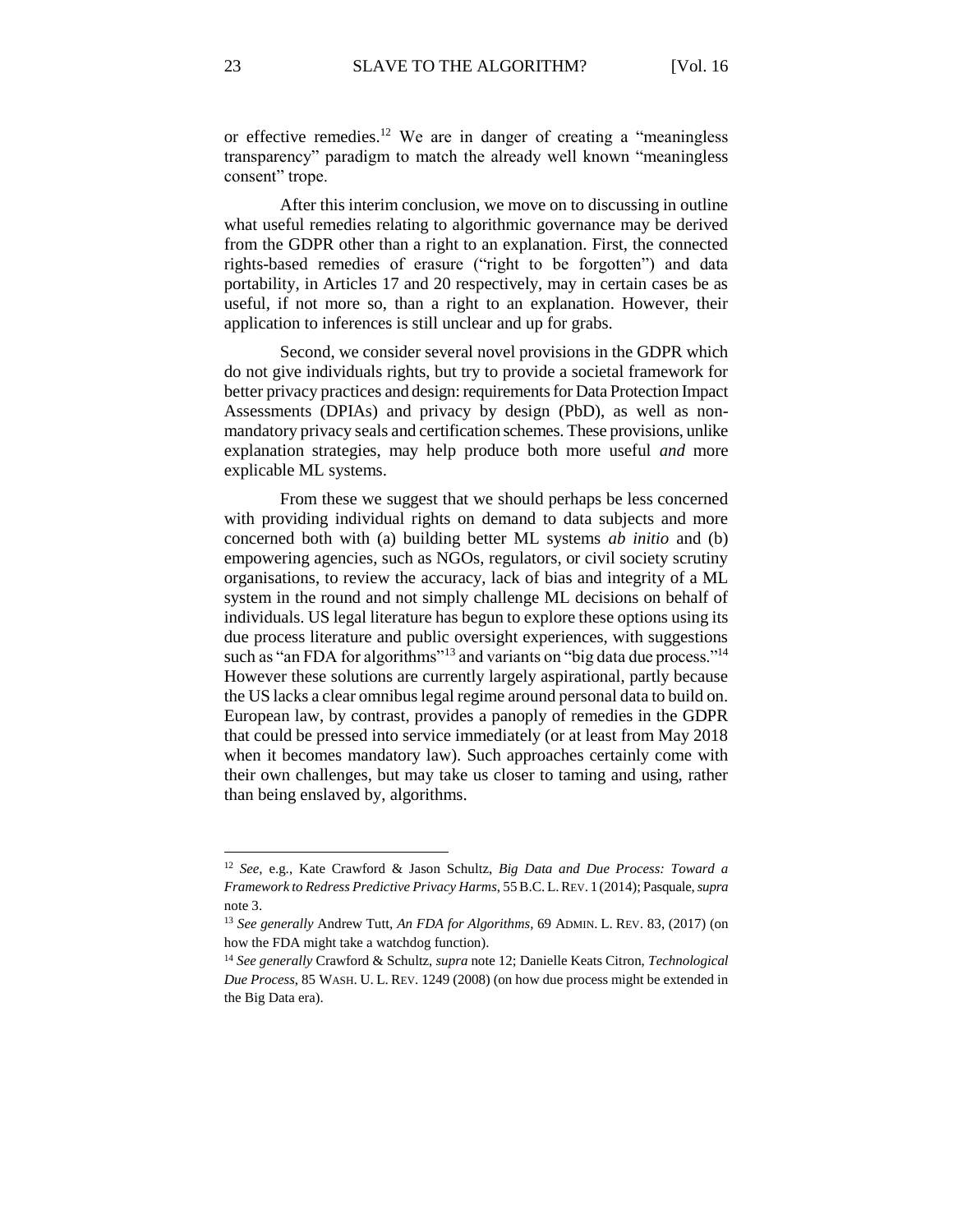<span id="page-5-2"></span><span id="page-5-0"></span>or effective remedies.<sup>12</sup> We are in danger of creating a "meaningless transparency" paradigm to match the already well known "meaningless consent" trope.

After this interim conclusion, we move on to discussing in outline what useful remedies relating to algorithmic governance may be derived from the GDPR other than a right to an explanation. First, the connected rights-based remedies of erasure ("right to be forgotten") and data portability, in Articles 17 and 20 respectively, may in certain cases be as useful, if not more so, than a right to an explanation. However, their application to inferences is still unclear and up for grabs.

Second, we consider several novel provisions in the GDPR which do not give individuals rights, but try to provide a societal framework for better privacy practices and design: requirements for Data Protection Impact Assessments (DPIAs) and privacy by design (PbD), as well as nonmandatory privacy seals and certification schemes. These provisions, unlike explanation strategies, may help produce both more useful *and* more explicable ML systems.

<span id="page-5-3"></span><span id="page-5-1"></span>From these we suggest that we should perhaps be less concerned with providing individual rights on demand to data subjects and more concerned both with (a) building better ML systems *ab initio* and (b) empowering agencies, such as NGOs, regulators, or civil society scrutiny organisations, to review the accuracy, lack of bias and integrity of a ML system in the round and not simply challenge ML decisions on behalf of individuals. US legal literature has begun to explore these options using its due process literature and public oversight experiences, with suggestions such as "an FDA for algorithms"<sup>13</sup> and variants on "big data due process."<sup>14</sup> However these solutions are currently largely aspirational, partly because the US lacks a clear omnibus legal regime around personal data to build on. European law, by contrast, provides a panoply of remedies in the GDPR that could be pressed into service immediately (or at least from May 2018 when it becomes mandatory law). Such approaches certainly come with their own challenges, but may take us closer to taming and using, rather than being enslaved by, algorithms.

<sup>12</sup> *See,* e.g., Kate Crawford & Jason Schultz, *Big Data and Due Process: Toward a Framework to Redress Predictive Privacy Harms*, 55B.C.L.REV. 1 (2014); Pasquale, *supra*  note [3.](#page-2-0)

<sup>13</sup> *See generally* Andrew Tutt, *An FDA for Algorithms*, 69 ADMIN. L. REV. 83, (2017) (on how the FDA might take a watchdog function).

<sup>14</sup> *See generally* Crawford & Schultz, *supra* not[e 12;](#page-5-0) Danielle Keats Citron, *Technological Due Process*, 85 WASH. U. L. REV. 1249 (2008) (on how due process might be extended in the Big Data era).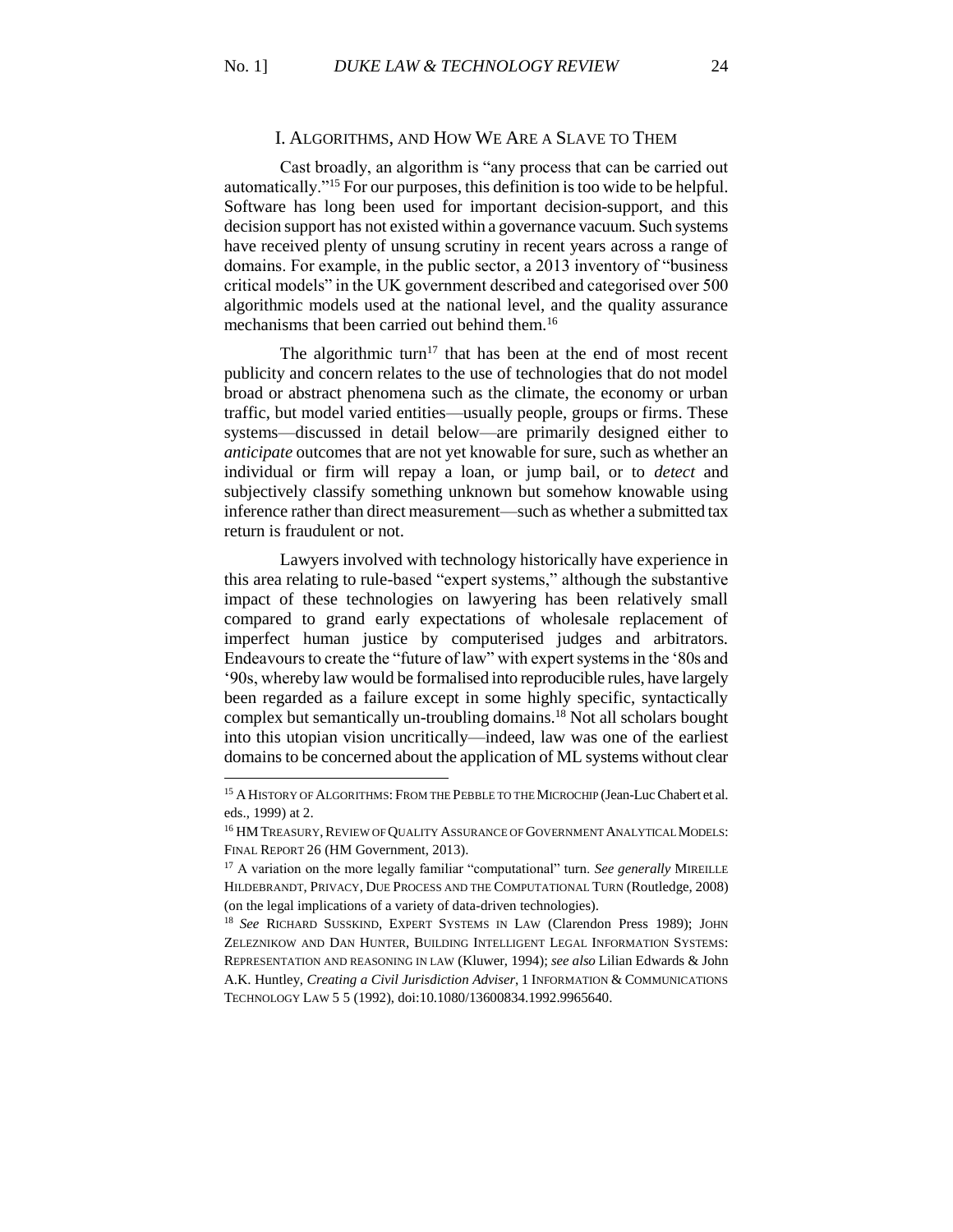## I. ALGORITHMS, AND HOW WE ARE A SLAVE TO THEM

Cast broadly, an algorithm is "any process that can be carried out automatically."<sup>15</sup> For our purposes, this definition is too wide to be helpful. Software has long been used for important decision-support, and this decision support has not existed within a governance vacuum. Such systems have received plenty of unsung scrutiny in recent years across a range of domains. For example, in the public sector, a 2013 inventory of "business critical models" in the UK government described and categorised over 500 algorithmic models used at the national level, and the quality assurance mechanisms that been carried out behind them.<sup>16</sup>

The algorithmic turn<sup>17</sup> that has been at the end of most recent publicity and concern relates to the use of technologies that do not model broad or abstract phenomena such as the climate, the economy or urban traffic, but model varied entities—usually people, groups or firms. These systems—discussed in detail below—are primarily designed either to *anticipate* outcomes that are not yet knowable for sure, such as whether an individual or firm will repay a loan, or jump bail, or to *detect* and subjectively classify something unknown but somehow knowable using inference rather than direct measurement—such as whether a submitted tax return is fraudulent or not.

Lawyers involved with technology historically have experience in this area relating to rule-based "expert systems," although the substantive impact of these technologies on lawyering has been relatively small compared to grand early expectations of wholesale replacement of imperfect human justice by computerised judges and arbitrators. Endeavours to create the "future of law" with expert systems in the '80s and '90s, whereby law would be formalised into reproducible rules, have largely been regarded as a failure except in some highly specific, syntactically complex but semantically un-troubling domains.<sup>18</sup> Not all scholars bought into this utopian vision uncritically—indeed, law was one of the earliest domains to be concerned about the application of ML systems without clear

<sup>&</sup>lt;sup>15</sup> A HISTORY OF ALGORITHMS: FROM THE PEBBLE TO THE MICROCHIP (Jean-Luc Chabert et al. eds., 1999) at 2.

<sup>&</sup>lt;sup>16</sup> HM TREASURY, REVIEW OF QUALITY ASSURANCE OF GOVERNMENT ANALYTICAL MODELS: FINAL REPORT 26 (HM Government, 2013).

<sup>&</sup>lt;sup>17</sup> A variation on the more legally familiar "computational" turn. *See generally* MIREILLE HILDEBRANDT, PRIVACY, DUE PROCESS AND THE COMPUTATIONAL TURN (Routledge, 2008) (on the legal implications of a variety of data-driven technologies).

<sup>18</sup> *See* RICHARD SUSSKIND, EXPERT SYSTEMS IN LAW (Clarendon Press 1989); JOHN ZELEZNIKOW AND DAN HUNTER, BUILDING INTELLIGENT LEGAL INFORMATION SYSTEMS: REPRESENTATION AND REASONING IN LAW (Kluwer, 1994); *see also* Lilian Edwards & John A.K. Huntley, *Creating a Civil Jurisdiction Adviser*, 1 INFORMATION & COMMUNICATIONS TECHNOLOGY LAW 5 5 (1992), doi:10.1080/13600834.1992.9965640.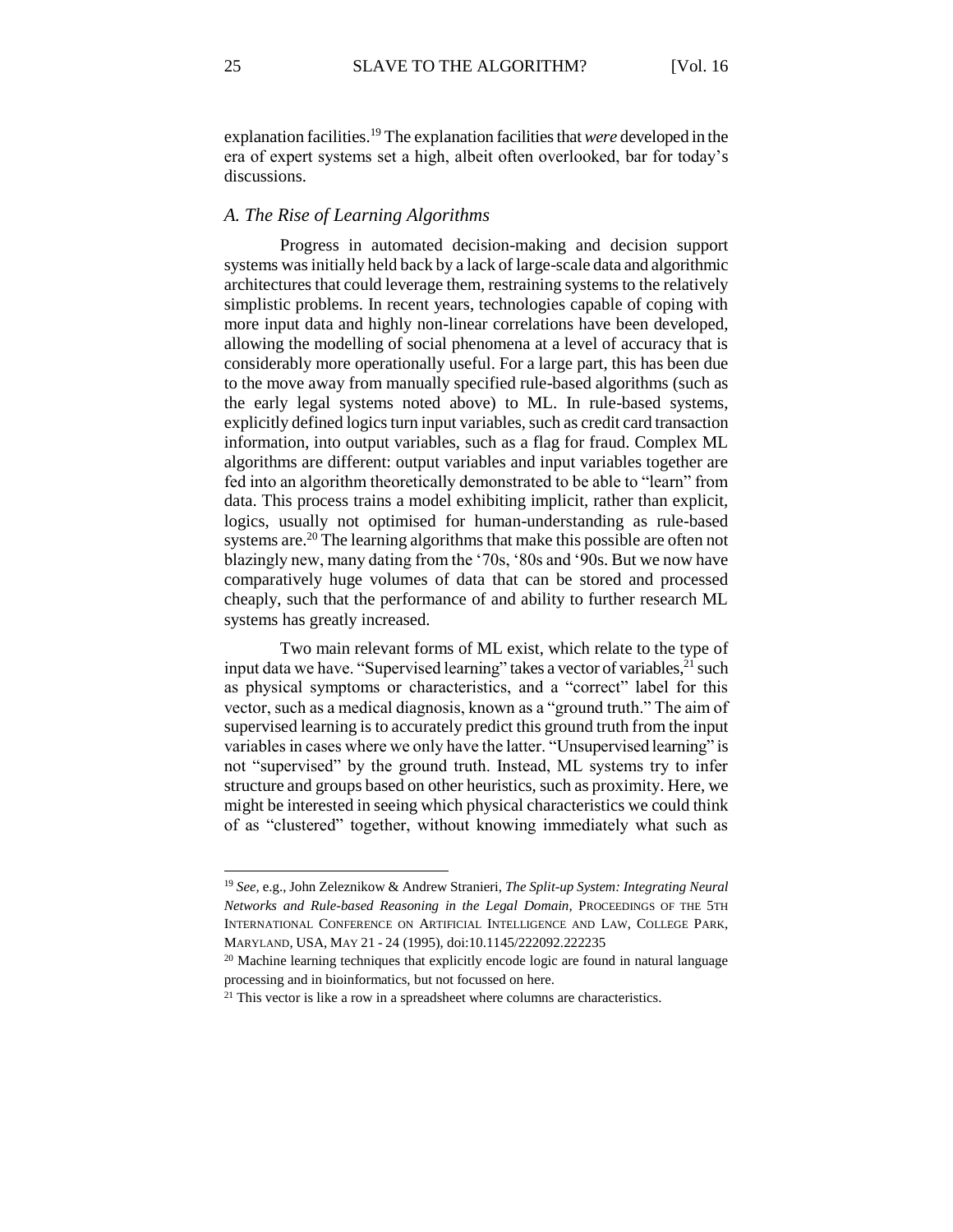<span id="page-7-0"></span>explanation facilities.<sup>19</sup> The explanation facilities that *were* developed in the era of expert systems set a high, albeit often overlooked, bar for today's discussions.

## *A. The Rise of Learning Algorithms*

Progress in automated decision-making and decision support systems was initially held back by a lack of large-scale data and algorithmic architectures that could leverage them, restraining systems to the relatively simplistic problems. In recent years, technologies capable of coping with more input data and highly non-linear correlations have been developed, allowing the modelling of social phenomena at a level of accuracy that is considerably more operationally useful. For a large part, this has been due to the move away from manually specified rule-based algorithms (such as the early legal systems noted above) to ML. In rule-based systems, explicitly defined logics turn input variables, such as credit card transaction information, into output variables, such as a flag for fraud. Complex ML algorithms are different: output variables and input variables together are fed into an algorithm theoretically demonstrated to be able to "learn" from data. This process trains a model exhibiting implicit, rather than explicit, logics, usually not optimised for human-understanding as rule-based systems are.<sup>20</sup> The learning algorithms that make this possible are often not blazingly new, many dating from the '70s, '80s and '90s. But we now have comparatively huge volumes of data that can be stored and processed cheaply, such that the performance of and ability to further research ML systems has greatly increased.

Two main relevant forms of ML exist, which relate to the type of input data we have. "Supervised learning" takes a vector of variables,  $21$  such as physical symptoms or characteristics, and a "correct" label for this vector, such as a medical diagnosis, known as a "ground truth." The aim of supervised learning is to accurately predict this ground truth from the input variables in cases where we only have the latter. "Unsupervised learning" is not "supervised" by the ground truth. Instead, ML systems try to infer structure and groups based on other heuristics, such as proximity. Here, we might be interested in seeing which physical characteristics we could think of as "clustered" together, without knowing immediately what such as

<sup>19</sup> *See,* e.g., John Zeleznikow & Andrew Stranieri, *The Split-up System: Integrating Neural Networks and Rule-based Reasoning in the Legal Domain,* PROCEEDINGS OF THE 5TH INTERNATIONAL CONFERENCE ON ARTIFICIAL INTELLIGENCE AND LAW, COLLEGE PARK, MARYLAND, USA, MAY 21 - 24 (1995), doi:10.1145/222092.222235

<sup>&</sup>lt;sup>20</sup> Machine learning techniques that explicitly encode logic are found in natural language processing and in bioinformatics, but not focussed on here.

 $21$  This vector is like a row in a spreadsheet where columns are characteristics.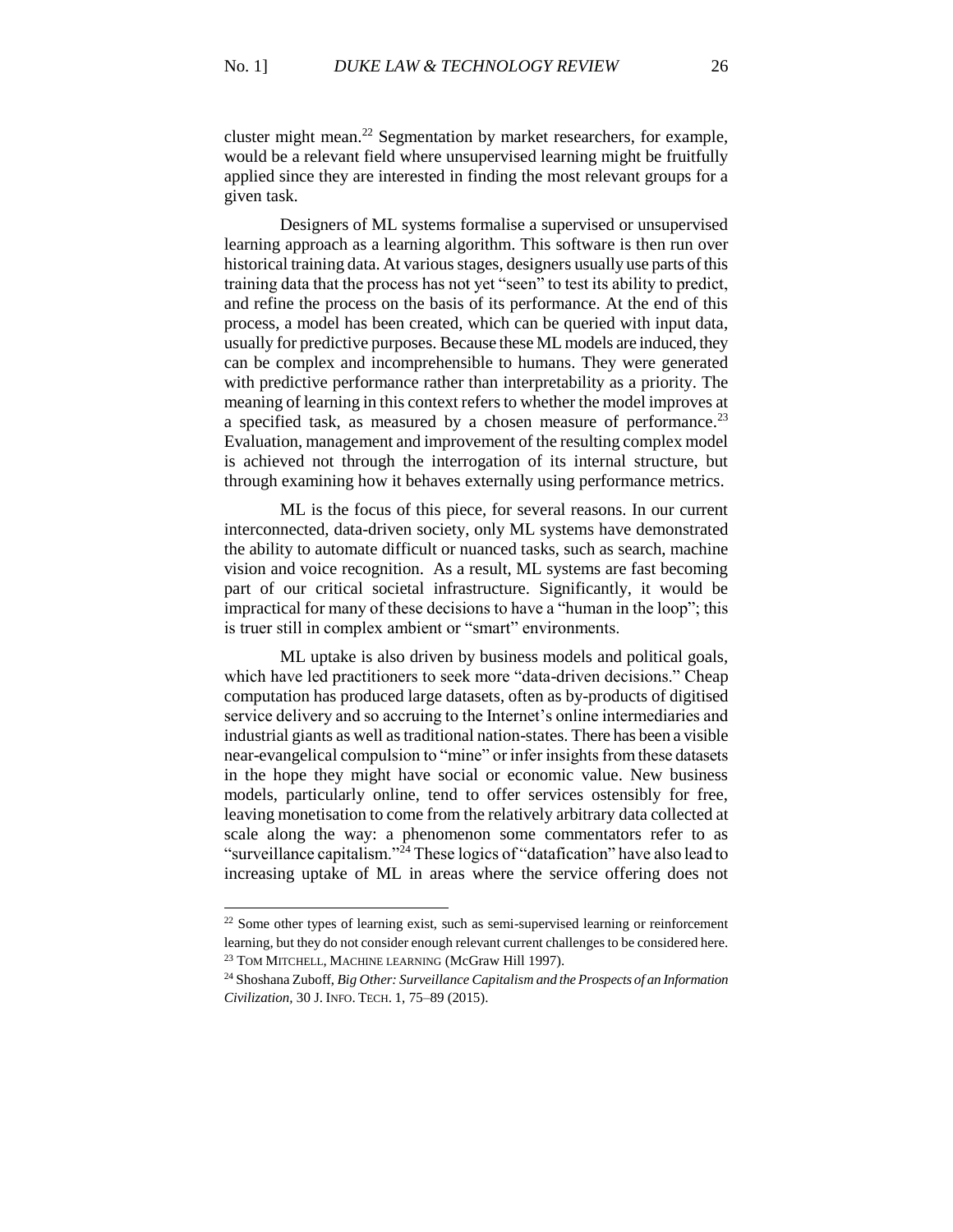cluster might mean.<sup>22</sup> Segmentation by market researchers, for example, would be a relevant field where unsupervised learning might be fruitfully applied since they are interested in finding the most relevant groups for a given task.

Designers of ML systems formalise a supervised or unsupervised learning approach as a learning algorithm. This software is then run over historical training data. At various stages, designers usually use parts of this training data that the process has not yet "seen" to test its ability to predict, and refine the process on the basis of its performance. At the end of this process, a model has been created, which can be queried with input data, usually for predictive purposes. Because these ML models are induced, they can be complex and incomprehensible to humans. They were generated with predictive performance rather than interpretability as a priority. The meaning of learning in this context refers to whether the model improves at a specified task, as measured by a chosen measure of performance.<sup>23</sup> Evaluation, management and improvement of the resulting complex model is achieved not through the interrogation of its internal structure, but through examining how it behaves externally using performance metrics.

ML is the focus of this piece, for several reasons. In our current interconnected, data-driven society, only ML systems have demonstrated the ability to automate difficult or nuanced tasks, such as search, machine vision and voice recognition. As a result, ML systems are fast becoming part of our critical societal infrastructure. Significantly, it would be impractical for many of these decisions to have a "human in the loop"; this is truer still in complex ambient or "smart" environments.

ML uptake is also driven by business models and political goals, which have led practitioners to seek more "data-driven decisions." Cheap computation has produced large datasets, often as by-products of digitised service delivery and so accruing to the Internet's online intermediaries and industrial giants as well as traditional nation-states. There has been a visible near-evangelical compulsion to "mine" or infer insights from these datasets in the hope they might have social or economic value. New business models, particularly online, tend to offer services ostensibly for free, leaving monetisation to come from the relatively arbitrary data collected at scale along the way: a phenomenon some commentators refer to as "surveillance capitalism."<sup>24</sup> These logics of "datafication" have also lead to increasing uptake of ML in areas where the service offering does not

 $22$  Some other types of learning exist, such as semi-supervised learning or reinforcement learning, but they do not consider enough relevant current challenges to be considered here. <sup>23</sup> TOM MITCHELL, MACHINE LEARNING (McGraw Hill 1997).

<sup>24</sup> Shoshana Zuboff, *Big Other: Surveillance Capitalism and the Prospects of an Information Civilization,* 30 J. INFO. TECH. 1, 75–89 (2015).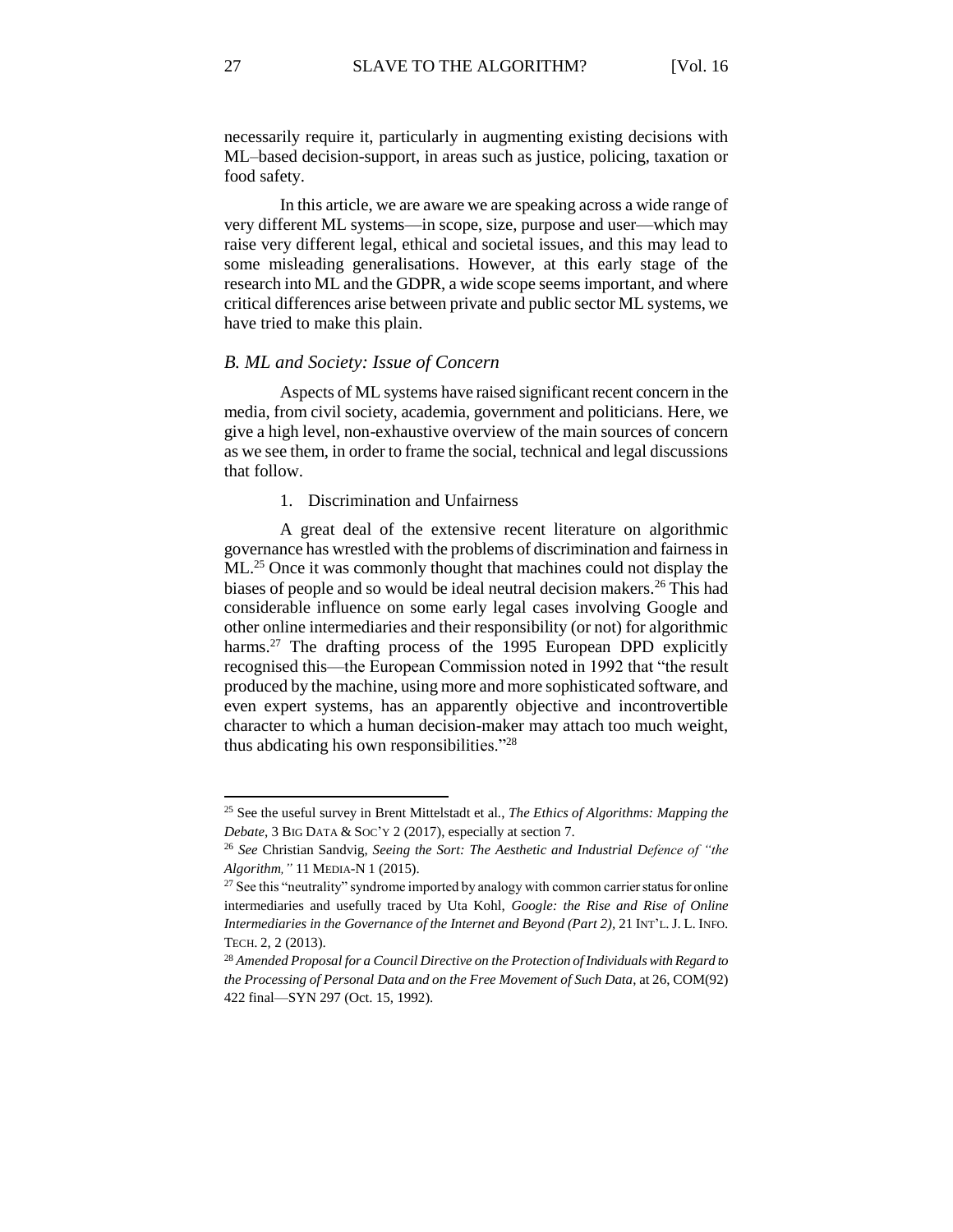necessarily require it, particularly in augmenting existing decisions with ML–based decision-support, in areas such as justice, policing, taxation or food safety.

In this article, we are aware we are speaking across a wide range of very different ML systems—in scope, size, purpose and user—which may raise very different legal, ethical and societal issues, and this may lead to some misleading generalisations. However, at this early stage of the research into ML and the GDPR, a wide scope seems important, and where critical differences arise between private and public sector ML systems, we have tried to make this plain.

### *B. ML and Society: Issue of Concern*

Aspects of ML systems have raised significant recent concern in the media, from civil society, academia, government and politicians. Here, we give a high level, non-exhaustive overview of the main sources of concern as we see them, in order to frame the social, technical and legal discussions that follow.

## 1. Discrimination and Unfairness

<span id="page-9-0"></span>A great deal of the extensive recent literature on algorithmic governance has wrestled with the problems of discrimination and fairness in ML.<sup>25</sup> Once it was commonly thought that machines could not display the biases of people and so would be ideal neutral decision makers.<sup>26</sup> This had considerable influence on some early legal cases involving Google and other online intermediaries and their responsibility (or not) for algorithmic harms.<sup>27</sup> The drafting process of the 1995 European DPD explicitly recognised this—the European Commission noted in 1992 that "the result produced by the machine, using more and more sophisticated software, and even expert systems, has an apparently objective and incontrovertible character to which a human decision-maker may attach too much weight, thus abdicating his own responsibilities."<sup>28</sup>

 $\overline{\phantom{a}}$ 

<sup>25</sup> See the useful survey in Brent Mittelstadt et al., *The Ethics of Algorithms: Mapping the Debate*, 3 BIG DATA & SOC'Y 2 (2017), especially at section 7.

<sup>26</sup> *See* Christian Sandvig, *Seeing the Sort: The Aesthetic and Industrial Defence of "the Algorithm,"* 11 MEDIA-N 1 (2015).

<sup>&</sup>lt;sup>27</sup> See this "neutrality" syndrome imported by analogy with common carrier status for online intermediaries and usefully traced by Uta Kohl, *Google: the Rise and Rise of Online Intermediaries in the Governance of the Internet and Beyond (Part 2),* 21 INT'L. J. L. INFO. TECH. 2, 2 (2013).

<sup>28</sup> *Amended Proposal for a Council Directive on the Protection of Individuals with Regard to the Processing of Personal Data and on the Free Movement of Such Data*, at 26, COM(92) 422 final—SYN 297 (Oct. 15, 1992).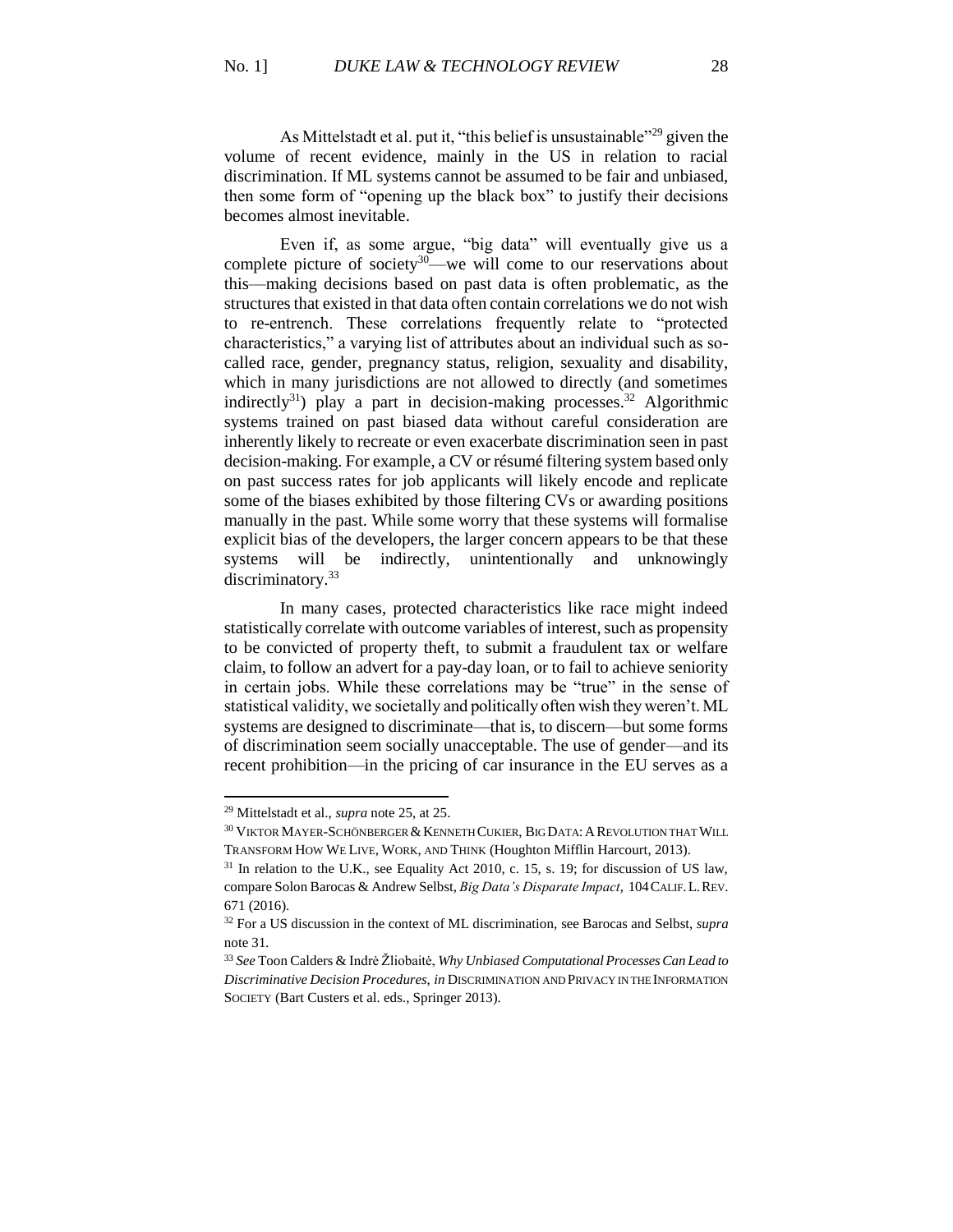As Mittelstadt et al. put it, "this belief is unsustainable"<sup>29</sup> given the volume of recent evidence, mainly in the US in relation to racial discrimination. If ML systems cannot be assumed to be fair and unbiased, then some form of "opening up the black box" to justify their decisions becomes almost inevitable.

Even if, as some argue, "big data" will eventually give us a complete picture of society<sup>30</sup>—we will come to our reservations about this—making decisions based on past data is often problematic, as the structures that existed in that data often contain correlations we do not wish to re-entrench. These correlations frequently relate to "protected characteristics," a varying list of attributes about an individual such as socalled race, gender, pregnancy status, religion, sexuality and disability, which in many jurisdictions are not allowed to directly (and sometimes indirectly<sup>31</sup>) play a part in decision-making processes.<sup>32</sup> Algorithmic systems trained on past biased data without careful consideration are inherently likely to recreate or even exacerbate discrimination seen in past decision-making. For example, a CV or résumé filtering system based only on past success rates for job applicants will likely encode and replicate some of the biases exhibited by those filtering CVs or awarding positions manually in the past. While some worry that these systems will formalise explicit bias of the developers, the larger concern appears to be that these systems will be indirectly, unintentionally and unknowingly discriminatory.<sup>33</sup>

<span id="page-10-0"></span>In many cases, protected characteristics like race might indeed statistically correlate with outcome variables of interest, such as propensity to be convicted of property theft, to submit a fraudulent tax or welfare claim, to follow an advert for a pay-day loan, or to fail to achieve seniority in certain jobs. While these correlations may be "true" in the sense of statistical validity, we societally and politically often wish they weren't. ML systems are designed to discriminate—that is, to discern—but some forms of discrimination seem socially unacceptable. The use of gender—and its recent prohibition—in the pricing of car insurance in the EU serves as a

 $\overline{\phantom{a}}$ 

<sup>29</sup> Mittelstadt et al., *supra* note [25,](#page-9-0) at 25.

<sup>&</sup>lt;sup>30</sup> VIKTOR MAYER-SCHÖNBERGER & KENNETH CUKIER, BIG DATA: A REVOLUTION THAT WILL TRANSFORM HOW WE LIVE, WORK, AND THINK (Houghton Mifflin Harcourt, 2013).

<sup>&</sup>lt;sup>31</sup> In relation to the U.K., see Equality Act 2010, c. 15, s. 19; for discussion of US law, compare Solon Barocas & Andrew Selbst, *Big Data's Disparate Impact*, 104CALIF.L.REV. 671 (2016).

<sup>32</sup> For a US discussion in the context of ML discrimination, see Barocas and Selbst, *supra* note 31*.*

<sup>33</sup> *See* Toon Calders & Indrė Žliobaitė, *Why Unbiased Computational Processes Can Lead to Discriminative Decision Procedures*, *in* DISCRIMINATION AND PRIVACY IN THE INFORMATION SOCIETY (Bart Custers et al. eds., Springer 2013).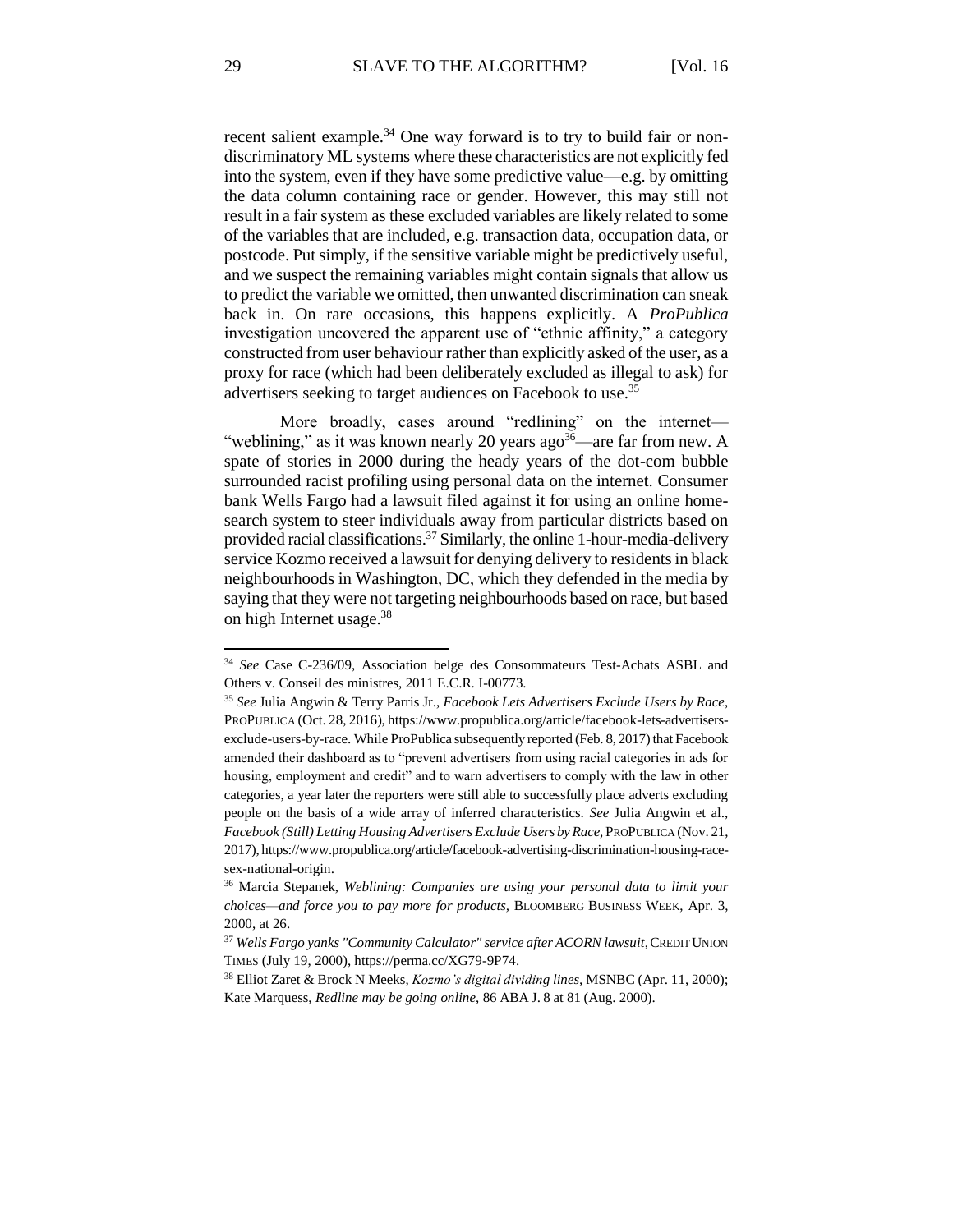recent salient example.<sup>34</sup> One way forward is to try to build fair or nondiscriminatory ML systems where these characteristics are not explicitly fed into the system, even if they have some predictive value—e.g. by omitting the data column containing race or gender. However, this may still not result in a fair system as these excluded variables are likely related to some of the variables that are included, e.g. transaction data, occupation data, or postcode. Put simply, if the sensitive variable might be predictively useful, and we suspect the remaining variables might contain signals that allow us to predict the variable we omitted, then unwanted discrimination can sneak back in. On rare occasions, this happens explicitly. A *ProPublica* investigation uncovered the apparent use of "ethnic affinity," a category constructed from user behaviour rather than explicitly asked of the user, as a proxy for race (which had been deliberately excluded as illegal to ask) for advertisers seeking to target audiences on Facebook to use.<sup>35</sup>

More broadly, cases around "redlining" on the internet— "weblining," as it was known nearly 20 years ago<sup>36</sup>—are far from new. A spate of stories in 2000 during the heady years of the dot-com bubble surrounded racist profiling using personal data on the internet. Consumer bank Wells Fargo had a lawsuit filed against it for using an online homesearch system to steer individuals away from particular districts based on provided racial classifications.<sup>37</sup> Similarly, the online 1-hour-media-delivery service Kozmo received a lawsuit for denying delivery to residents in black neighbourhoods in Washington, DC, which they defended in the media by saying that they were not targeting neighbourhoods based on race, but based on high Internet usage.<sup>38</sup>

<sup>34</sup> *See* Case C-236/09, Association belge des Consommateurs Test-Achats ASBL and Others v. Conseil des ministres, 2011 E.C.R. I-00773.

<sup>35</sup> *See* Julia Angwin & Terry Parris Jr., *Facebook Lets Advertisers Exclude Users by Race*, PROPUBLICA (Oct. 28, 2016), https://www.propublica.org/article/facebook-lets-advertisersexclude-users-by-race. While ProPublica subsequently reported (Feb. 8, 2017) that Facebook amended their dashboard as to "prevent advertisers from using racial categories in ads for housing, employment and credit" and to warn advertisers to comply with the law in other categories, a year later the reporters were still able to successfully place adverts excluding people on the basis of a wide array of inferred characteristics. *See* Julia Angwin et al., *Facebook (Still) Letting Housing Advertisers Exclude Users by Race,* PROPUBLICA (Nov. 21, 2017), https://www.propublica.org/article/facebook-advertising-discrimination-housing-racesex-national-origin.

<sup>36</sup> Marcia Stepanek, *Weblining: Companies are using your personal data to limit your choices—and force you to pay more for products,* BLOOMBERG BUSINESS WEEK, Apr. 3, 2000, at 26.

<sup>&</sup>lt;sup>37</sup> Wells Fargo yanks "Community Calculator" service after ACORN lawsuit, CREDIT UNION TIMES (July 19, 2000), https://perma.cc/XG79-9P74.

<sup>38</sup> Elliot Zaret & Brock N Meeks, *Kozmo's digital dividing lines,* MSNBC (Apr. 11, 2000); Kate Marquess, *Redline may be going online*, 86 ABA J. 8 at 81 (Aug. 2000).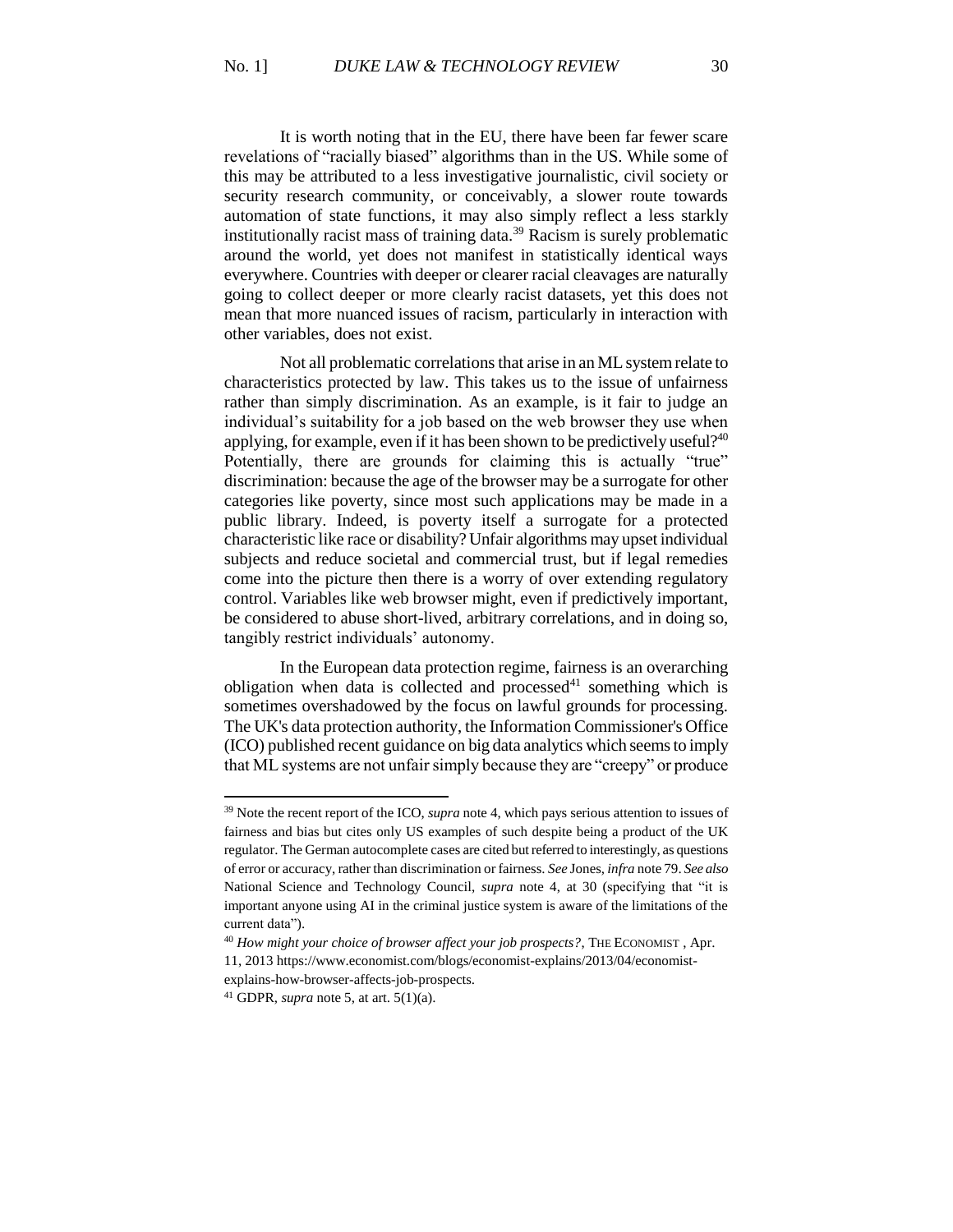It is worth noting that in the EU, there have been far fewer scare revelations of "racially biased" algorithms than in the US. While some of this may be attributed to a less investigative journalistic, civil society or security research community, or conceivably, a slower route towards automation of state functions, it may also simply reflect a less starkly institutionally racist mass of training data.<sup>39</sup> Racism is surely problematic around the world, yet does not manifest in statistically identical ways everywhere. Countries with deeper or clearer racial cleavages are naturally going to collect deeper or more clearly racist datasets, yet this does not mean that more nuanced issues of racism, particularly in interaction with other variables, does not exist.

Not all problematic correlations that arise in an ML system relate to characteristics protected by law. This takes us to the issue of unfairness rather than simply discrimination. As an example, is it fair to judge an individual's suitability for a job based on the web browser they use when applying, for example, even if it has been shown to be predictively useful?<sup>40</sup> Potentially, there are grounds for claiming this is actually "true" discrimination: because the age of the browser may be a surrogate for other categories like poverty, since most such applications may be made in a public library. Indeed, is poverty itself a surrogate for a protected characteristic like race or disability? Unfair algorithms may upset individual subjects and reduce societal and commercial trust, but if legal remedies come into the picture then there is a worry of over extending regulatory control. Variables like web browser might, even if predictively important, be considered to abuse short-lived, arbitrary correlations, and in doing so, tangibly restrict individuals' autonomy.

In the European data protection regime, fairness is an overarching obligation when data is collected and processed $41$  something which is sometimes overshadowed by the focus on lawful grounds for processing. The UK's data protection authority, the Information Commissioner's Office (ICO) published recent guidance on big data analytics which seems to imply that ML systems are not unfair simply because they are "creepy" or produce

 $\overline{\phantom{a}}$ 

<sup>&</sup>lt;sup>39</sup> Note the recent report of the ICO, *supra* note 4, which pays serious attention to issues of fairness and bias but cites only US examples of such despite being a product of the UK regulator. The German autocomplete cases are cited but referred to interestingly, as questions of error or accuracy, rather than discrimination or fairness. *See* Jones, *infra* not[e 79.](#page-20-0) *See also* National Science and Technology Council, *supra* note [4,](#page-2-1) at 30 (specifying that "it is important anyone using AI in the criminal justice system is aware of the limitations of the current data").

<sup>40</sup> *How might your choice of browser affect your job prospects?*, THE ECONOMIST , Apr. 11, 2013 [https://www.economist.com/blogs/economist-explains/2013/04/economist-](https://www.economist.com/blogs/economist-explains/2013/04/economist-explains-how-browser-affects-job-prospects)

[explains-how-browser-affects-job-prospects.](https://www.economist.com/blogs/economist-explains/2013/04/economist-explains-how-browser-affects-job-prospects)

<sup>41</sup> GDPR, *supra* note 5, at art. 5(1)(a).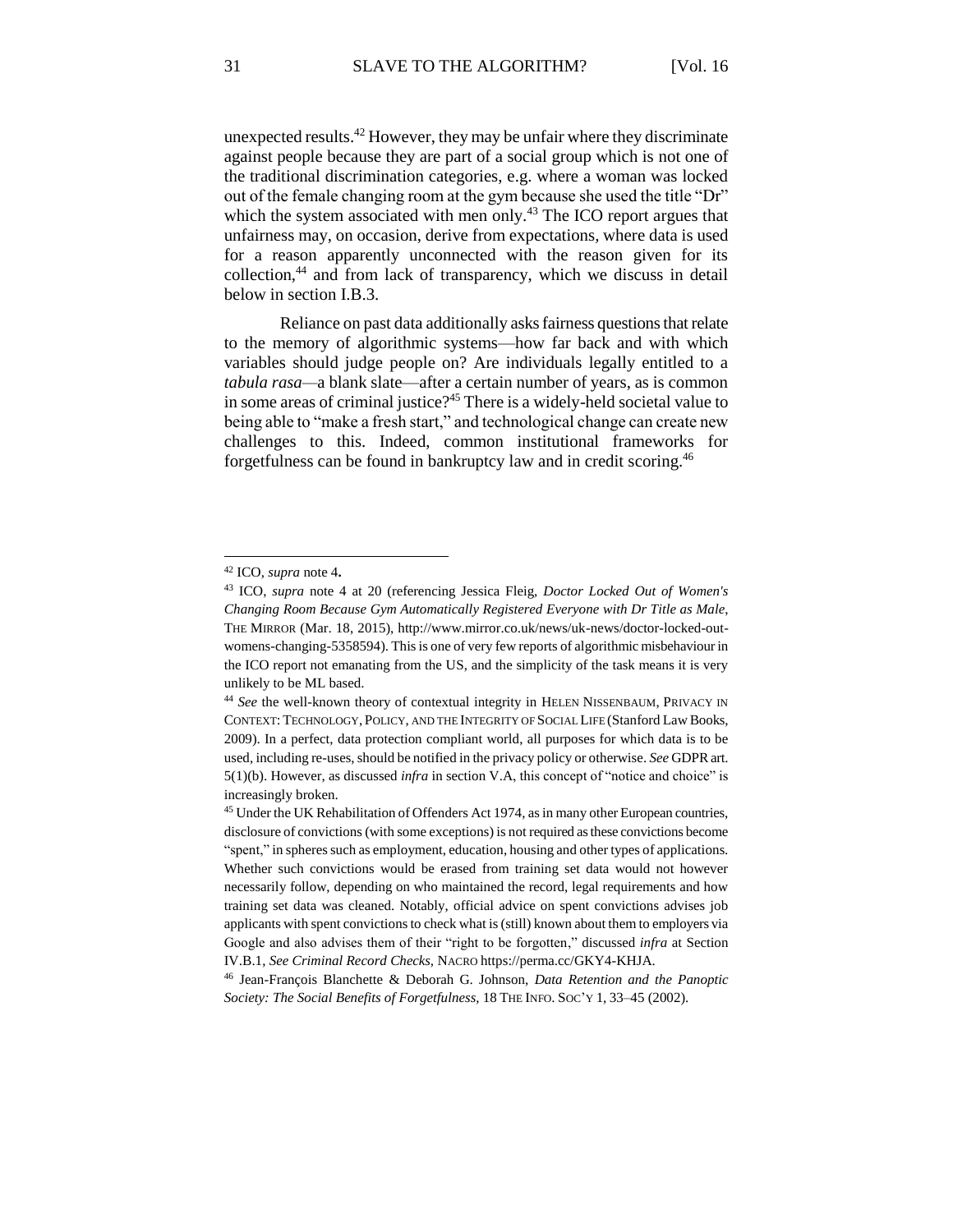unexpected results.<sup>42</sup> However, they may be unfair where they discriminate against people because they are part of a social group which is not one of the traditional discrimination categories, e.g. where a woman was locked out of the female changing room at the gym because she used the title "Dr" which the system associated with men only.<sup>43</sup> The ICO report argues that unfairness may, on occasion, derive from expectations*,* where data is used for a reason apparently unconnected with the reason given for its collection,<sup>44</sup> and from lack of transparency, which we discuss in detail below in section I.B.3.

Reliance on past data additionally asks fairness questions that relate to the memory of algorithmic systems—how far back and with which variables should judge people on? Are individuals legally entitled to a *tabula rasa—*a blank slate—after a certain number of years, as is common in some areas of criminal justice?<sup>45</sup> There is a widely-held societal value to being able to "make a fresh start," and technological change can create new challenges to this. Indeed, common institutional frameworks for forgetfulness can be found in bankruptcy law and in credit scoring.<sup>46</sup>

 $\overline{\phantom{a}}$ 

<sup>42</sup> ICO, *supra* note 4**.**

<sup>43</sup> ICO, *supra* note 4 at 20 (referencing Jessica Fleig, *Doctor Locked Out of Women's Changing Room Because Gym Automatically Registered Everyone with Dr Title as Male*, THE MIRROR (Mar. 18, 2015), http://www.mirror.co.uk/news/uk-news/doctor-locked-outwomens-changing-5358594). This is one of very few reports of algorithmic misbehaviour in the ICO report not emanating from the US, and the simplicity of the task means it is very unlikely to be ML based.

<sup>44</sup> *See* the well-known theory of contextual integrity in HELEN NISSENBAUM, PRIVACY IN CONTEXT: TECHNOLOGY, POLICY, AND THE INTEGRITY OF SOCIAL LIFE (Stanford Law Books, 2009). In a perfect, data protection compliant world, all purposes for which data is to be used, including re-uses, should be notified in the privacy policy or otherwise. *See* GDPR art. 5(1)(b). However, as discussed *infra* in section V.A, this concept of "notice and choice" is increasingly broken.

<sup>45</sup> Under the UK Rehabilitation of Offenders Act 1974, as in many other European countries, disclosure of convictions (with some exceptions) is not required as these convictions become "spent," in spheres such as employment, education, housing and other types of applications. Whether such convictions would be erased from training set data would not however necessarily follow, depending on who maintained the record, legal requirements and how training set data was cleaned. Notably, official advice on spent convictions advises job applicants with spent convictions to check what is (still) known about them to employers via Google and also advises them of their "right to be forgotten," discussed *infra* at Section IV.B.1, *See Criminal Record Checks,* NACRO https://perma.cc/GKY4-KHJA.

<sup>46</sup> Jean-François Blanchette & Deborah G. Johnson, *Data Retention and the Panoptic Society: The Social Benefits of Forgetfulness*, 18 THE INFO. SOC'Y 1, 33–45 (2002).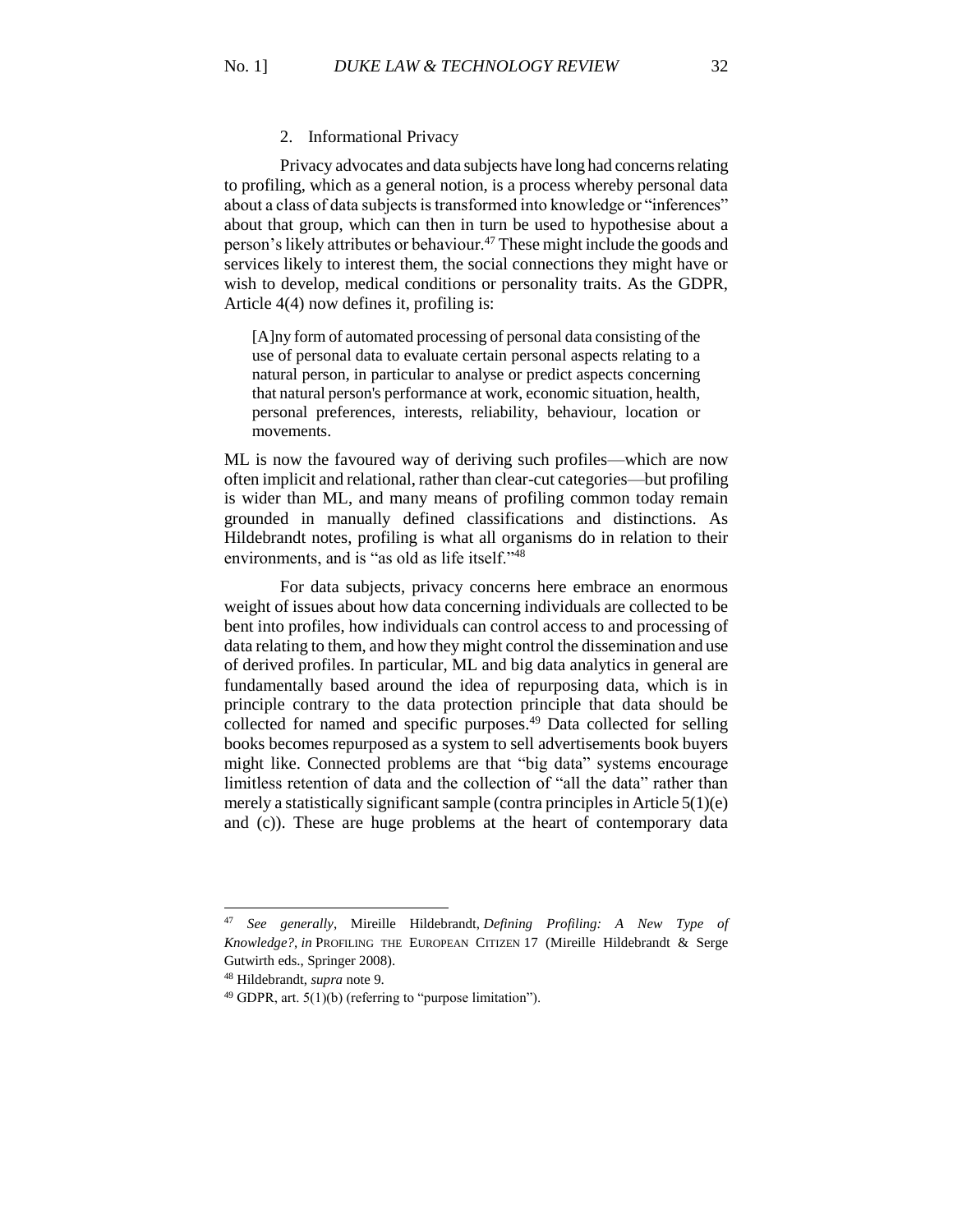Privacy advocates and data subjects have long had concerns relating to profiling, which as a general notion, is a process whereby personal data about a class of data subjects is transformed into knowledge or "inferences" about that group, which can then in turn be used to hypothesise about a person's likely attributes or behaviour.<sup>47</sup> These might include the goods and services likely to interest them, the social connections they might have or wish to develop, medical conditions or personality traits. As the GDPR, Article 4(4) now defines it, profiling is:

[A]ny form of automated processing of personal data consisting of the use of personal data to evaluate certain personal aspects relating to a natural person, in particular to analyse or predict aspects concerning that natural person's performance at work, economic situation, health, personal preferences, interests, reliability, behaviour, location or movements.

ML is now the favoured way of deriving such profiles—which are now often implicit and relational, rather than clear-cut categories—but profiling is wider than ML, and many means of profiling common today remain grounded in manually defined classifications and distinctions. As Hildebrandt notes, profiling is what all organisms do in relation to their environments, and is "as old as life itself."<sup>48</sup>

For data subjects, privacy concerns here embrace an enormous weight of issues about how data concerning individuals are collected to be bent into profiles, how individuals can control access to and processing of data relating to them, and how they might control the dissemination and use of derived profiles. In particular, ML and big data analytics in general are fundamentally based around the idea of repurposing data, which is in principle contrary to the data protection principle that data should be collected for named and specific purposes.<sup>49</sup> Data collected for selling books becomes repurposed as a system to sell advertisements book buyers might like. Connected problems are that "big data" systems encourage limitless retention of data and the collection of "all the data" rather than merely a statistically significant sample (contra principles in Article 5(1)(e) and (c)). These are huge problems at the heart of contemporary data

<sup>47</sup> *See generally*, Mireille Hildebrandt, *Defining Profiling: A New Type of Knowledge?*, *in* PROFILING THE EUROPEAN CITIZEN 17 (Mireille Hildebrandt & Serge Gutwirth eds., Springer 2008).

<sup>48</sup> Hildebrandt, *supra* not[e 9.](#page-2-2)

 $49$  GDPR, art.  $5(1)(b)$  (referring to "purpose limitation").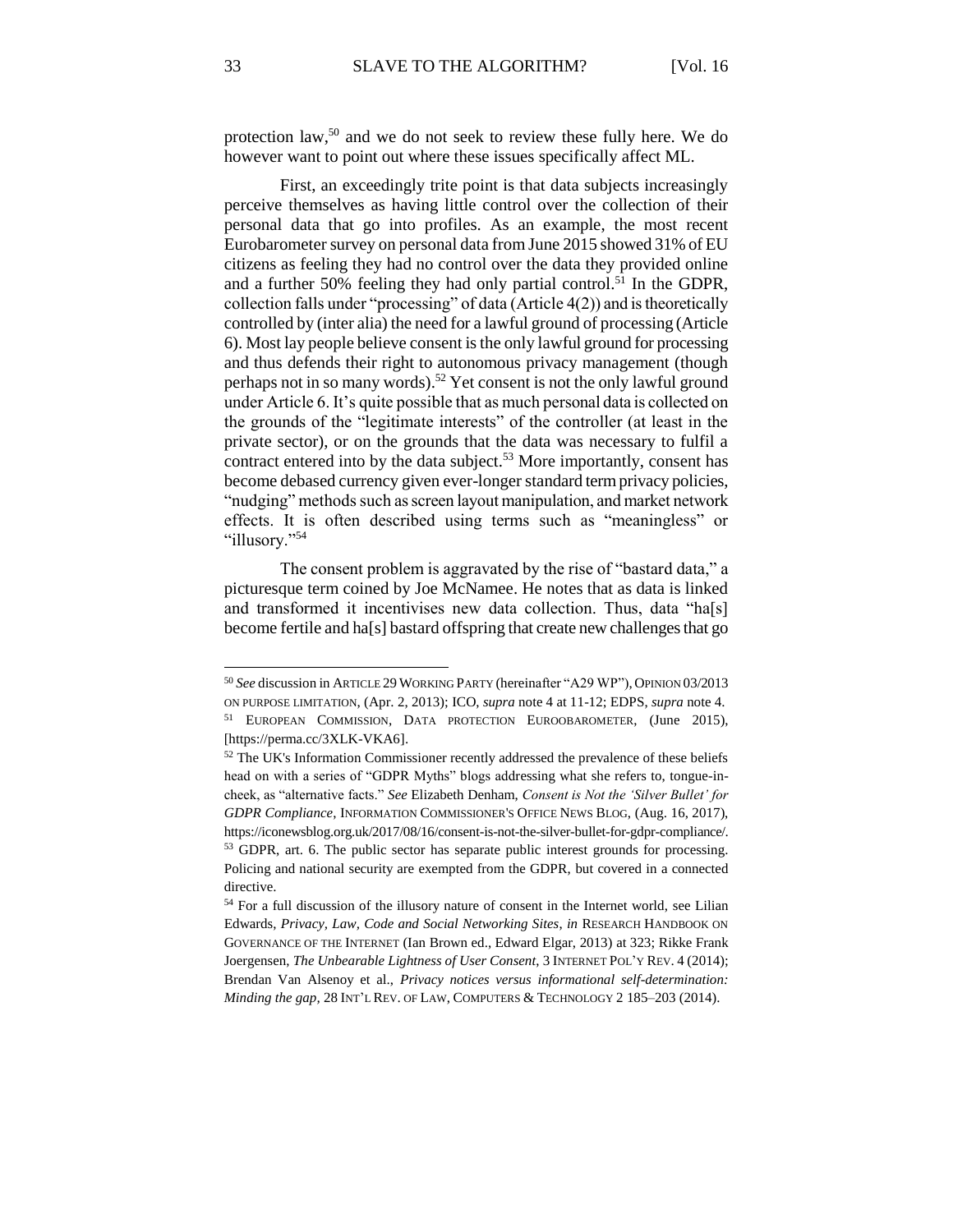protection law,<sup>50</sup> and we do not seek to review these fully here. We do however want to point out where these issues specifically affect ML.

First, an exceedingly trite point is that data subjects increasingly perceive themselves as having little control over the collection of their personal data that go into profiles. As an example, the most recent Eurobarometer survey on personal data from June 2015 showed 31% of EU citizens as feeling they had no control over the data they provided online and a further 50% feeling they had only partial control.<sup>51</sup> In the GDPR, collection falls under "processing" of data (Article 4(2)) and is theoretically controlled by (inter alia) the need for a lawful ground of processing (Article 6). Most lay people believe consent is the only lawful ground for processing and thus defends their right to autonomous privacy management (though perhaps not in so many words).<sup>52</sup> Yet consent is not the only lawful ground under Article 6. It's quite possible that as much personal data is collected on the grounds of the "legitimate interests" of the controller (at least in the private sector), or on the grounds that the data was necessary to fulfil a contract entered into by the data subject.<sup>53</sup> More importantly, consent has become debased currency given ever-longer standard term privacy policies, "nudging" methods such as screen layout manipulation, and market network effects. It is often described using terms such as "meaningless" or "illusory."<sup>54</sup>

<span id="page-15-1"></span><span id="page-15-0"></span>The consent problem is aggravated by the rise of "bastard data," a picturesque term coined by Joe McNamee. He notes that as data is linked and transformed it incentivises new data collection. Thus, data "ha[s] become fertile and ha[s] bastard offspring that create new challenges that go

<sup>50</sup> *See* discussion in ARTICLE 29WORKING PARTY (hereinafter "A29 WP"), OPINION 03/2013 ON PURPOSE LIMITATION, (Apr. 2, 2013); ICO, *supra* note [4](#page-2-1) at 11-12; EDPS, *supra* not[e 4.](#page-2-1) <sup>51</sup> EUROPEAN COMMISSION, DATA PROTECTION EUROOBAROMETER, (June 2015), [https://perma.cc/3XLK-VKA6].

<sup>&</sup>lt;sup>52</sup> The UK's Information Commissioner recently addressed the prevalence of these beliefs head on with a series of "GDPR Myths" blogs addressing what she refers to, tongue-incheek, as "alternative facts." *See* Elizabeth Denham, *Consent is Not the 'Silver Bullet' for GDPR Compliance*, INFORMATION COMMISSIONER'S OFFICE NEWS BLOG, (Aug. 16, 2017), https://iconewsblog.org.uk/2017/08/16/consent-is-not-the-silver-bullet-for-gdpr-compliance/. <sup>53</sup> GDPR, art. 6. The public sector has separate public interest grounds for processing. Policing and national security are exempted from the GDPR, but covered in a connected directive.

<sup>54</sup> For a full discussion of the illusory nature of consent in the Internet world, see Lilian Edwards, *Privacy, Law, Code and Social Networking Sites*, *in* RESEARCH HANDBOOK ON GOVERNANCE OF THE INTERNET (Ian Brown ed., Edward Elgar, 2013) at 323; Rikke Frank Joergensen, *The Unbearable Lightness of User Consent*, 3 INTERNET POL'Y REV. 4 (2014); Brendan Van Alsenoy et al., *Privacy notices versus informational self-determination: Minding the gap,* 28 INT'L REV. OF LAW, COMPUTERS & TECHNOLOGY 2 185–203 (2014).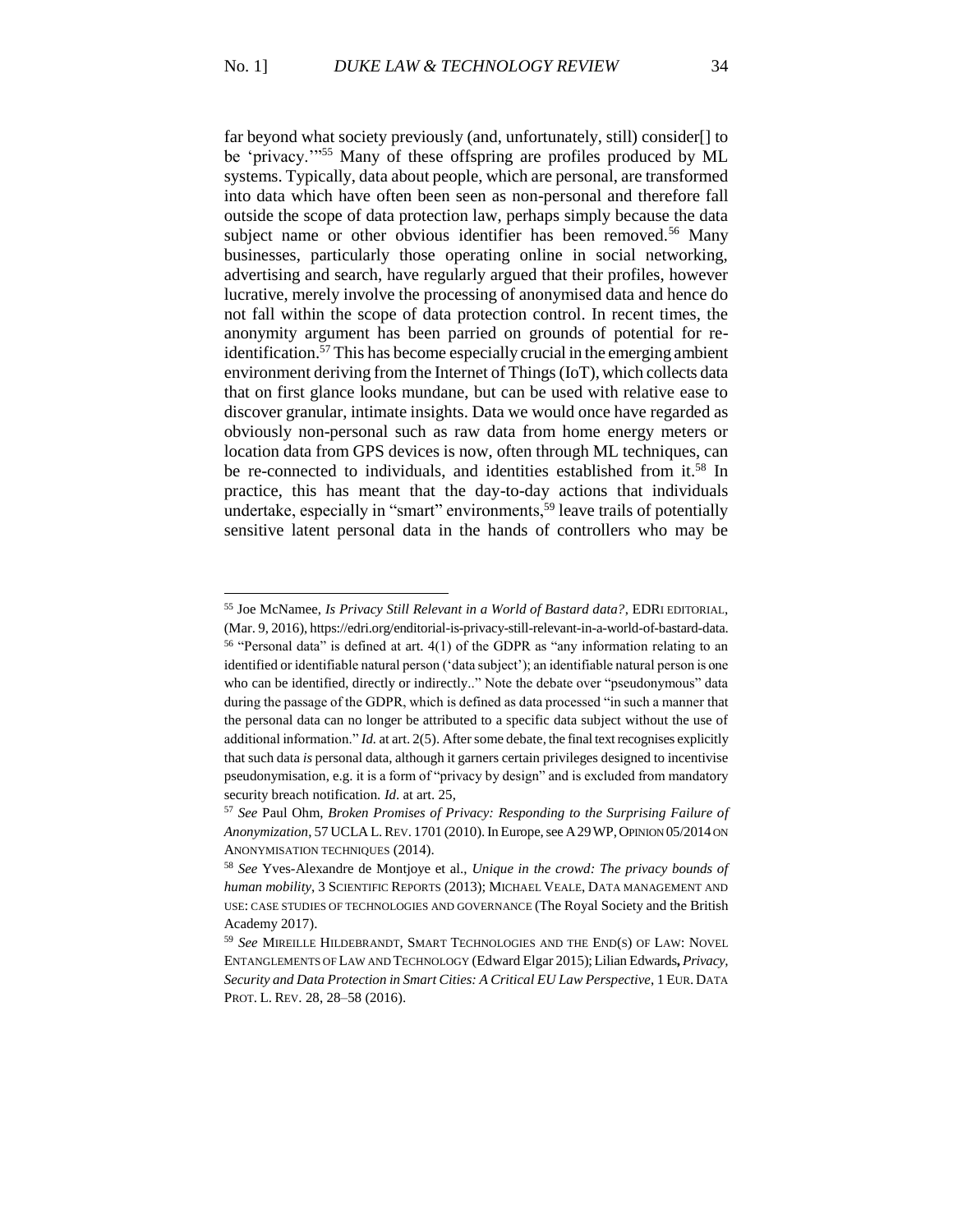<span id="page-16-1"></span>far beyond what society previously (and, unfortunately, still) consider[] to be 'privacy.'"<sup>55</sup> Many of these offspring are profiles produced by ML systems. Typically, data about people, which are personal, are transformed into data which have often been seen as non-personal and therefore fall outside the scope of data protection law, perhaps simply because the data subject name or other obvious identifier has been removed.<sup>56</sup> Many businesses, particularly those operating online in social networking, advertising and search, have regularly argued that their profiles, however lucrative, merely involve the processing of anonymised data and hence do not fall within the scope of data protection control. In recent times, the anonymity argument has been parried on grounds of potential for reidentification.<sup>57</sup> This has become especially crucial in the emerging ambient environment deriving from the Internet of Things (IoT), which collects data that on first glance looks mundane, but can be used with relative ease to discover granular, intimate insights. Data we would once have regarded as obviously non-personal such as raw data from home energy meters or location data from GPS devices is now, often through ML techniques, can be re-connected to individuals, and identities established from it.<sup>58</sup> In practice, this has meant that the day-to-day actions that individuals

<span id="page-16-2"></span><span id="page-16-0"></span>undertake, especially in "smart" environments,<sup>59</sup> leave trails of potentially sensitive latent personal data in the hands of controllers who may be

<sup>55</sup> Joe McNamee, *Is Privacy Still Relevant in a World of Bastard data?*, EDRI EDITORIAL, (Mar. 9, 2016), https://edri.org/enditorial-is-privacy-still-relevant-in-a-world-of-bastard-data. <sup>56</sup> "Personal data" is defined at art. 4(1) of the GDPR as "any information relating to an identified or identifiable natural person ('data subject'); an identifiable natural person is one who can be identified, directly or indirectly.." Note the debate over "pseudonymous" data during the passage of the GDPR, which is defined as data processed "in such a manner that the personal data can no longer be attributed to a specific data subject without the use of additional information." *Id.* at art. 2(5). After some debate, the final text recognises explicitly that such data *is* personal data, although it garners certain privileges designed to incentivise pseudonymisation, e.g. it is a form of "privacy by design" and is excluded from mandatory security breach notification. *Id*. at art. 25,

<sup>57</sup> *See* Paul Ohm, *Broken Promises of Privacy: Responding to the Surprising Failure of Anonymization*, 57 UCLA L. REV. 1701 (2010). In Europe, see A 29 WP, OPINION 05/2014 ON ANONYMISATION TECHNIQUES (2014).

<sup>58</sup> *See* Yves-Alexandre de Montjoye et al., *Unique in the crowd: The privacy bounds of human mobility*, 3 SCIENTIFIC REPORTS (2013); MICHAEL VEALE, DATA MANAGEMENT AND USE: CASE STUDIES OF TECHNOLOGIES AND GOVERNANCE (The Royal Society and the British Academy 2017).

<sup>59</sup> *See* MIREILLE HILDEBRANDT, SMART TECHNOLOGIES AND THE END(S) OF LAW: NOVEL ENTANGLEMENTS OF LAW AND TECHNOLOGY (Edward Elgar 2015); Lilian Edwards**,** *Privacy, Security and Data Protection in Smart Cities: A Critical EU Law Perspective*, 1 EUR. DATA PROT. L. REV. 28, 28–58 (2016).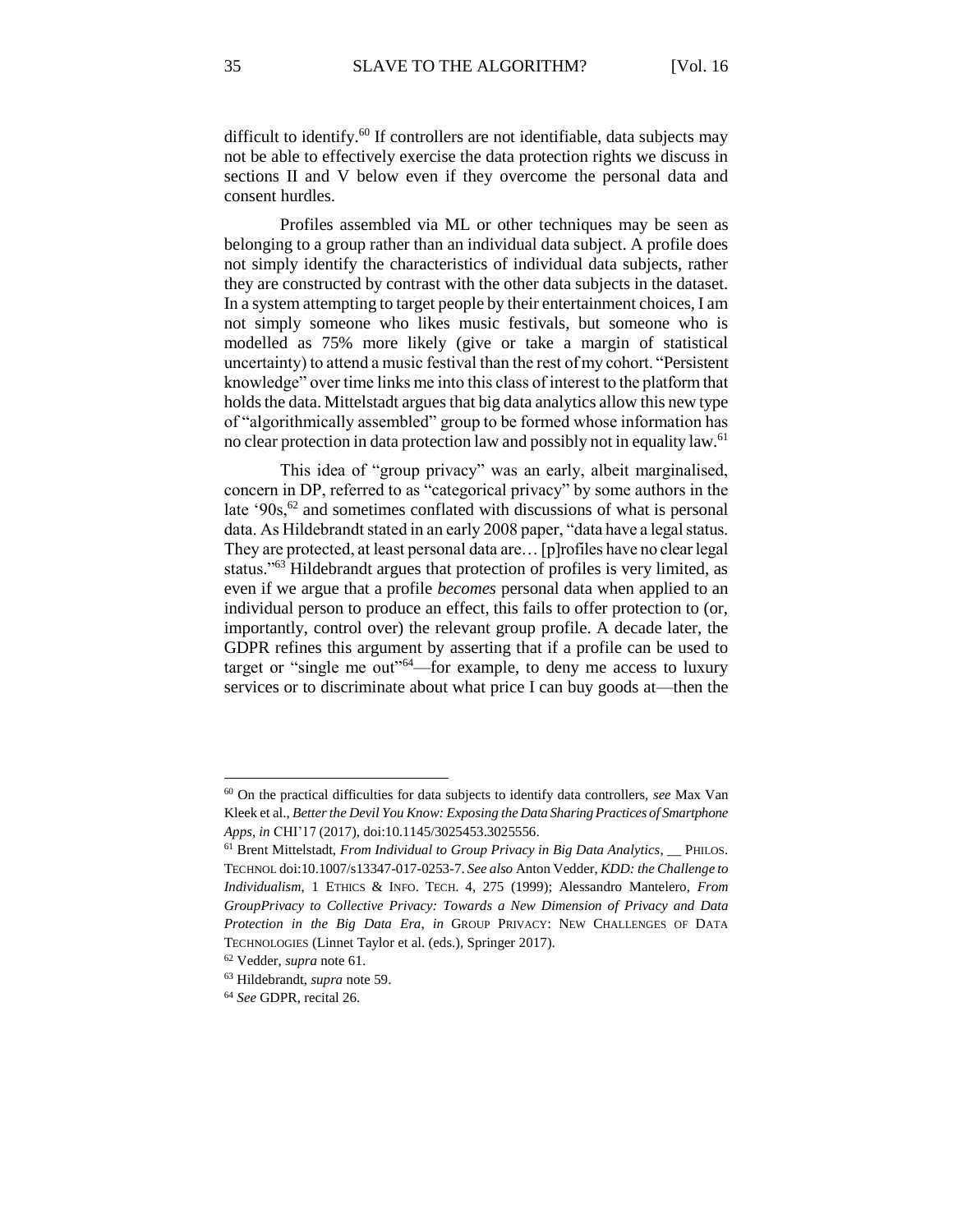difficult to identify.<sup>60</sup> If controllers are not identifiable, data subjects may not be able to effectively exercise the data protection rights we discuss in sections II and V below even if they overcome the personal data and consent hurdles*.*

Profiles assembled via ML or other techniques may be seen as belonging to a group rather than an individual data subject. A profile does not simply identify the characteristics of individual data subjects, rather they are constructed by contrast with the other data subjects in the dataset. In a system attempting to target people by their entertainment choices, I am not simply someone who likes music festivals, but someone who is modelled as 75% more likely (give or take a margin of statistical uncertainty) to attend a music festival than the rest of my cohort. "Persistent knowledge" over time links me into this class of interest to the platform that holds the data. Mittelstadt argues that big data analytics allow this new type of "algorithmically assembled" group to be formed whose information has no clear protection in data protection law and possibly not in equality law.<sup>61</sup>

This idea of "group privacy" was an early, albeit marginalised, concern in DP, referred to as "categorical privacy" by some authors in the late '90s,<sup>62</sup> and sometimes conflated with discussions of what is personal data. As Hildebrandt stated in an early 2008 paper, "data have a legal status. They are protected, at least personal data are… [p]rofiles have no clear legal status."<sup>63</sup> Hildebrandt argues that protection of profiles is very limited, as even if we argue that a profile *becomes* personal data when applied to an individual person to produce an effect, this fails to offer protection to (or, importantly, control over) the relevant group profile. A decade later, the GDPR refines this argument by asserting that if a profile can be used to target or "single me out"<sup>64</sup>—for example, to deny me access to luxury services or to discriminate about what price I can buy goods at—then the

<sup>60</sup> On the practical difficulties for data subjects to identify data controllers, *see* Max Van Kleek et al., *Better the Devil You Know: Exposing the Data Sharing Practices of Smartphone Apps*, *in* CHI'17 (2017), doi:10.1145/3025453.3025556.

<sup>61</sup> Brent Mittelstadt, *From Individual to Group Privacy in Big Data Analytics*, \_\_ PHILOS. TECHNOL doi:10.1007/s13347-017-0253-7. *See also* Anton Vedder, *KDD: the Challenge to Individualism*, 1 ETHICS & INFO. TECH. 4, 275 (1999); Alessandro Mantelero, *From GroupPrivacy to Collective Privacy: Towards a New Dimension of Privacy and Data Protection in the Big Data Era*, *in* GROUP PRIVACY: NEW CHALLENGES OF DATA TECHNOLOGIES (Linnet Taylor et al. (eds.), Springer 2017).

<sup>62</sup> Vedder, *supra* note 61.

<sup>63</sup> Hildebrandt, *supra* not[e 59.](#page-16-0)

<sup>64</sup> *See* GDPR, recital 26.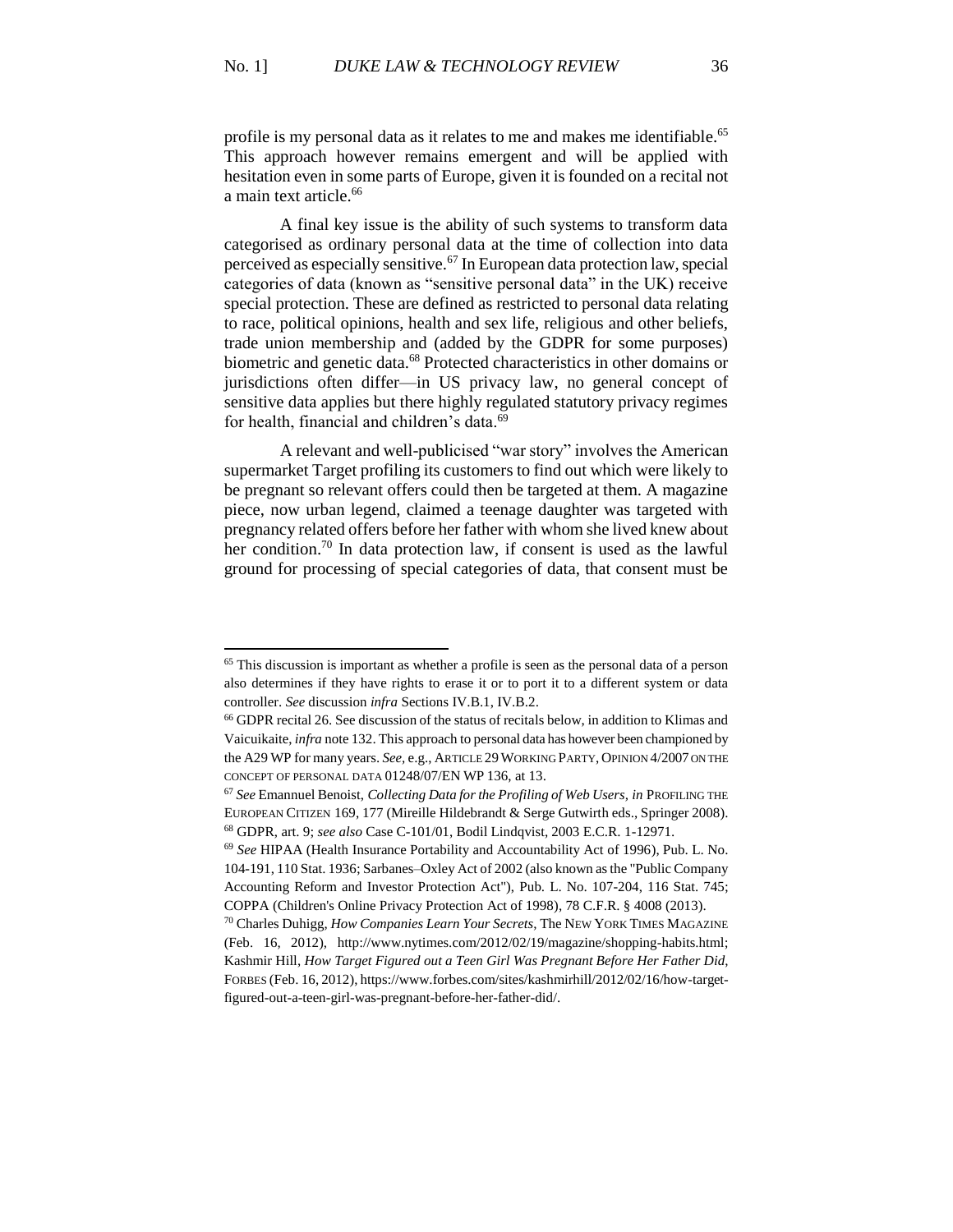profile is my personal data as it relates to me and makes me identifiable.<sup>65</sup> This approach however remains emergent and will be applied with hesitation even in some parts of Europe, given it is founded on a recital not a main text article.<sup>66</sup>

A final key issue is the ability of such systems to transform data categorised as ordinary personal data at the time of collection into data perceived as especially sensitive.<sup>67</sup> In European data protection law, special categories of data (known as "sensitive personal data" in the UK) receive special protection. These are defined as restricted to personal data relating to race, political opinions, health and sex life, religious and other beliefs, trade union membership and (added by the GDPR for some purposes) biometric and genetic data.<sup>68</sup> Protected characteristics in other domains or jurisdictions often differ—in US privacy law, no general concept of sensitive data applies but there highly regulated statutory privacy regimes for health, financial and children's data.<sup>69</sup>

A relevant and well-publicised "war story" involves the American supermarket Target profiling its customers to find out which were likely to be pregnant so relevant offers could then be targeted at them. A magazine piece, now urban legend, claimed a teenage daughter was targeted with pregnancy related offers before her father with whom she lived knew about her condition.<sup>70</sup> In data protection law, if consent is used as the lawful ground for processing of special categories of data, that consent must be

<sup>65</sup> This discussion is important as whether a profile is seen as the personal data of a person also determines if they have rights to erase it or to port it to a different system or data controller. *See* discussion *infra* Sections IV.B.1, IV.B.2.

<sup>66</sup> GDPR recital 26. See discussion of the status of recitals below, in addition to Klimas and Vaicuikaite, *infra* not[e 132.](#page-32-0) This approach to personal data has however been championed by the A29 WP for many years. *See,* e.g., ARTICLE 29WORKING PARTY, OPINION 4/2007 ON THE CONCEPT OF PERSONAL DATA 01248/07/EN WP 136, at 13.

<sup>67</sup> *See* Emannuel Benoist, *Collecting Data for the Profiling of Web Users, in* PROFILING THE EUROPEAN CITIZEN 169, 177 (Mireille Hildebrandt & Serge Gutwirth eds., Springer 2008). <sup>68</sup> GDPR, art. 9; *see also* Case C-101/01, Bodil Lindqvist, 2003 E.C.R. 1-12971.

<sup>69</sup> *See* HIPAA (Health Insurance Portability and Accountability Act of 1996), Pub. L. No. 104-191, 110 Stat. 1936; Sarbanes–Oxley Act of 2002 (also known as the "Public Company Accounting Reform and Investor Protection Act"), Pub. L. No. 107-204, 116 Stat. 745; COPPA (Children's Online Privacy Protection Act of 1998), 78 C.F.R. § 4008 (2013).

<sup>70</sup> Charles Duhigg, *How Companies Learn Your Secrets*, The NEW YORK TIMES MAGAZINE (Feb. 16, 2012), http://www.nytimes.com/2012/02/19/magazine/shopping-habits.html; Kashmir Hill, *How Target Figured out a Teen Girl Was Pregnant Before Her Father Did*, FORBES (Feb. 16, 2012), https://www.forbes.com/sites/kashmirhill/2012/02/16/how-targetfigured-out-a-teen-girl-was-pregnant-before-her-father-did/.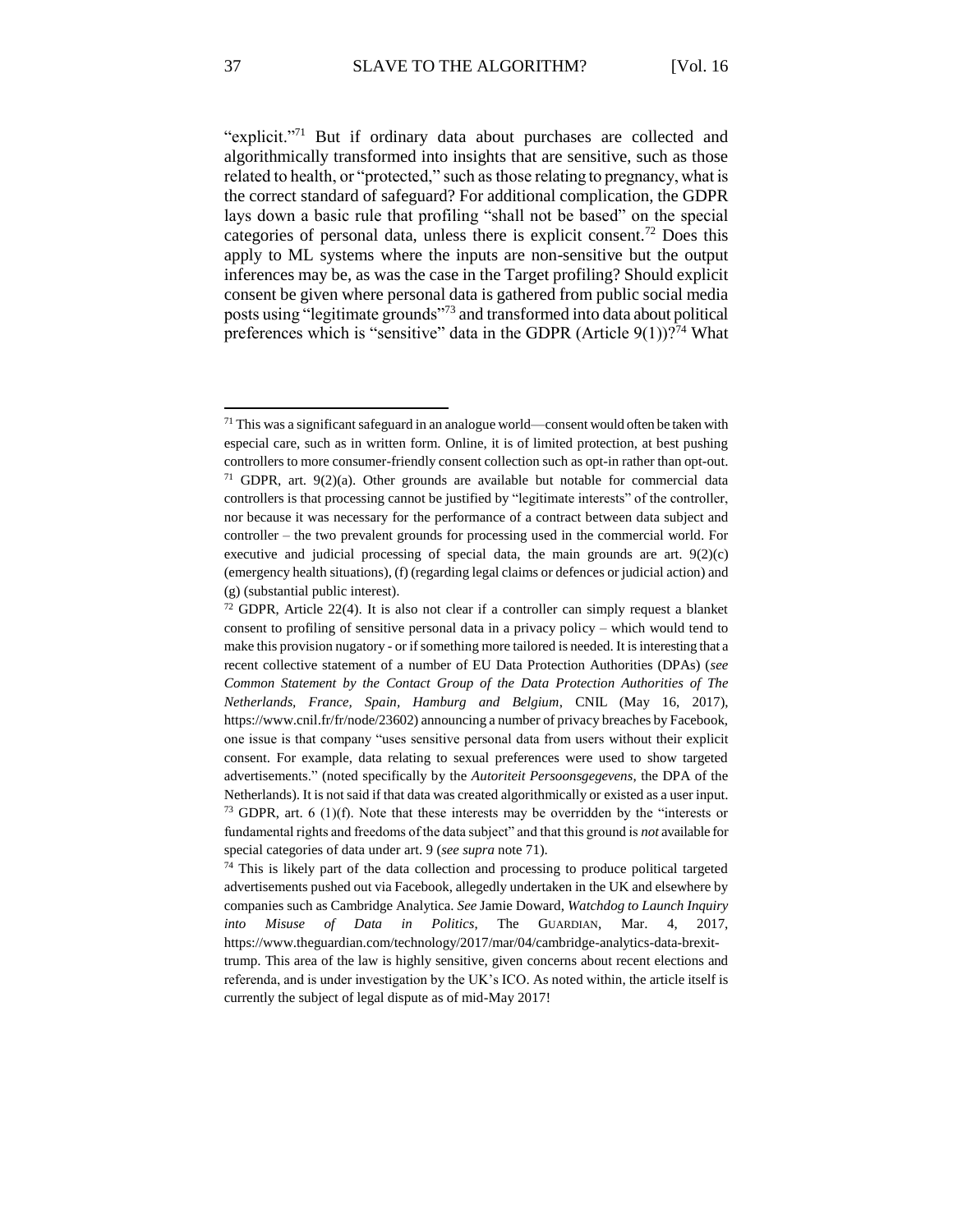<span id="page-19-1"></span><span id="page-19-0"></span>"explicit."<sup>71</sup> But if ordinary data about purchases are collected and algorithmically transformed into insights that are sensitive, such as those related to health, or "protected," such as those relating to pregnancy, what is the correct standard of safeguard? For additional complication, the GDPR lays down a basic rule that profiling "shall not be based" on the special categories of personal data, unless there is explicit consent.<sup>72</sup> Does this apply to ML systems where the inputs are non-sensitive but the output inferences may be, as was the case in the Target profiling? Should explicit consent be given where personal data is gathered from public social media posts using "legitimate grounds"<sup>73</sup> and transformed into data about political preferences which is "sensitive" data in the GDPR (Article  $9(1)$ )?<sup>74</sup> What

 $\overline{\phantom{a}}$ 

<sup>71</sup> This was a significant safeguard in an analogue world—consent would often be taken with especial care, such as in written form. Online, it is of limited protection, at best pushing controllers to more consumer-friendly consent collection such as opt-in rather than opt-out. <sup>71</sup> GDPR, art. 9(2)(a). Other grounds are available but notable for commercial data controllers is that processing cannot be justified by "legitimate interests" of the controller, nor because it was necessary for the performance of a contract between data subject and controller – the two prevalent grounds for processing used in the commercial world. For executive and judicial processing of special data, the main grounds are art.  $9(2)(c)$ (emergency health situations), (f) (regarding legal claims or defences or judicial action) and (g) (substantial public interest).

 $72$  GDPR, Article 22(4). It is also not clear if a controller can simply request a blanket consent to profiling of sensitive personal data in a privacy policy – which would tend to make this provision nugatory - or if something more tailored is needed. It is interesting that a recent collective statement of a number of EU Data Protection Authorities (DPAs) (*see Common Statement by the Contact Group of the Data Protection Authorities of The Netherlands, France, Spain, Hamburg and Belgium*, CNIL (May 16, 2017), https://www.cnil.fr/fr/node/23602) announcing a number of privacy breaches by Facebook, one issue is that company "uses sensitive personal data from users without their explicit consent. For example, data relating to sexual preferences were used to show targeted advertisements." (noted specifically by the *Autoriteit Persoonsgegevens*, the DPA of the Netherlands). It is not said if that data was created algorithmically or existed as a user input.  $73$  GDPR, art. 6 (1)(f). Note that these interests may be overridden by the "interests or fundamental rights and freedoms of the data subject" and that this ground is *not* available for special categories of data under art. 9 (*see supra* not[e 71\)](#page-19-0).

<sup>74</sup> This is likely part of the data collection and processing to produce political targeted advertisements pushed out via Facebook, allegedly undertaken in the UK and elsewhere by companies such as Cambridge Analytica. *See* Jamie Doward, *Watchdog to Launch Inquiry into Misuse of Data in Politics*, The GUARDIAN, Mar. 4, 2017, https://www.theguardian.com/technology/2017/mar/04/cambridge-analytics-data-brexittrump. This area of the law is highly sensitive, given concerns about recent elections and referenda, and is under investigation by the UK's ICO. As noted within, the article itself is currently the subject of legal dispute as of mid-May 2017!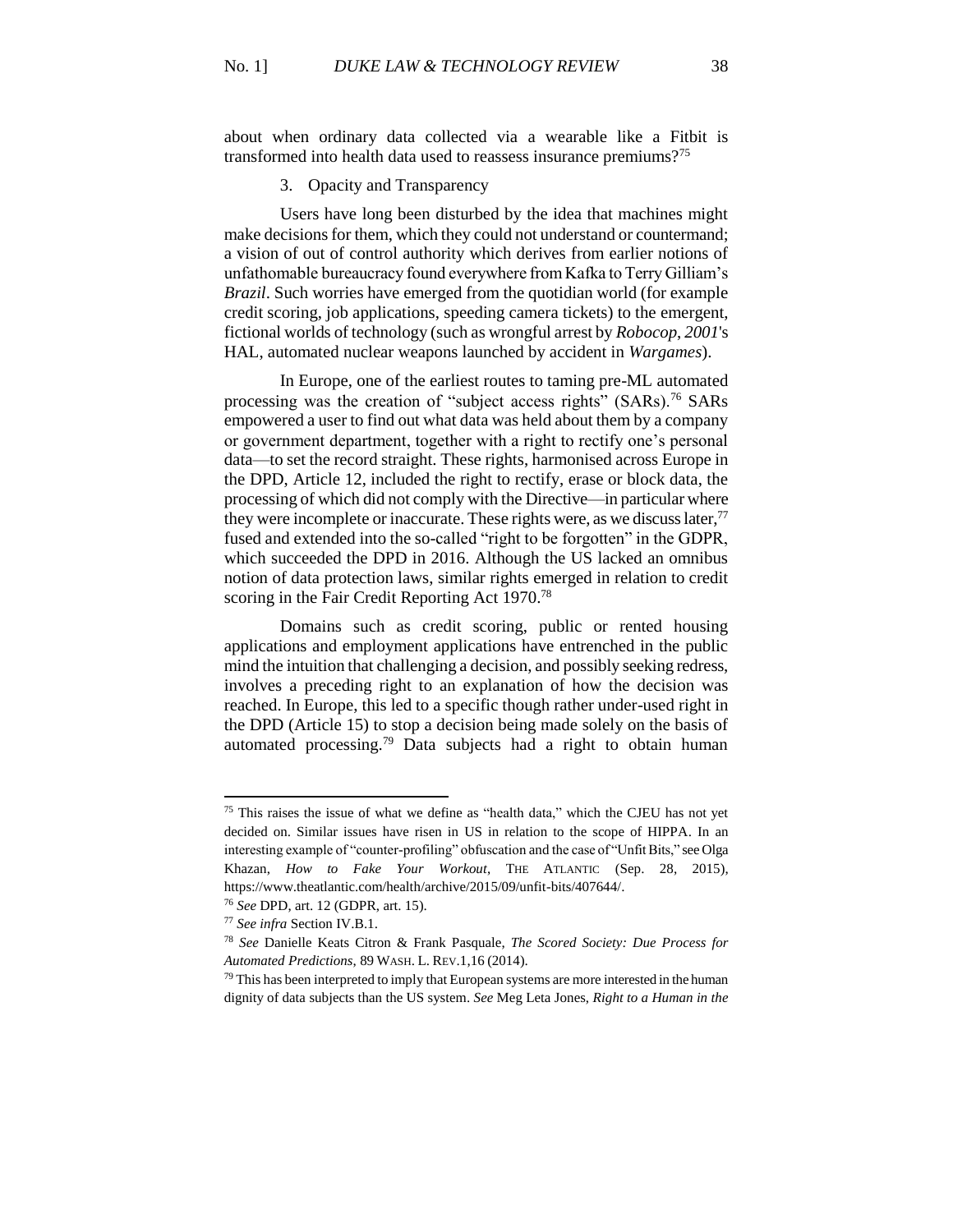about when ordinary data collected via a wearable like a Fitbit is transformed into health data used to reassess insurance premiums?<sup>75</sup>

<span id="page-20-1"></span>3. Opacity and Transparency

Users have long been disturbed by the idea that machines might make decisions for them, which they could not understand or countermand; a vision of out of control authority which derives from earlier notions of unfathomable bureaucracy found everywhere from Kafka to Terry Gilliam's *Brazil*. Such worries have emerged from the quotidian world (for example credit scoring, job applications, speeding camera tickets) to the emergent, fictional worlds of technology (such as wrongful arrest by *Robocop*, *2001*'s HAL, automated nuclear weapons launched by accident in *Wargames*).

In Europe, one of the earliest routes to taming pre-ML automated processing was the creation of "subject access rights" (SARs).<sup>76</sup> SARs empowered a user to find out what data was held about them by a company or government department, together with a right to rectify one's personal data—to set the record straight. These rights, harmonised across Europe in the DPD, Article 12, included the right to rectify, erase or block data, the processing of which did not comply with the Directive—in particular where they were incomplete or inaccurate. These rights were, as we discuss later,  $77$ fused and extended into the so-called "right to be forgotten" in the GDPR, which succeeded the DPD in 2016. Although the US lacked an omnibus notion of data protection laws, similar rights emerged in relation to credit scoring in the Fair Credit Reporting Act 1970.<sup>78</sup>

<span id="page-20-2"></span>Domains such as credit scoring, public or rented housing applications and employment applications have entrenched in the public mind the intuition that challenging a decision, and possibly seeking redress, involves a preceding right to an explanation of how the decision was reached. In Europe, this led to a specific though rather under-used right in the DPD (Article 15) to stop a decision being made solely on the basis of automated processing.<sup>79</sup> Data subjects had a right to obtain human

<span id="page-20-0"></span> $\overline{\phantom{a}}$ 

 $75$  This raises the issue of what we define as "health data," which the CJEU has not yet decided on. Similar issues have risen in US in relation to the scope of HIPPA. In an interesting example of "counter-profiling" obfuscation and the case of "Unfit Bits," see Olga Khazan, *How to Fake Your Workout*, THE ATLANTIC (Sep. 28, 2015), https://www.theatlantic.com/health/archive/2015/09/unfit-bits/407644/.

<sup>76</sup> *See* DPD, art. 12 (GDPR, art. 15).

<sup>77</sup> *See infra* Section IV.B.1.

<sup>78</sup> *See* Danielle Keats Citron & Frank Pasquale, *The Scored Society: Due Process for Automated Predictions*, 89 WASH. L. REV.1,16 (2014).

 $<sup>79</sup>$  This has been interpreted to imply that European systems are more interested in the human</sup> dignity of data subjects than the US system. *See* Meg Leta Jones, *Right to a Human in the*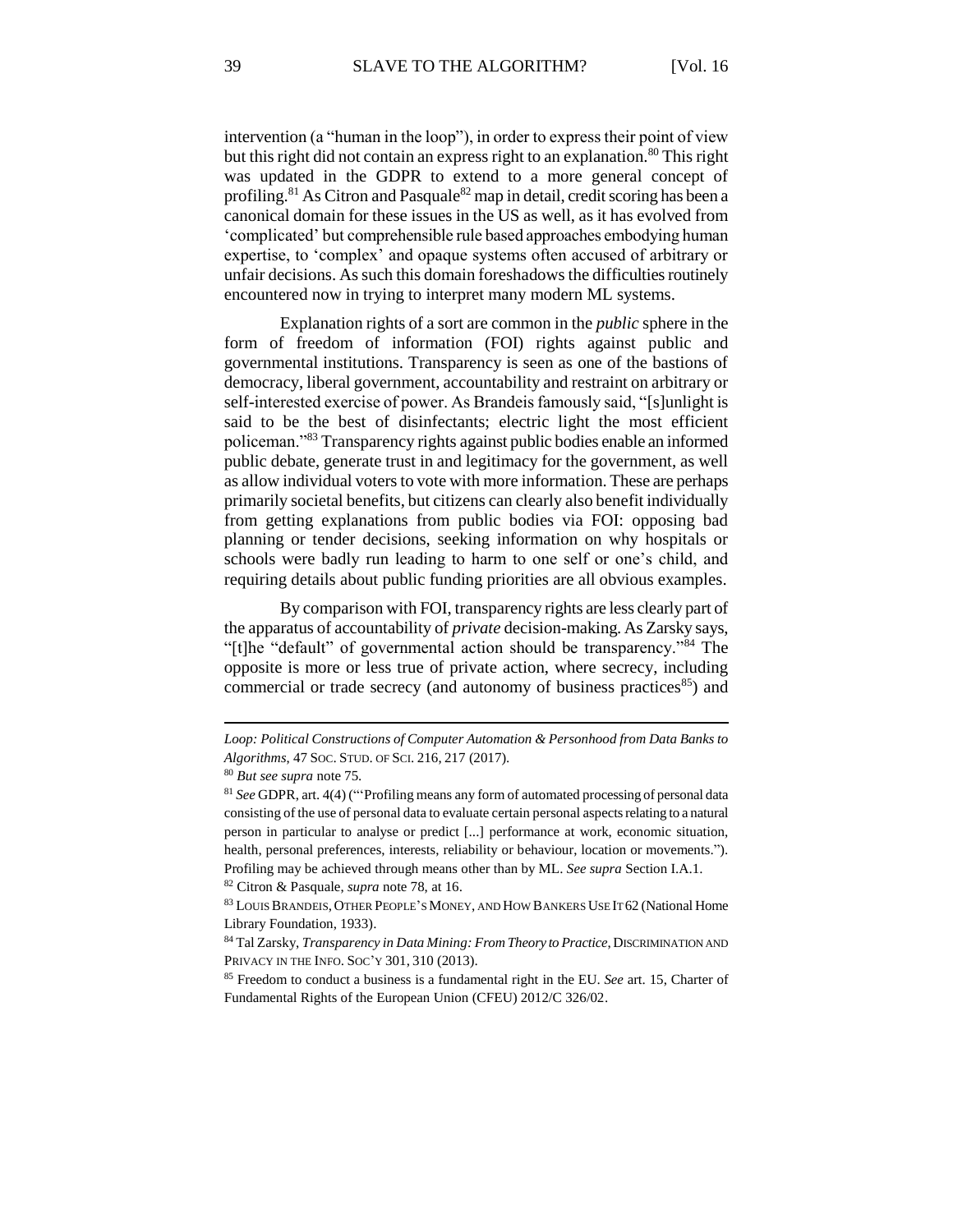<span id="page-21-1"></span>intervention (a "human in the loop"), in order to express their point of view but this right did not contain an express right to an explanation.<sup>80</sup> This right was updated in the GDPR to extend to a more general concept of profiling.<sup>81</sup> As Citron and Pasquale<sup>82</sup> map in detail, credit scoring has been a canonical domain for these issues in the US as well, as it has evolved from 'complicated' but comprehensible rule based approaches embodying human expertise, to 'complex' and opaque systems often accused of arbitrary or unfair decisions. As such this domain foreshadows the difficulties routinely encountered now in trying to interpret many modern ML systems.

Explanation rights of a sort are common in the *public* sphere in the form of freedom of information (FOI) rights against public and governmental institutions. Transparency is seen as one of the bastions of democracy, liberal government, accountability and restraint on arbitrary or self-interested exercise of power. As Brandeis famously said, "[s]unlight is said to be the best of disinfectants; electric light the most efficient policeman."<sup>83</sup> Transparency rights against public bodies enable an informed public debate, generate trust in and legitimacy for the government, as well as allow individual voters to vote with more information. These are perhaps primarily societal benefits, but citizens can clearly also benefit individually from getting explanations from public bodies via FOI: opposing bad planning or tender decisions, seeking information on why hospitals or schools were badly run leading to harm to one self or one's child, and requiring details about public funding priorities are all obvious examples.

<span id="page-21-0"></span>By comparison with FOI, transparency rights are less clearly part of the apparatus of accountability of *private* decision-making. As Zarsky says, "[t]he "default" of governmental action should be transparency."<sup>84</sup> The opposite is more or less true of private action, where secrecy, including commercial or trade secrecy (and autonomy of business practices $85$ ) and

l

<sup>82</sup> Citron & Pasquale, *supra* note [78,](#page-20-2) at 16.

*Loop: Political Constructions of Computer Automation & Personhood from Data Banks to Algorithms*, 47 SOC. STUD. OF SCI. 216, 217 (2017).

<sup>80</sup> *But see supra* not[e 75.](#page-20-1)

<sup>81</sup> *See* GDPR, art. 4(4) ("'Profiling means any form of automated processing of personal data consisting of the use of personal data to evaluate certain personal aspects relating to a natural person in particular to analyse or predict [...] performance at work, economic situation, health, personal preferences, interests, reliability or behaviour, location or movements."). Profiling may be achieved through means other than by ML. *See supra* Section I.A.1.

<sup>83</sup> LOUIS BRANDEIS, OTHER PEOPLE'S MONEY, AND HOW BANKERS USE IT 62 (National Home Library Foundation, 1933).

<sup>84</sup> Tal Zarsky, *Transparency in Data Mining: From Theory to Practice*, DISCRIMINATION AND PRIVACY IN THE INFO. SOC'Y 301, 310 (2013).

<sup>85</sup> Freedom to conduct a business is a fundamental right in the EU. *See* art. 15, Charter of Fundamental Rights of the European Union (CFEU) 2012/C 326/02.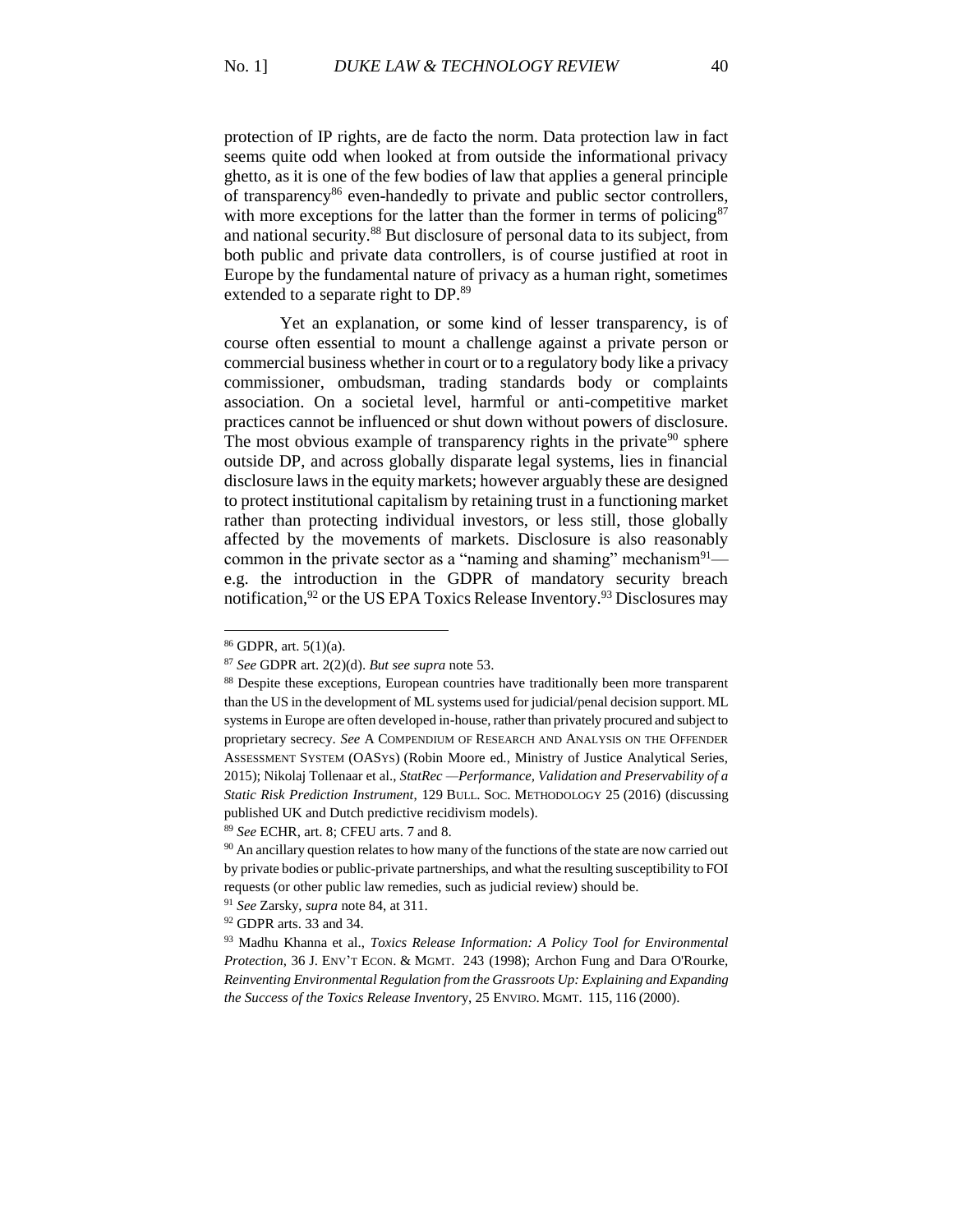protection of IP rights, are de facto the norm. Data protection law in fact seems quite odd when looked at from outside the informational privacy ghetto, as it is one of the few bodies of law that applies a general principle of transparency<sup>86</sup> even-handedly to private and public sector controllers, with more exceptions for the latter than the former in terms of policing  $87$ and national security.<sup>88</sup> But disclosure of personal data to its subject, from both public and private data controllers, is of course justified at root in Europe by the fundamental nature of privacy as a human right, sometimes extended to a separate right to DP.<sup>89</sup>

Yet an explanation, or some kind of lesser transparency, is of course often essential to mount a challenge against a private person or commercial business whether in court or to a regulatory body like a privacy commissioner, ombudsman, trading standards body or complaints association. On a societal level, harmful or anti-competitive market practices cannot be influenced or shut down without powers of disclosure. The most obvious example of transparency rights in the private<sup>90</sup> sphere outside DP, and across globally disparate legal systems, lies in financial disclosure laws in the equity markets; however arguably these are designed to protect institutional capitalism by retaining trust in a functioning market rather than protecting individual investors, or less still, those globally affected by the movements of markets. Disclosure is also reasonably common in the private sector as a "naming and shaming" mechanism $91$  e.g. the introduction in the GDPR of mandatory security breach notification,<sup>92</sup> or the US EPA Toxics Release Inventory.<sup>93</sup> Disclosures may

 $\overline{\phantom{a}}$ 

<sup>86</sup> GDPR, art. 5(1)(a).

<sup>87</sup> *See* GDPR art. 2(2)(d). *But see supra* not[e 53.](#page-15-0)

<sup>88</sup> Despite these exceptions, European countries have traditionally been more transparent than the US in the development of ML systems used for judicial/penal decision support. ML systems in Europe are often developed in-house, rather than privately procured and subject to proprietary secrecy. *See* A COMPENDIUM OF RESEARCH AND ANALYSIS ON THE OFFENDER ASSESSMENT SYSTEM (OASYS) (Robin Moore ed., Ministry of Justice Analytical Series, 2015); Nikolaj Tollenaar et al., *StatRec —Performance, Validation and Preservability of a Static Risk Prediction Instrument*, 129 BULL. SOC. METHODOLOGY 25 (2016) (discussing published UK and Dutch predictive recidivism models).

<sup>89</sup> *See* ECHR, art. 8; CFEU arts. 7 and 8.

<sup>&</sup>lt;sup>90</sup> An ancillary question relates to how many of the functions of the state are now carried out by private bodies or public-private partnerships, and what the resulting susceptibility to FOI requests (or other public law remedies, such as judicial review) should be.

<sup>91</sup> *See* Zarsky, *supra* note [84,](#page-21-0) at 311.

<sup>92</sup> GDPR arts. 33 and 34.

<sup>93</sup> Madhu Khanna et al., *Toxics Release Information: A Policy Tool for Environmental Protection*, 36 J. ENV'T ECON. & MGMT. 243 (1998); Archon Fung and Dara O'Rourke, *Reinventing Environmental Regulation from the Grassroots Up: Explaining and Expanding the Success of the Toxics Release Inventor*y, 25 ENVIRO. MGMT. 115, 116 (2000).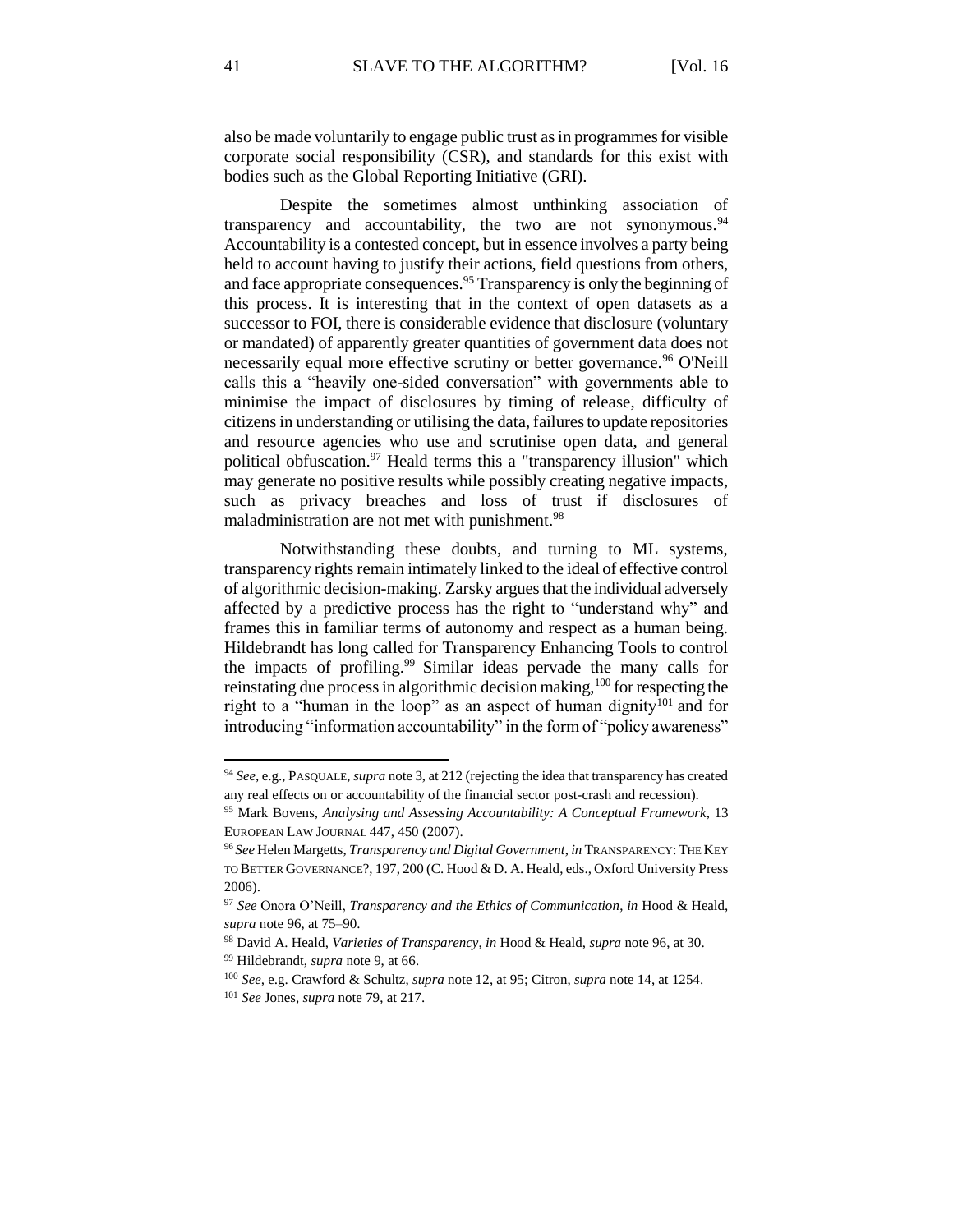also be made voluntarily to engage public trust as in programmes for visible corporate social responsibility (CSR), and standards for this exist with bodies such as the Global Reporting Initiative (GRI).

<span id="page-23-0"></span>Despite the sometimes almost unthinking association of transparency and accountability, the two are not synonymous.<sup>94</sup> Accountability is a contested concept, but in essence involves a party being held to account having to justify their actions, field questions from others, and face appropriate consequences.<sup>95</sup> Transparency is only the beginning of this process. It is interesting that in the context of open datasets as a successor to FOI, there is considerable evidence that disclosure (voluntary or mandated) of apparently greater quantities of government data does not necessarily equal more effective scrutiny or better governance.<sup>96</sup> O'Neill calls this a "heavily one-sided conversation" with governments able to minimise the impact of disclosures by timing of release, difficulty of citizens in understanding or utilising the data, failures to update repositories and resource agencies who use and scrutinise open data, and general political obfuscation.<sup>97</sup> Heald terms this a "transparency illusion" which may generate no positive results while possibly creating negative impacts, such as privacy breaches and loss of trust if disclosures of maladministration are not met with punishment.<sup>98</sup>

<span id="page-23-1"></span>Notwithstanding these doubts, and turning to ML systems, transparency rights remain intimately linked to the ideal of effective control of algorithmic decision-making. Zarsky argues that the individual adversely affected by a predictive process has the right to "understand why" and frames this in familiar terms of autonomy and respect as a human being. Hildebrandt has long called for Transparency Enhancing Tools to control the impacts of profiling.<sup>99</sup> Similar ideas pervade the many calls for reinstating due process in algorithmic decision making,<sup>100</sup> for respecting the right to a "human in the loop" as an aspect of human dignity $101$  and for introducing "information accountability" in the form of "policy awareness"

<sup>94</sup> *See,* e.g., PASQUALE, *supra* not[e 3,](#page-2-0) at 212 (rejecting the idea that transparency has created any real effects on or accountability of the financial sector post-crash and recession).

<sup>95</sup> Mark Bovens, *Analysing and Assessing Accountability: A Conceptual Framework*, 13 EUROPEAN LAW JOURNAL 447, 450 (2007).

<sup>96</sup> *See* Helen Margetts, *Transparency and Digital Government*, *in* TRANSPARENCY:THE KEY TO BETTER GOVERNANCE?, 197, 200 (C. Hood & D. A. Heald, eds., Oxford University Press 2006).

<sup>97</sup> *See* Onora O'Neill, *Transparency and the Ethics of Communication*, *in* Hood & Heald, *supra* note [96,](#page-23-0) at 75–90.

<sup>98</sup> David A. Heald, *Varieties of Transparency*, *in* Hood & Heald, *supra* note [96,](#page-23-0) at 30. <sup>99</sup> Hildebrandt, *supra* not[e 9,](#page-2-2) at 66.

<sup>100</sup> *See,* e.g. Crawford & Schultz, *supra* not[e 12,](#page-5-0) at 95; Citron, *supra* not[e 14,](#page-5-1) at 1254. <sup>101</sup> *See* Jones, *supra* note [79,](#page-20-0) at 217.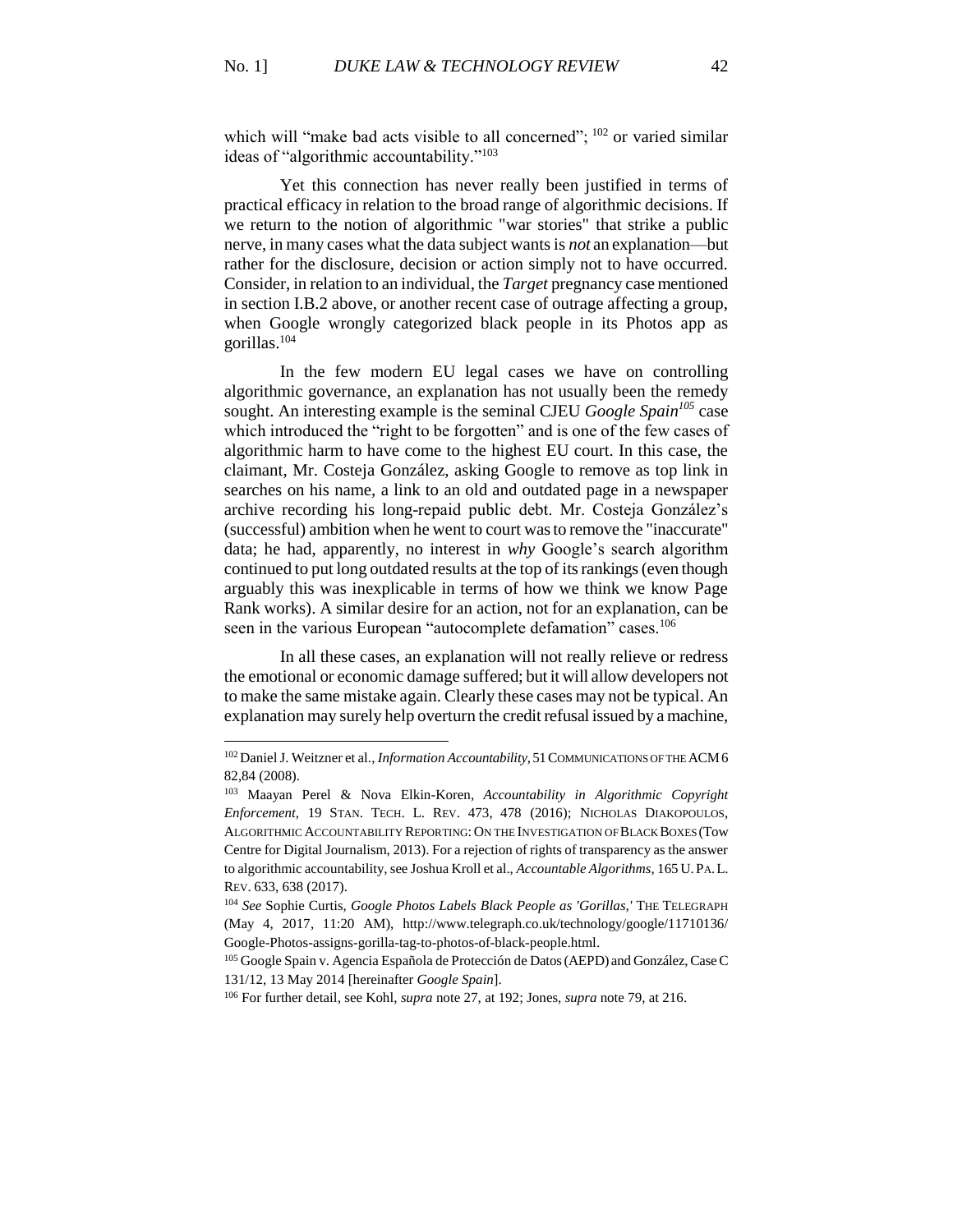<span id="page-24-0"></span>which will "make bad acts visible to all concerned"; <sup>102</sup> or varied similar ideas of "algorithmic accountability."<sup>103</sup>

Yet this connection has never really been justified in terms of practical efficacy in relation to the broad range of algorithmic decisions. If we return to the notion of algorithmic "war stories" that strike a public nerve, in many cases what the data subject wants is *not* an explanation—but rather for the disclosure, decision or action simply not to have occurred. Consider, in relation to an individual, the *Target* pregnancy case mentioned in section I.B.2 above, or another recent case of outrage affecting a group, when Google wrongly categorized black people in its Photos app as gorillas.<sup>104</sup>

<span id="page-24-1"></span>In the few modern EU legal cases we have on controlling algorithmic governance, an explanation has not usually been the remedy sought. An interesting example is the seminal CJEU *Google Spain<sup>105</sup>* case which introduced the "right to be forgotten" and is one of the few cases of algorithmic harm to have come to the highest EU court. In this case, the claimant, Mr. Costeja González, asking Google to remove as top link in searches on his name, a link to an old and outdated page in a newspaper archive recording his long-repaid public debt. Mr. Costeja González's (successful) ambition when he went to court was to remove the "inaccurate" data; he had, apparently, no interest in *why* Google's search algorithm continued to put long outdated results at the top of its rankings (even though arguably this was inexplicable in terms of how we think we know Page Rank works). A similar desire for an action, not for an explanation, can be seen in the various European "autocomplete defamation" cases.<sup>106</sup>

In all these cases, an explanation will not really relieve or redress the emotional or economic damage suffered; but it will allow developers not to make the same mistake again. Clearly these cases may not be typical. An explanation may surely help overturn the credit refusal issued by a machine,

 $\overline{\phantom{a}}$ 

<sup>&</sup>lt;sup>102</sup> Daniel J. Weitzner et al., *Information Accountability*, 51 COMMUNICATIONS OF THE ACM 6 82,84 (2008).

<sup>103</sup> Maayan Perel & Nova Elkin-Koren, *Accountability in Algorithmic Copyright Enforcement,* 19 STAN. TECH. L. REV. 473, 478 (2016); NICHOLAS DIAKOPOULOS, ALGORITHMIC ACCOUNTABILITY REPORTING: ON THE INVESTIGATION OF BLACK BOXES (Tow Centre for Digital Journalism, 2013). For a rejection of rights of transparency as the answer to algorithmic accountability, see Joshua Kroll et al., *Accountable Algorithms*, 165 U.PA.L. REV. 633, 638 (2017).

<sup>104</sup> *See* Sophie Curtis, *Google Photos Labels Black People as 'Gorillas*,*'* THE TELEGRAPH (May 4, 2017, 11:20 AM), http://www.telegraph.co.uk/technology/google/11710136/ Google-Photos-assigns-gorilla-tag-to-photos-of-black-people.html.

<sup>105</sup> Google Spain v. Agencia Española de Protección de Datos (AEPD) and González, Case C 131/12, 13 May 2014 [hereinafter *Google Spain*].

<sup>106</sup> For further detail, see Kohl, *supra* note 27, at 192; Jones, *supra* not[e 79,](#page-20-0) at 216.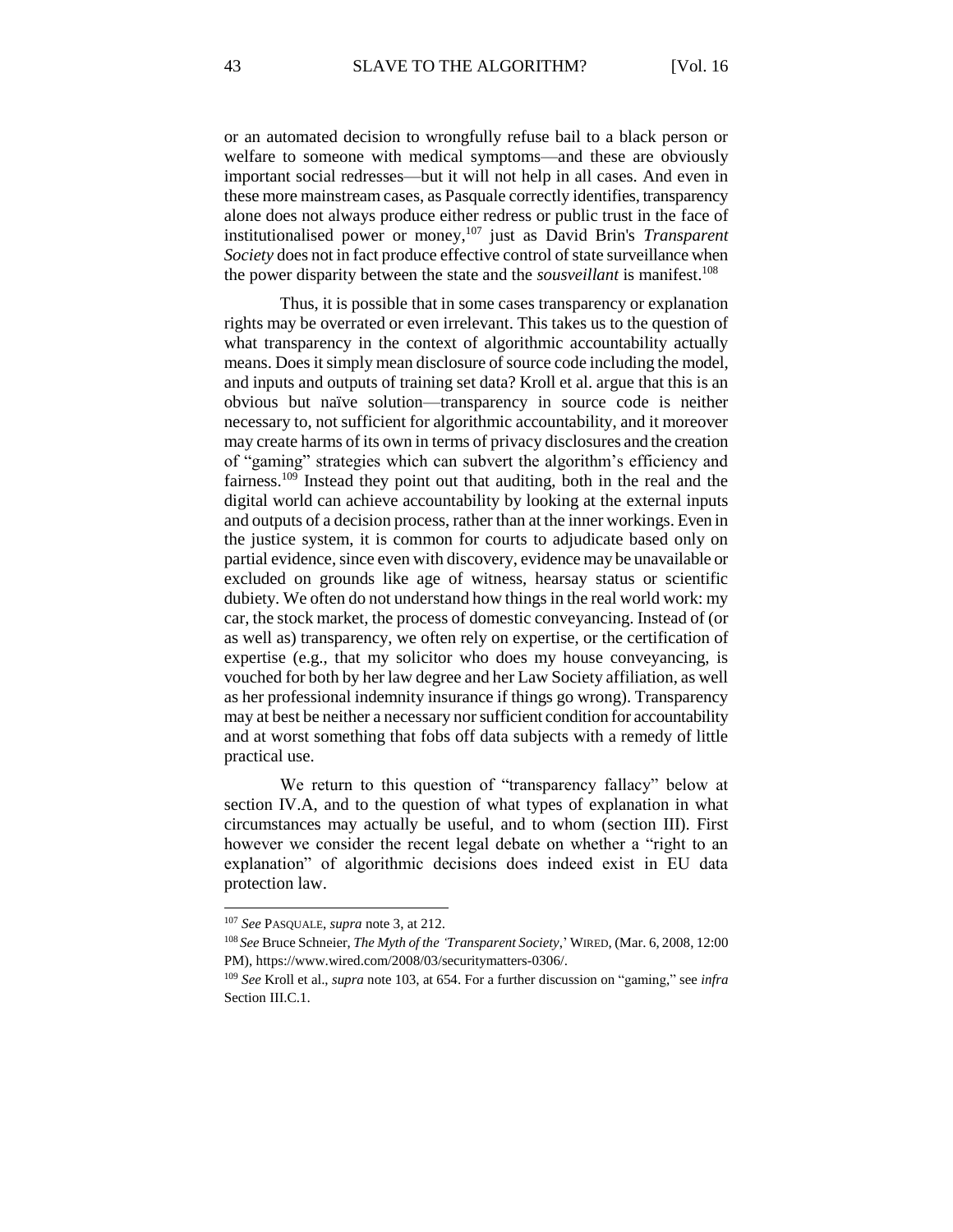or an automated decision to wrongfully refuse bail to a black person or welfare to someone with medical symptoms—and these are obviously important social redresses—but it will not help in all cases. And even in these more mainstream cases, as Pasquale correctly identifies, transparency alone does not always produce either redress or public trust in the face of institutionalised power or money, <sup>107</sup> just as David Brin's *Transparent Society* does not in fact produce effective control of state surveillance when the power disparity between the state and the *sousveillant* is manifest.<sup>108</sup>

Thus, it is possible that in some cases transparency or explanation rights may be overrated or even irrelevant. This takes us to the question of what transparency in the context of algorithmic accountability actually means. Does it simply mean disclosure of source code including the model, and inputs and outputs of training set data? Kroll et al. argue that this is an obvious but naïve solution—transparency in source code is neither necessary to, not sufficient for algorithmic accountability, and it moreover may create harms of its own in terms of privacy disclosures and the creation of "gaming" strategies which can subvert the algorithm's efficiency and fairness.<sup>109</sup> Instead they point out that auditing, both in the real and the digital world can achieve accountability by looking at the external inputs and outputs of a decision process, rather than at the inner workings. Even in the justice system, it is common for courts to adjudicate based only on partial evidence, since even with discovery, evidence may be unavailable or excluded on grounds like age of witness, hearsay status or scientific dubiety. We often do not understand how things in the real world work: my car, the stock market, the process of domestic conveyancing. Instead of (or as well as) transparency, we often rely on expertise, or the certification of expertise (e.g., that my solicitor who does my house conveyancing, is vouched for both by her law degree and her Law Society affiliation, as well as her professional indemnity insurance if things go wrong). Transparency may at best be neither a necessary nor sufficient condition for accountability and at worst something that fobs off data subjects with a remedy of little practical use.

We return to this question of "transparency fallacy" below at section IV.A, and to the question of what types of explanation in what circumstances may actually be useful, and to whom (section III). First however we consider the recent legal debate on whether a "right to an explanation" of algorithmic decisions does indeed exist in EU data protection law.

<sup>107</sup> *See* PASQUALE, *supra* not[e 3,](#page-2-0) at 212.

<sup>108</sup> *See* Bruce Schneier, *The Myth of the 'Transparent Society*,' WIRED, (Mar. 6, 2008, 12:00 PM), https://www.wired.com/2008/03/securitymatters-0306/.

<sup>109</sup> *See* Kroll et al., *supra* note [103,](#page-24-0) at 654. For a further discussion on "gaming," see *infra* Section III.C.1.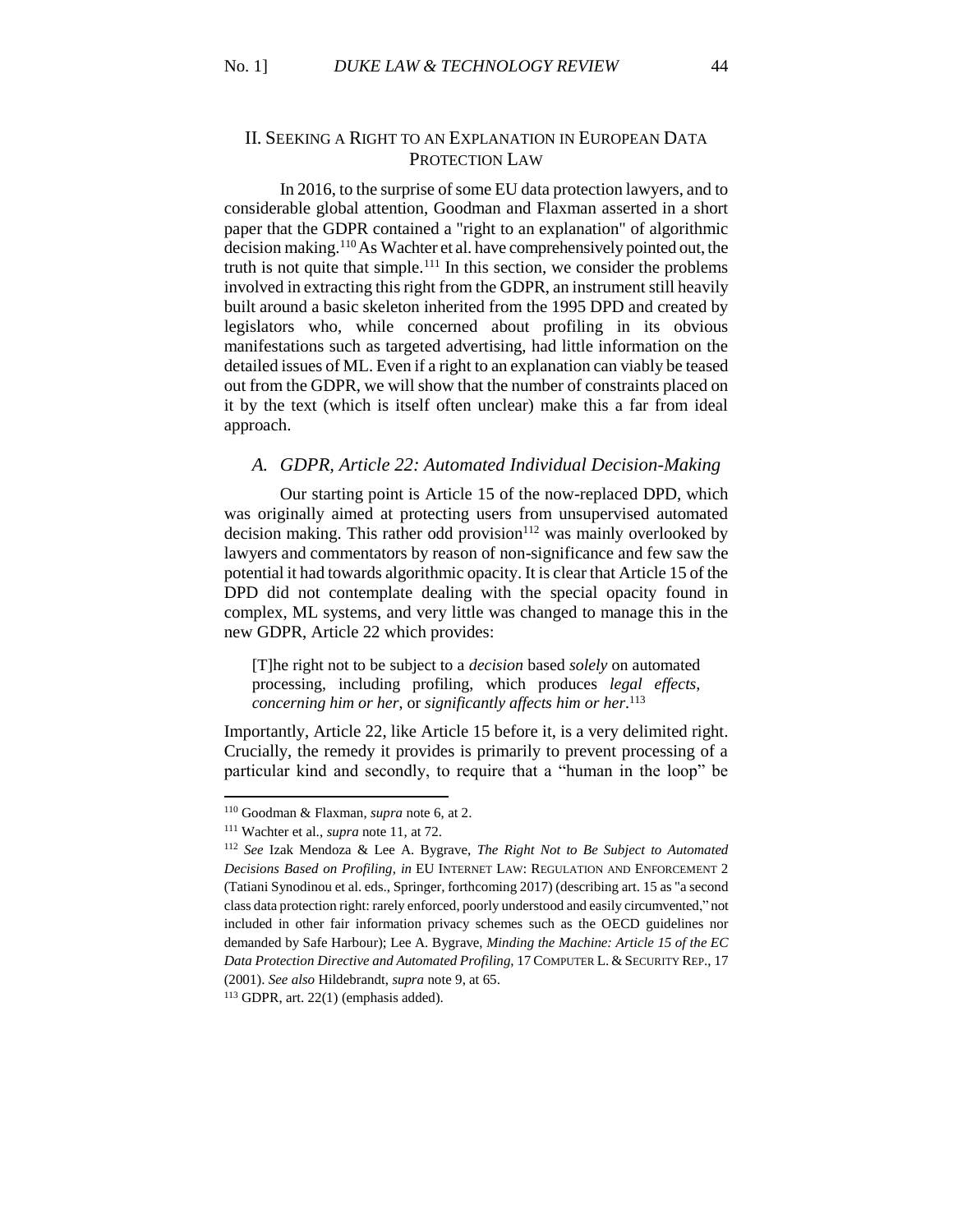## II. SEEKING A RIGHT TO AN EXPLANATION IN EUROPEAN DATA PROTECTION LAW

In 2016, to the surprise of some EU data protection lawyers, and to considerable global attention, Goodman and Flaxman asserted in a short paper that the GDPR contained a "right to an explanation" of algorithmic decision making.<sup>110</sup> As Wachter et al. have comprehensively pointed out, the truth is not quite that simple.<sup>111</sup> In this section, we consider the problems involved in extracting this right from the GDPR, an instrument still heavily built around a basic skeleton inherited from the 1995 DPD and created by legislators who, while concerned about profiling in its obvious manifestations such as targeted advertising, had little information on the detailed issues of ML. Even if a right to an explanation can viably be teased out from the GDPR, we will show that the number of constraints placed on it by the text (which is itself often unclear) make this a far from ideal approach.

#### <span id="page-26-0"></span>*A. GDPR, Article 22: Automated Individual Decision-Making*

Our starting point is Article 15 of the now-replaced DPD, which was originally aimed at protecting users from unsupervised automated decision making. This rather odd provision $112$  was mainly overlooked by lawyers and commentators by reason of non-significance and few saw the potential it had towards algorithmic opacity. It is clear that Article 15 of the DPD did not contemplate dealing with the special opacity found in complex, ML systems, and very little was changed to manage this in the new GDPR, Article 22 which provides:

[T]he right not to be subject to a *decision* based *solely* on automated processing, including profiling, which produces *legal effects, concerning him or her*, or *significantly affects him or her*. 113

Importantly, Article 22, like Article 15 before it, is a very delimited right. Crucially, the remedy it provides is primarily to prevent processing of a particular kind and secondly, to require that a "human in the loop" be

 $\overline{\phantom{a}}$ 

<sup>110</sup> Goodman & Flaxman, *supra* not[e 6,](#page-2-3) at 2.

<sup>111</sup> Wachter et al., *supra* not[e 11,](#page-3-0) at 72.

<sup>112</sup> *See* Izak Mendoza & Lee A. Bygrave, *The Right Not to Be Subject to Automated Decisions Based on Profiling*, *in* EU INTERNET LAW: REGULATION AND ENFORCEMENT 2 (Tatiani Synodinou et al. eds., Springer, forthcoming 2017) (describing art. 15 as "a second class data protection right: rarely enforced, poorly understood and easily circumvented," not included in other fair information privacy schemes such as the OECD guidelines nor demanded by Safe Harbour); Lee A. Bygrave, *Minding the Machine: Article 15 of the EC Data Protection Directive and Automated Profiling*, 17 COMPUTER L. & SECURITY REP., 17 (2001). *See also* Hildebrandt, *supra* not[e 9,](#page-2-2) at 65.

 $113$  GDPR, art. 22(1) (emphasis added).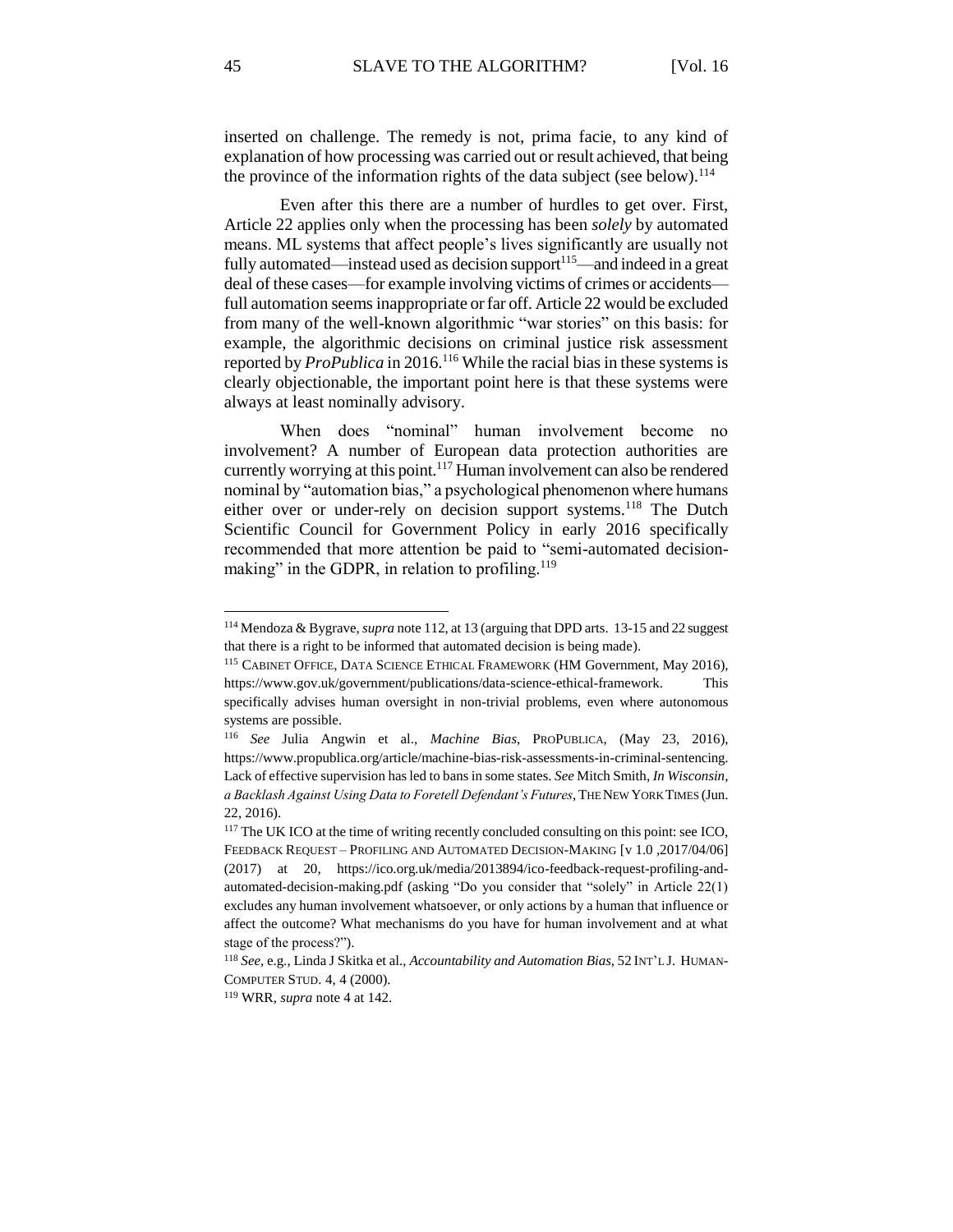inserted on challenge. The remedy is not, prima facie, to any kind of explanation of how processing was carried out or result achieved, that being the province of the information rights of the data subject (see below).<sup>114</sup>

Even after this there are a number of hurdles to get over. First, Article 22 applies only when the processing has been *solely* by automated means. ML systems that affect people's lives significantly are usually not fully automated—instead used as decision support $115$ —and indeed in a great deal of these cases—for example involving victims of crimes or accidents full automation seems inappropriate or far off. Article 22 would be excluded from many of the well-known algorithmic "war stories" on this basis: for example, the algorithmic decisions on criminal justice risk assessment reported by *ProPublica* in 2016.<sup>116</sup> While the racial bias in these systems is clearly objectionable, the important point here is that these systems were always at least nominally advisory.

When does "nominal" human involvement become no involvement? A number of European data protection authorities are currently worrying at this point.<sup>117</sup> Human involvement can also be rendered nominal by "automation bias," a psychological phenomenon where humans either over or under-rely on decision support systems.<sup>118</sup> The Dutch Scientific Council for Government Policy in early 2016 specifically recommended that more attention be paid to "semi-automated decisionmaking" in the GDPR, in relation to profiling. $119$ 

 $\overline{\phantom{a}}$ 

<sup>114</sup> Mendoza & Bygrave, *supra* not[e 112,](#page-26-0) at 13 (arguing that DPD arts. 13-15 and 22 suggest that there is a right to be informed that automated decision is being made).

<sup>115</sup> CABINET OFFICE, DATA SCIENCE ETHICAL FRAMEWORK (HM Government, May 2016), https://www.gov.uk/government/publications/data-science-ethical-framework. This specifically advises human oversight in non-trivial problems, even where autonomous systems are possible.

<sup>116</sup> *See* Julia Angwin et al., *Machine Bias*, PROPUBLICA, (May 23, 2016), https://www.propublica.org/article/machine-bias-risk-assessments-in-criminal-sentencing. Lack of effective supervision has led to bans in some states. *See* Mitch Smith, *In Wisconsin, a Backlash Against Using Data to Foretell Defendant's Futures*, THE NEW YORK TIMES (Jun. 22, 2016).

<sup>&</sup>lt;sup>117</sup> The UK ICO at the time of writing recently concluded consulting on this point: see ICO, FEEDBACK REQUEST – PROFILING AND AUTOMATED DECISION-MAKING [v 1.0 ,2017/04/06] (2017) at 20, [https://ico.org.uk/media/2013894/ico-feedback-request-profiling-and](https://ico.org.uk/media/2013894/ico-feedback-request-profiling-and-automated-decision-making.pdf)[automated-decision-making.pdf](https://ico.org.uk/media/2013894/ico-feedback-request-profiling-and-automated-decision-making.pdf) (asking "Do you consider that "solely" in Article 22(1) excludes any human involvement whatsoever, or only actions by a human that influence or affect the outcome? What mechanisms do you have for human involvement and at what stage of the process?").

<sup>118</sup> *See,* e.g., Linda J Skitka et al., *Accountability and Automation Bias*, 52 INT'L J. HUMAN-COMPUTER STUD. 4, 4 (2000).

<sup>119</sup> WRR, *supra* not[e 4](#page-2-1) at 142.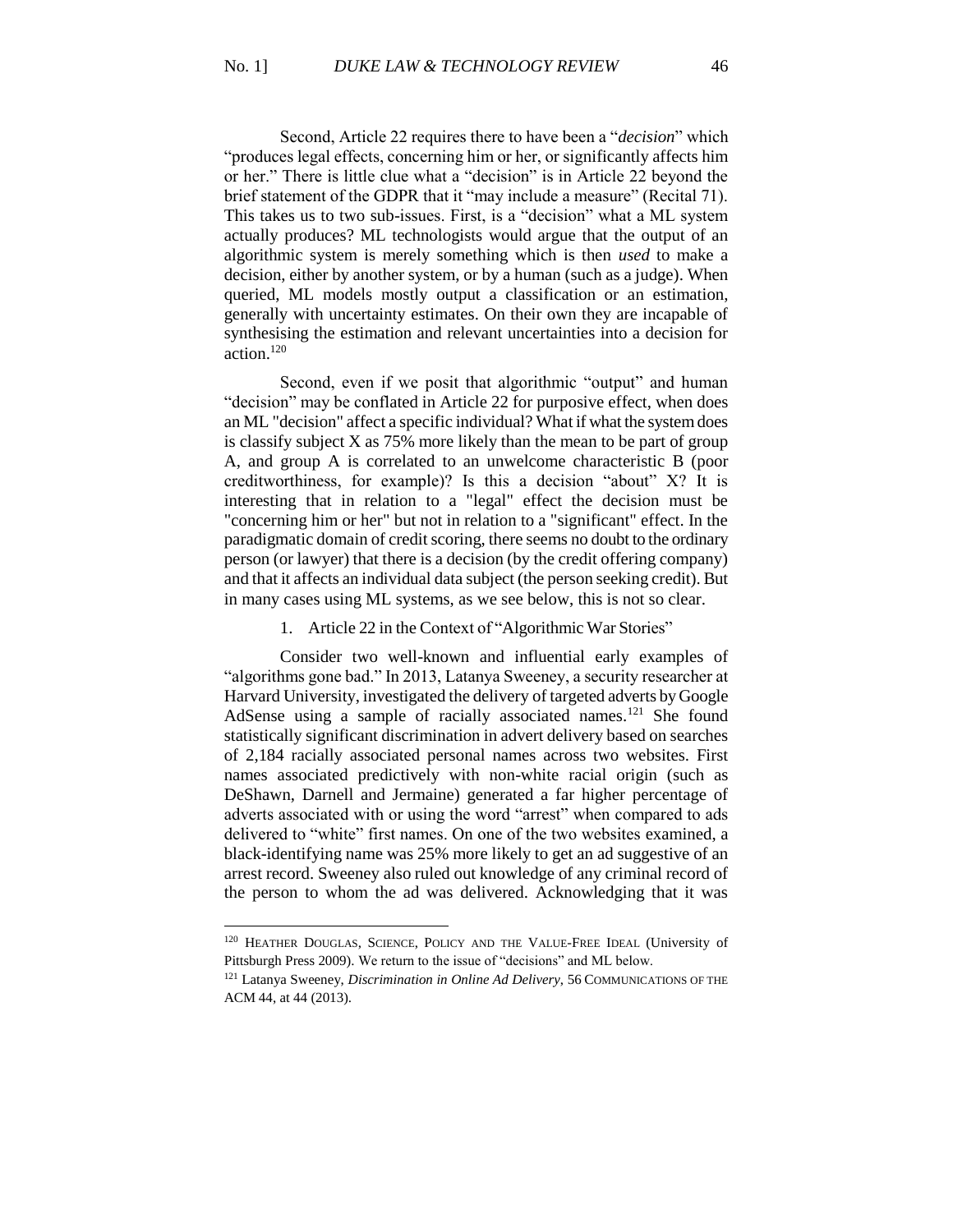Second, Article 22 requires there to have been a "*decision*" which "produces legal effects, concerning him or her, or significantly affects him or her." There is little clue what a "decision" is in Article 22 beyond the brief statement of the GDPR that it "may include a measure" (Recital 71). This takes us to two sub-issues. First, is a "decision" what a ML system actually produces? ML technologists would argue that the output of an algorithmic system is merely something which is then *used* to make a decision, either by another system, or by a human (such as a judge). When queried, ML models mostly output a classification or an estimation, generally with uncertainty estimates. On their own they are incapable of synthesising the estimation and relevant uncertainties into a decision for action.<sup>120</sup>

Second, even if we posit that algorithmic "output" and human "decision" may be conflated in Article 22 for purposive effect, when does an ML "decision" affect a specific individual? What if what the system does is classify subject X as 75% more likely than the mean to be part of group A, and group A is correlated to an unwelcome characteristic B (poor creditworthiness, for example)? Is this a decision "about" X? It is interesting that in relation to a "legal" effect the decision must be "concerning him or her" but not in relation to a "significant" effect. In the paradigmatic domain of credit scoring, there seems no doubt to the ordinary person (or lawyer) that there is a decision (by the credit offering company) and that it affects an individual data subject (the person seeking credit). But in many cases using ML systems, as we see below, this is not so clear.

### 1. Article 22 in the Context of "Algorithmic War Stories"

Consider two well-known and influential early examples of "algorithms gone bad." In 2013, Latanya Sweeney, a security researcher at Harvard University, investigated the delivery of targeted adverts by Google AdSense using a sample of racially associated names.<sup>121</sup> She found statistically significant discrimination in advert delivery based on searches of 2,184 racially associated personal names across two websites. First names associated predictively with non-white racial origin (such as DeShawn, Darnell and Jermaine) generated a far higher percentage of adverts associated with or using the word "arrest" when compared to ads delivered to "white" first names. On one of the two websites examined, a black-identifying name was 25% more likely to get an ad suggestive of an arrest record. Sweeney also ruled out knowledge of any criminal record of the person to whom the ad was delivered. Acknowledging that it was

<sup>120</sup> HEATHER DOUGLAS, SCIENCE, POLICY AND THE VALUE-FREE IDEAL (University of Pittsburgh Press 2009). We return to the issue of "decisions" and ML below.

<sup>121</sup> Latanya Sweeney, *Discrimination in Online Ad Delivery*, 56 COMMUNICATIONS OF THE ACM 44, at 44 (2013).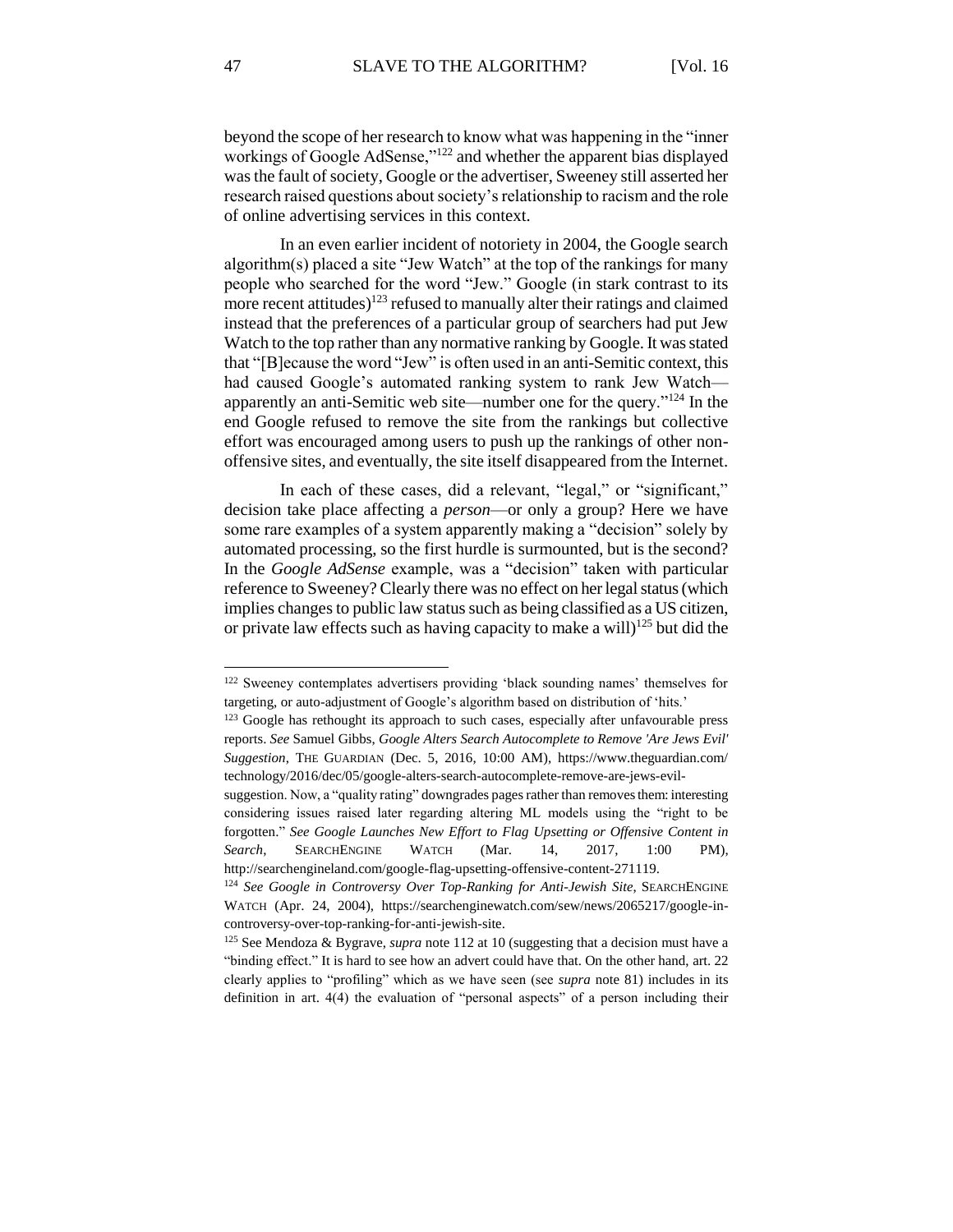beyond the scope of her research to know what was happening in the "inner workings of Google AdSense,"<sup>122</sup> and whether the apparent bias displayed was the fault of society, Google or the advertiser, Sweeney still asserted her research raised questions about society's relationship to racism and the role of online advertising services in this context.

In an even earlier incident of notoriety in 2004, the Google search algorithm(s) placed a site "Jew Watch" at the top of the rankings for many people who searched for the word "Jew." Google (in stark contrast to its more recent attitudes)<sup>123</sup> refused to manually alter their ratings and claimed instead that the preferences of a particular group of searchers had put Jew Watch to the top rather than any normative ranking by Google. It was stated that "[B]ecause the word "Jew" is often used in an anti-Semitic context, this had caused Google's automated ranking system to rank Jew Watch apparently an anti-Semitic web site—number one for the query."<sup>124</sup> In the end Google refused to remove the site from the rankings but collective effort was encouraged among users to push up the rankings of other nonoffensive sites, and eventually, the site itself disappeared from the Internet.

In each of these cases, did a relevant, "legal," or "significant," decision take place affecting a *person*—or only a group? Here we have some rare examples of a system apparently making a "decision" solely by automated processing, so the first hurdle is surmounted, but is the second? In the *Google AdSense* example, was a "decision" taken with particular reference to Sweeney? Clearly there was no effect on her legal status (which implies changes to public law status such as being classified as a US citizen, or private law effects such as having capacity to make a will)<sup>125</sup> but did the

<sup>122</sup> Sweeney contemplates advertisers providing 'black sounding names' themselves for targeting, or auto-adjustment of Google's algorithm based on distribution of 'hits.'

<sup>&</sup>lt;sup>123</sup> Google has rethought its approach to such cases, especially after unfavourable press reports. *See* Samuel Gibbs, *Google Alters Search Autocomplete to Remove 'Are Jews Evil' Suggestion*, THE GUARDIAN (Dec. 5, 2016, 10:00 AM), [https://www.theguardian.com/](https://www.theguardian.com/%0btechnology/2016/dec/05/google-alters-search-autocomplete-remove-are-jews-evil-suggestion) [technology/2016/dec/05/google-alters-search-autocomplete-remove-are-jews-evil-](https://www.theguardian.com/%0btechnology/2016/dec/05/google-alters-search-autocomplete-remove-are-jews-evil-suggestion)

[suggestion.](https://www.theguardian.com/%0btechnology/2016/dec/05/google-alters-search-autocomplete-remove-are-jews-evil-suggestion) Now, a "quality rating" downgrades pages rather than removes them: interesting considering issues raised later regarding altering ML models using the "right to be forgotten." *See Google Launches New Effort to Flag Upsetting or Offensive Content in Search*, SEARCHENGINE WATCH (Mar. 14, 2017, 1:00 PM), http://searchengineland.com/google-flag-upsetting-offensive-content-271119.

<sup>124</sup> *See Google in Controversy Over Top-Ranking for Anti-Jewish Site*, SEARCHENGINE WATCH (Apr. 24, 2004), https://searchenginewatch.com/sew/news/2065217/google-incontroversy-over-top-ranking-for-anti-jewish-site.

<sup>125</sup> See Mendoza & Bygrave, *supra* not[e 112](#page-26-0) a[t 10](#page-3-1) (suggesting that a decision must have a "binding effect." It is hard to see how an advert could have that. On the other hand, art. 22 clearly applies to "profiling" which as we have seen (see *supra* note [81\)](#page-21-1) includes in its definition in art. 4(4) the evaluation of "personal aspects" of a person including their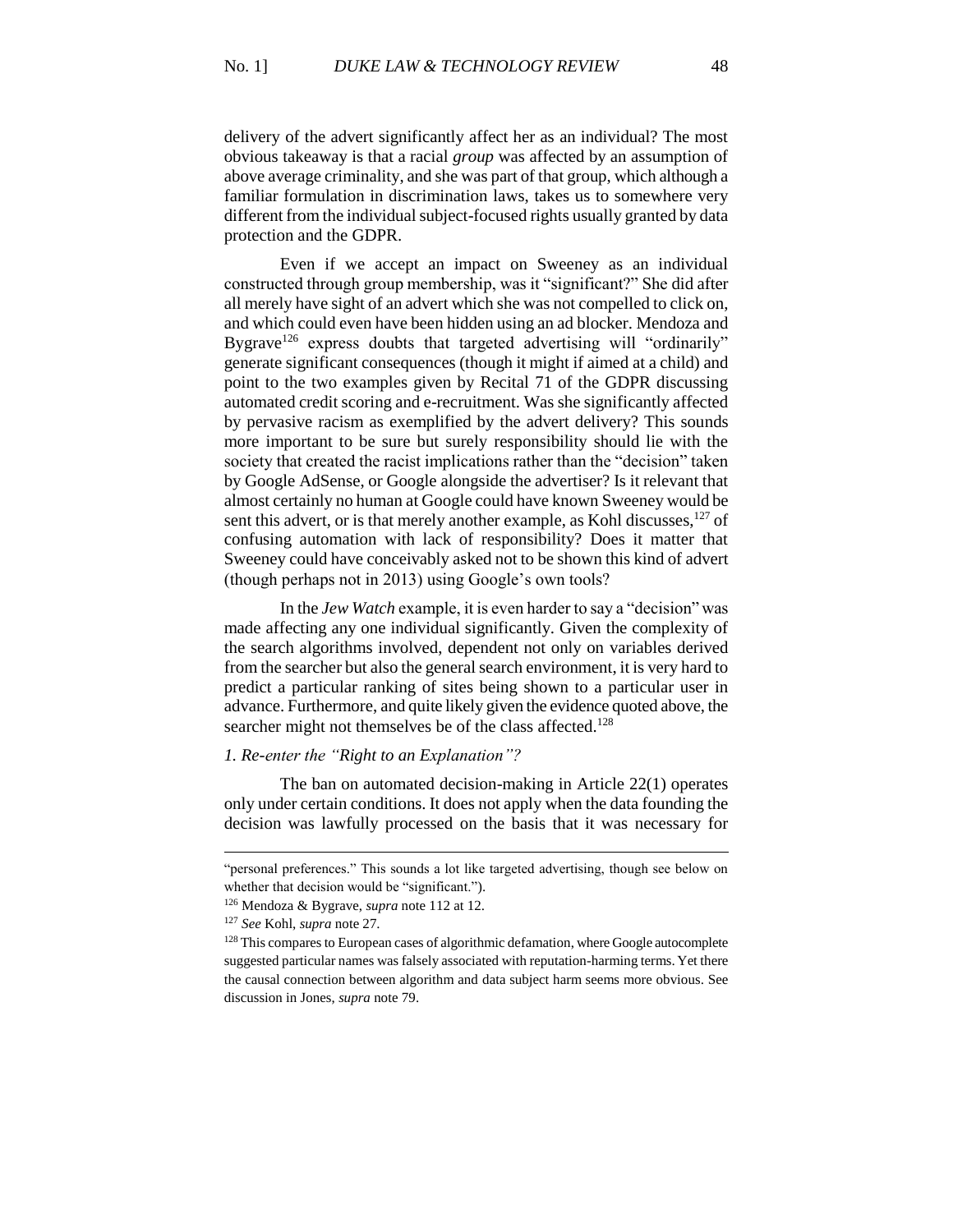delivery of the advert significantly affect her as an individual? The most obvious takeaway is that a racial *group* was affected by an assumption of above average criminality, and she was part of that group, which although a familiar formulation in discrimination laws, takes us to somewhere very different from the individual subject-focused rights usually granted by data protection and the GDPR.

Even if we accept an impact on Sweeney as an individual constructed through group membership, was it "significant?" She did after all merely have sight of an advert which she was not compelled to click on, and which could even have been hidden using an ad blocker. Mendoza and Bygrave<sup>126</sup> express doubts that targeted advertising will "ordinarily" generate significant consequences (though it might if aimed at a child) and point to the two examples given by Recital 71 of the GDPR discussing automated credit scoring and e-recruitment. Was she significantly affected by pervasive racism as exemplified by the advert delivery? This sounds more important to be sure but surely responsibility should lie with the society that created the racist implications rather than the "decision" taken by Google AdSense, or Google alongside the advertiser? Is it relevant that almost certainly no human at Google could have known Sweeney would be sent this advert, or is that merely another example, as Kohl discusses,  $^{127}$  of confusing automation with lack of responsibility? Does it matter that Sweeney could have conceivably asked not to be shown this kind of advert (though perhaps not in 2013) using Google's own tools?

In the *Jew Watch* example, it is even harder to say a "decision" was made affecting any one individual significantly. Given the complexity of the search algorithms involved, dependent not only on variables derived from the searcher but also the general search environment, it is very hard to predict a particular ranking of sites being shown to a particular user in advance. Furthermore, and quite likely given the evidence quoted above, the searcher might not themselves be of the class affected.<sup>128</sup>

## *1. Re-enter the "Right to an Explanation"?*

The ban on automated decision-making in Article 22(1) operates only under certain conditions. It does not apply when the data founding the decision was lawfully processed on the basis that it was necessary for

<sup>&</sup>quot;personal preferences." This sounds a lot like targeted advertising, though see below on whether that decision would be "significant.").

<sup>126</sup> Mendoza & Bygrave, *supra* not[e 112](#page-26-0) at 12.

<sup>127</sup> *See* Kohl, *supra* note 27.

<sup>&</sup>lt;sup>128</sup> This compares to European cases of algorithmic defamation, where Google autocomplete suggested particular names was falsely associated with reputation-harming terms. Yet there the causal connection between algorithm and data subject harm seems more obvious. See discussion in Jones, *supra* note [79.](#page-20-0)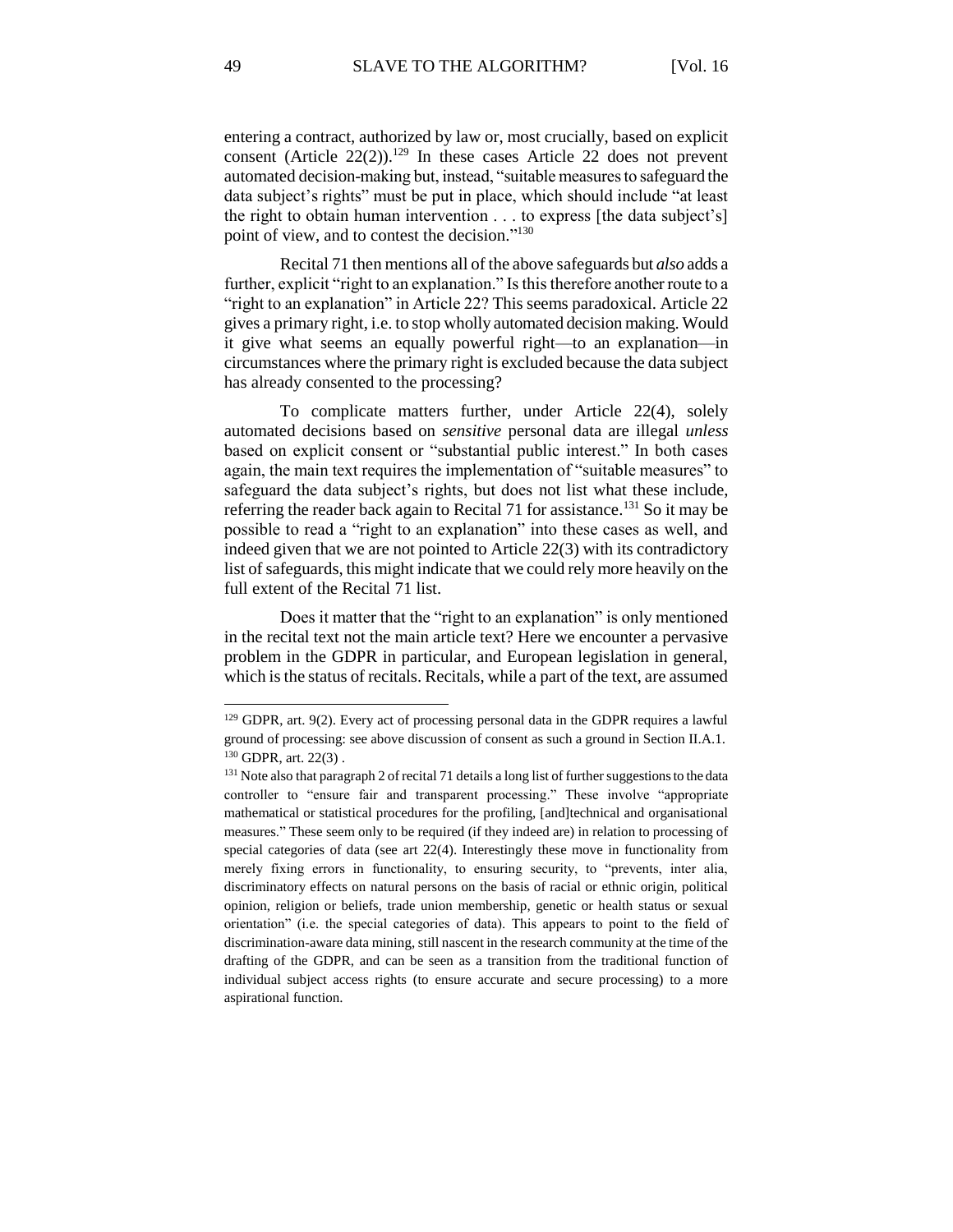entering a contract, authorized by law or, most crucially, based on explicit consent (Article  $22(2)$ ).<sup>129</sup> In these cases Article 22 does not prevent automated decision-making but, instead, "suitable measures to safeguard the data subject's rights" must be put in place, which should include "at least the right to obtain human intervention . . . to express [the data subject's] point of view, and to contest the decision."<sup>130</sup>

Recital 71 then mentions all of the above safeguards but *also* adds a further, explicit "right to an explanation." Is this therefore another route to a "right to an explanation" in Article 22? This seems paradoxical. Article 22 gives a primary right, i.e. to stop wholly automated decision making. Would it give what seems an equally powerful right—to an explanation—in circumstances where the primary right is excluded because the data subject has already consented to the processing?

To complicate matters further, under Article 22(4), solely automated decisions based on *sensitive* personal data are illegal *unless* based on explicit consent or "substantial public interest." In both cases again, the main text requires the implementation of "suitable measures" to safeguard the data subject's rights, but does not list what these include, referring the reader back again to Recital 71 for assistance.<sup>131</sup> So it may be possible to read a "right to an explanation" into these cases as well, and indeed given that we are not pointed to Article 22(3) with its contradictory list of safeguards, this might indicate that we could rely more heavily on the full extent of the Recital 71 list.

Does it matter that the "right to an explanation" is only mentioned in the recital text not the main article text? Here we encounter a pervasive problem in the GDPR in particular, and European legislation in general, which is the status of recitals. Recitals, while a part of the text, are assumed

<sup>129</sup> GDPR, art. 9(2). Every act of processing personal data in the GDPR requires a lawful ground of processing: see above discussion of consent as such a ground in Section II.A.1. <sup>130</sup> GDPR, art. 22(3).

<sup>&</sup>lt;sup>131</sup> Note also that paragraph 2 of recital 71 details a long list of further suggestions to the data controller to "ensure fair and transparent processing." These involve "appropriate mathematical or statistical procedures for the profiling, [and]technical and organisational measures." These seem only to be required (if they indeed are) in relation to processing of special categories of data (see art 22(4). Interestingly these move in functionality from merely fixing errors in functionality, to ensuring security, to "prevents, inter alia, discriminatory effects on natural persons on the basis of racial or ethnic origin, political opinion, religion or beliefs, trade union membership, genetic or health status or sexual orientation" (i.e. the special categories of data). This appears to point to the field of discrimination-aware data mining, still nascent in the research community at the time of the drafting of the GDPR, and can be seen as a transition from the traditional function of individual subject access rights (to ensure accurate and secure processing) to a more aspirational function.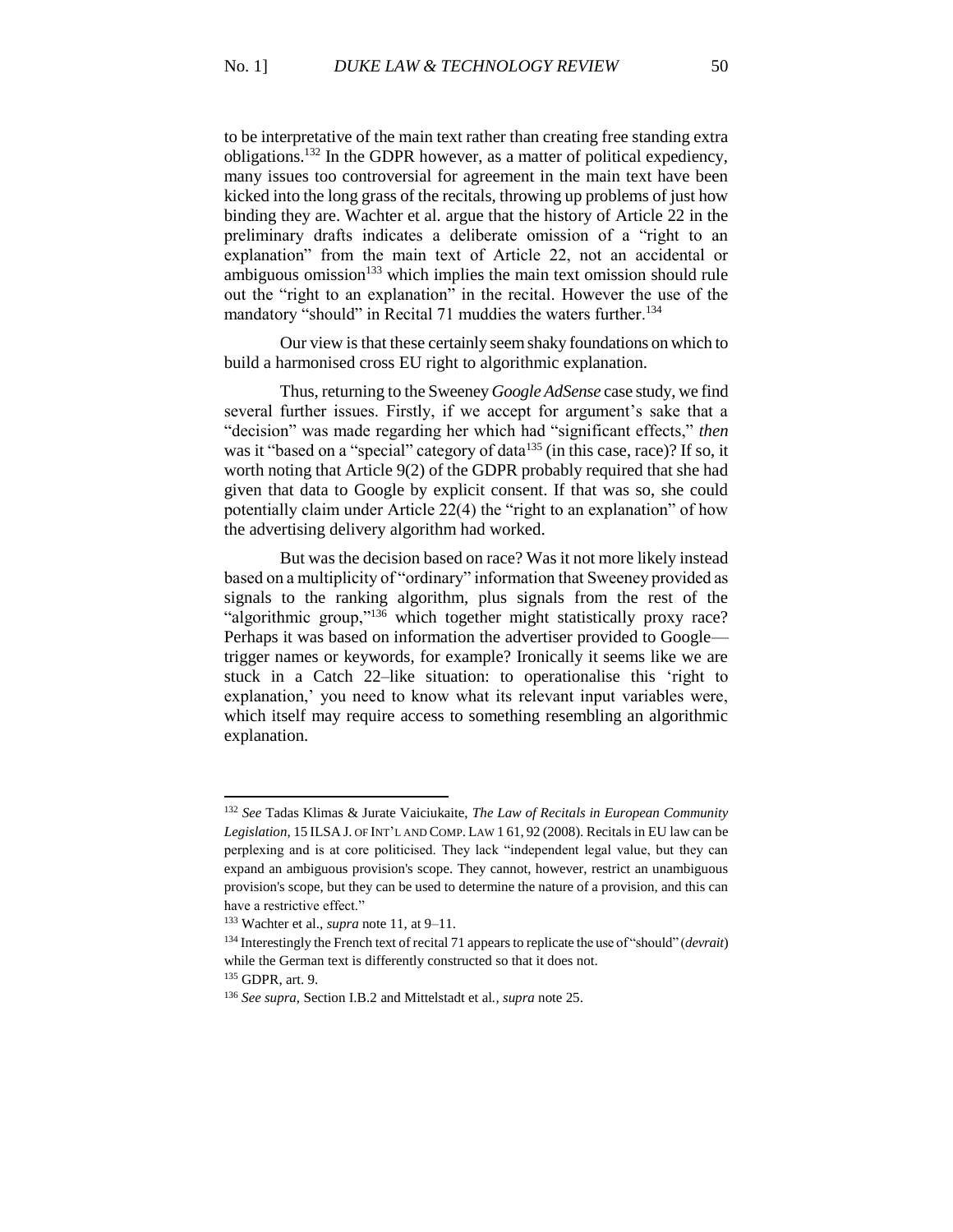<span id="page-32-0"></span>to be interpretative of the main text rather than creating free standing extra obligations.<sup>132</sup> In the GDPR however, as a matter of political expediency, many issues too controversial for agreement in the main text have been kicked into the long grass of the recitals, throwing up problems of just how binding they are. Wachter et al. argue that the history of Article 22 in the preliminary drafts indicates a deliberate omission of a "right to an explanation" from the main text of Article 22, not an accidental or ambiguous omission $133$  which implies the main text omission should rule out the "right to an explanation" in the recital. However the use of the mandatory "should" in Recital 71 muddies the waters further.<sup>134</sup>

Our view is that these certainly seem shaky foundations on which to build a harmonised cross EU right to algorithmic explanation.

Thus, returning to the Sweeney *Google AdSense* case study, we find several further issues. Firstly, if we accept for argument's sake that a "decision" was made regarding her which had "significant effects," *then*  was it "based on a "special" category of data<sup>135</sup> (in this case, race)? If so, it worth noting that Article 9(2) of the GDPR probably required that she had given that data to Google by explicit consent. If that was so, she could potentially claim under Article 22(4) the "right to an explanation" of how the advertising delivery algorithm had worked.

But was the decision based on race? Was it not more likely instead based on a multiplicity of "ordinary" information that Sweeney provided as signals to the ranking algorithm, plus signals from the rest of the "algorithmic group,"<sup>136</sup> which together might statistically proxy race? Perhaps it was based on information the advertiser provided to Google trigger names or keywords, for example? Ironically it seems like we are stuck in a Catch 22–like situation: to operationalise this 'right to explanation,' you need to know what its relevant input variables were, which itself may require access to something resembling an algorithmic explanation.

<sup>132</sup> *See* Tadas Klimas & Jurate Vaiciukaite, *The Law of Recitals in European Community Legislation*, 15 ILSA J. OF INT'L AND COMP. LAW 1 61, 92 (2008). Recitals in EU law can be perplexing and is at core politicised. They lack "independent legal value, but they can expand an ambiguous provision's scope. They cannot, however, restrict an unambiguous provision's scope, but they can be used to determine the nature of a provision, and this can have a restrictive effect."

<sup>133</sup> Wachter et al., *supra* not[e 11,](#page-3-0) at 9–11.

<sup>134</sup> Interestingly the French text of recital 71 appears to replicate the use of "should" (*devrait*) while the German text is differently constructed so that it does not.

<sup>135</sup> GDPR, art. 9.

<sup>136</sup> *See supra*, Section I.B.2 and Mittelstadt et al*., supra* not[e 25.](#page-9-0)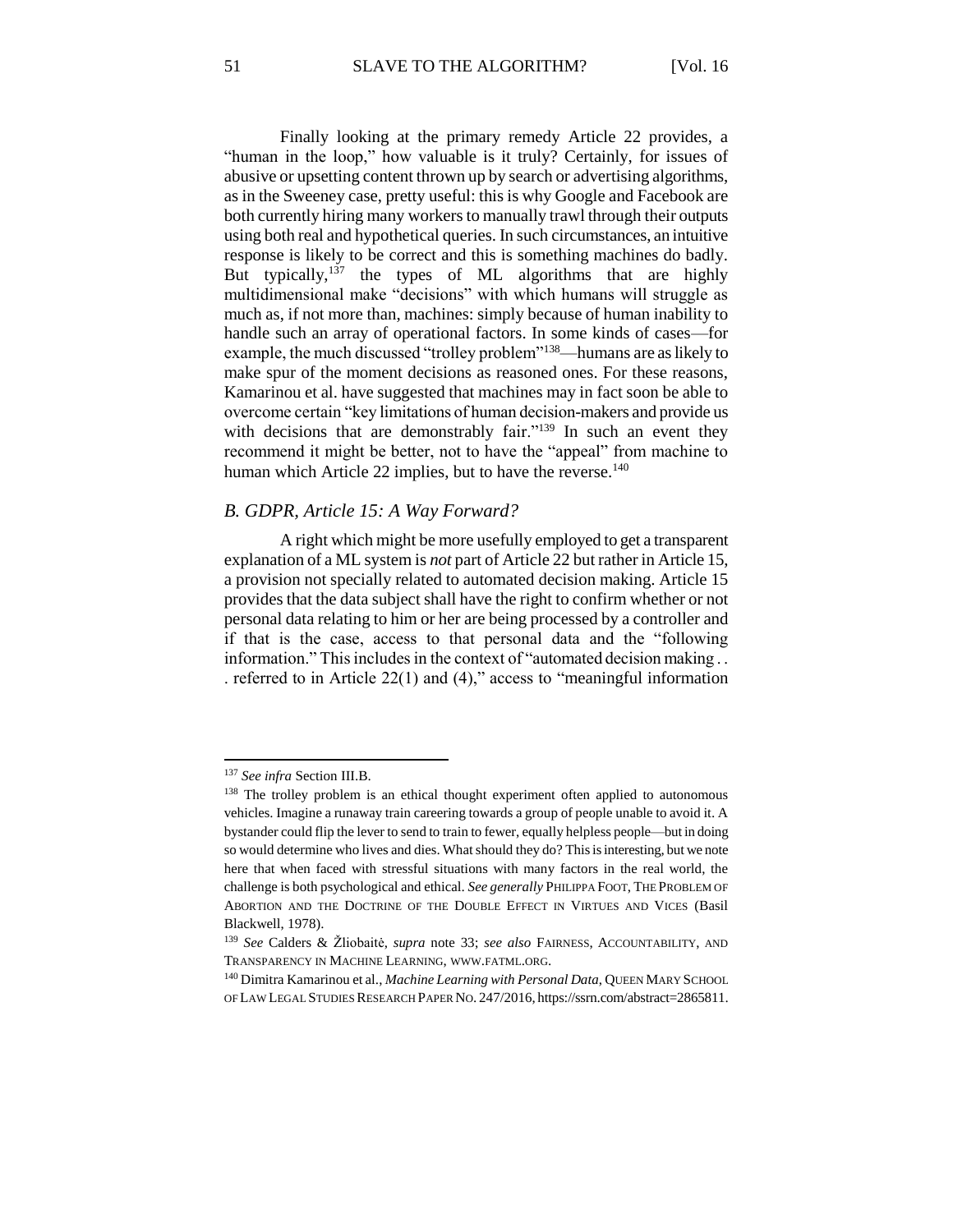Finally looking at the primary remedy Article 22 provides, a "human in the loop," how valuable is it truly? Certainly, for issues of abusive or upsetting content thrown up by search or advertising algorithms, as in the Sweeney case, pretty useful: this is why Google and Facebook are both currently hiring many workers to manually trawl through their outputs using both real and hypothetical queries. In such circumstances, an intuitive response is likely to be correct and this is something machines do badly. But typically, $137$  the types of ML algorithms that are highly multidimensional make "decisions" with which humans will struggle as much as, if not more than, machines: simply because of human inability to handle such an array of operational factors. In some kinds of cases—for example, the much discussed "trolley problem"<sup>138</sup>—humans are as likely to make spur of the moment decisions as reasoned ones. For these reasons, Kamarinou et al. have suggested that machines may in fact soon be able to overcome certain "key limitations of human decision-makers and provide us with decisions that are demonstrably fair."<sup>139</sup> In such an event they recommend it might be better, not to have the "appeal" from machine to human which Article 22 implies, but to have the reverse.<sup>140</sup>

### *B. GDPR, Article 15: A Way Forward?*

A right which might be more usefully employed to get a transparent explanation of a ML system is *not* part of Article 22 but rather in Article 15, a provision not specially related to automated decision making. Article 15 provides that the data subject shall have the right to confirm whether or not personal data relating to him or her are being processed by a controller and if that is the case, access to that personal data and the "following information." This includes in the context of "automated decision making . . . referred to in Article 22(1) and (4)," access to "meaningful information

<sup>137</sup> *See infra* Section III.B.

<sup>&</sup>lt;sup>138</sup> The trolley problem is an ethical thought experiment often applied to autonomous vehicles. Imagine a runaway train careering towards a group of people unable to avoid it. A bystander could flip the lever to send to train to fewer, equally helpless people—but in doing so would determine who lives and dies. What should they do? This is interesting, but we note here that when faced with stressful situations with many factors in the real world, the challenge is both psychological and ethical. *See generally* PHILIPPA FOOT, THE PROBLEM OF ABORTION AND THE DOCTRINE OF THE DOUBLE EFFECT IN VIRTUES AND VICES (Basil Blackwell, 1978).

<sup>139</sup> *See* Calders & Žliobaitė, *supra* note [33;](#page-10-0) *see also* FAIRNESS, ACCOUNTABILITY, AND TRANSPARENCY IN MACHINE LEARNING, WWW.FATML.ORG.

<sup>140</sup> Dimitra Kamarinou et al., *Machine Learning with Personal Data*, QUEEN MARY SCHOOL OF LAW LEGAL STUDIES RESEARCH PAPER NO. 247/2016, https://ssrn.com/abstract=2865811.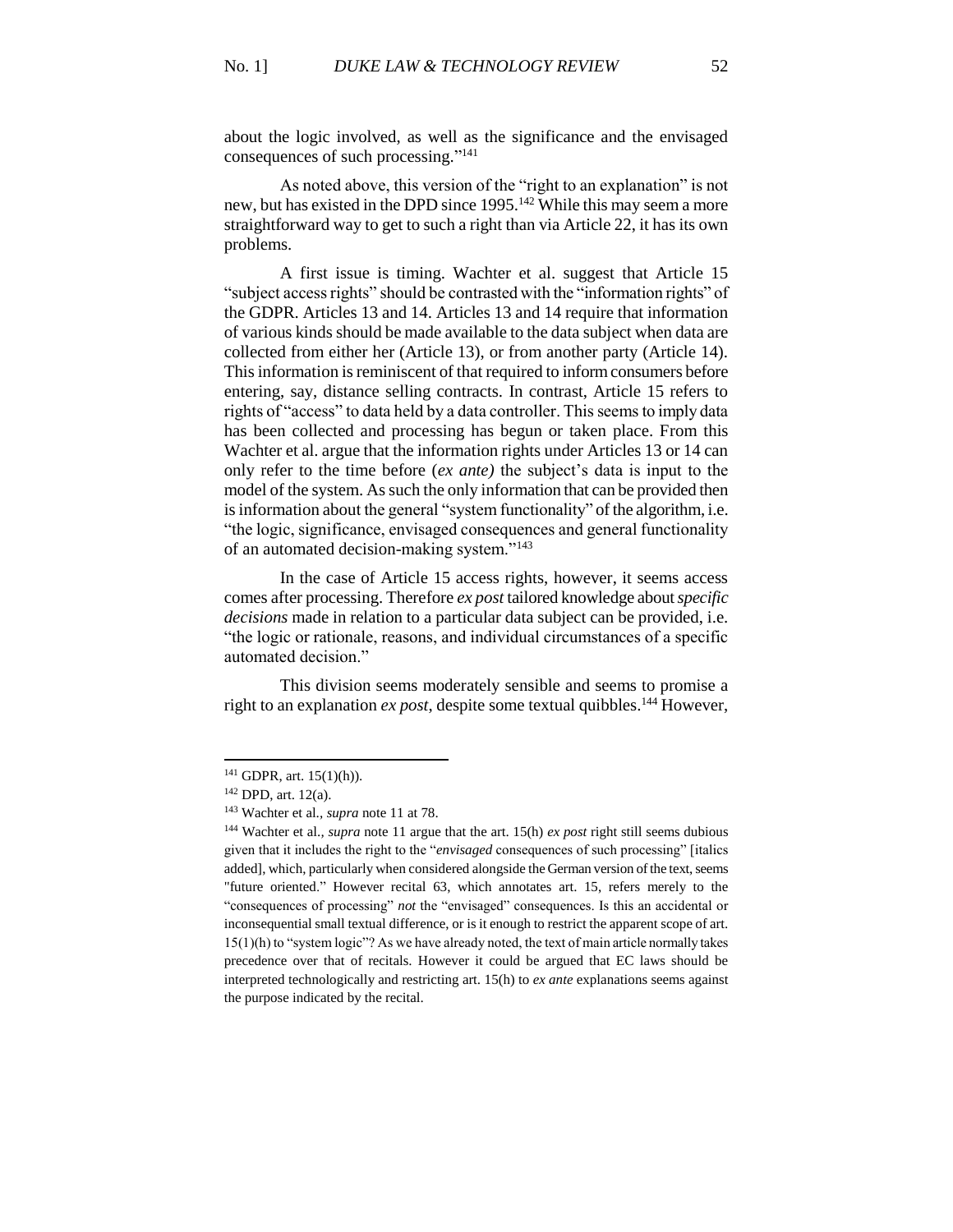about the logic involved, as well as the significance and the envisaged consequences of such processing." 141

As noted above, this version of the "right to an explanation" is not new, but has existed in the DPD since 1995.<sup>142</sup> While this may seem a more straightforward way to get to such a right than via Article 22, it has its own problems.

A first issue is timing. Wachter et al. suggest that Article 15 "subject access rights" should be contrasted with the "information rights" of the GDPR. Articles 13 and 14. Articles 13 and 14 require that information of various kinds should be made available to the data subject when data are collected from either her (Article 13), or from another party (Article 14). This information is reminiscent of that required to inform consumers before entering, say, distance selling contracts. In contrast, Article 15 refers to rights of "access" to data held by a data controller. This seems to imply data has been collected and processing has begun or taken place. From this Wachter et al. argue that the information rights under Articles 13 or 14 can only refer to the time before (*ex ante)* the subject's data is input to the model of the system. As such the only information that can be provided then is information about the general "system functionality" of the algorithm, i.e. "the logic, significance, envisaged consequences and general functionality of an automated decision-making system."<sup>143</sup>

In the case of Article 15 access rights, however, it seems access comes after processing. Therefore *ex post* tailored knowledge about *specific decisions* made in relation to a particular data subject can be provided, i.e. "the logic or rationale, reasons, and individual circumstances of a specific automated decision."

This division seems moderately sensible and seems to promise a right to an explanation *ex post*, despite some textual quibbles.<sup>144</sup> However,

<sup>141</sup> GDPR, art. 15(1)(h)).

<sup>142</sup> DPD, art. 12(a).

<sup>143</sup> Wachter et al.*, supra* not[e 11](#page-3-0) at 78.

<sup>144</sup> Wachter et al.*, supra* note [11](#page-3-0) argue that the art. 15(h) *ex post* right still seems dubious given that it includes the right to the "*envisaged* consequences of such processing" [italics added], which, particularly when considered alongside the German version of the text, seems "future oriented." However recital 63, which annotates art. 15, refers merely to the "consequences of processing" *not* the "envisaged" consequences. Is this an accidental or inconsequential small textual difference, or is it enough to restrict the apparent scope of art. 15(1)(h) to "system logic"? As we have already noted, the text of main article normally takes precedence over that of recitals. However it could be argued that EC laws should be interpreted technologically and restricting art. 15(h) to *ex ante* explanations seems against the purpose indicated by the recital.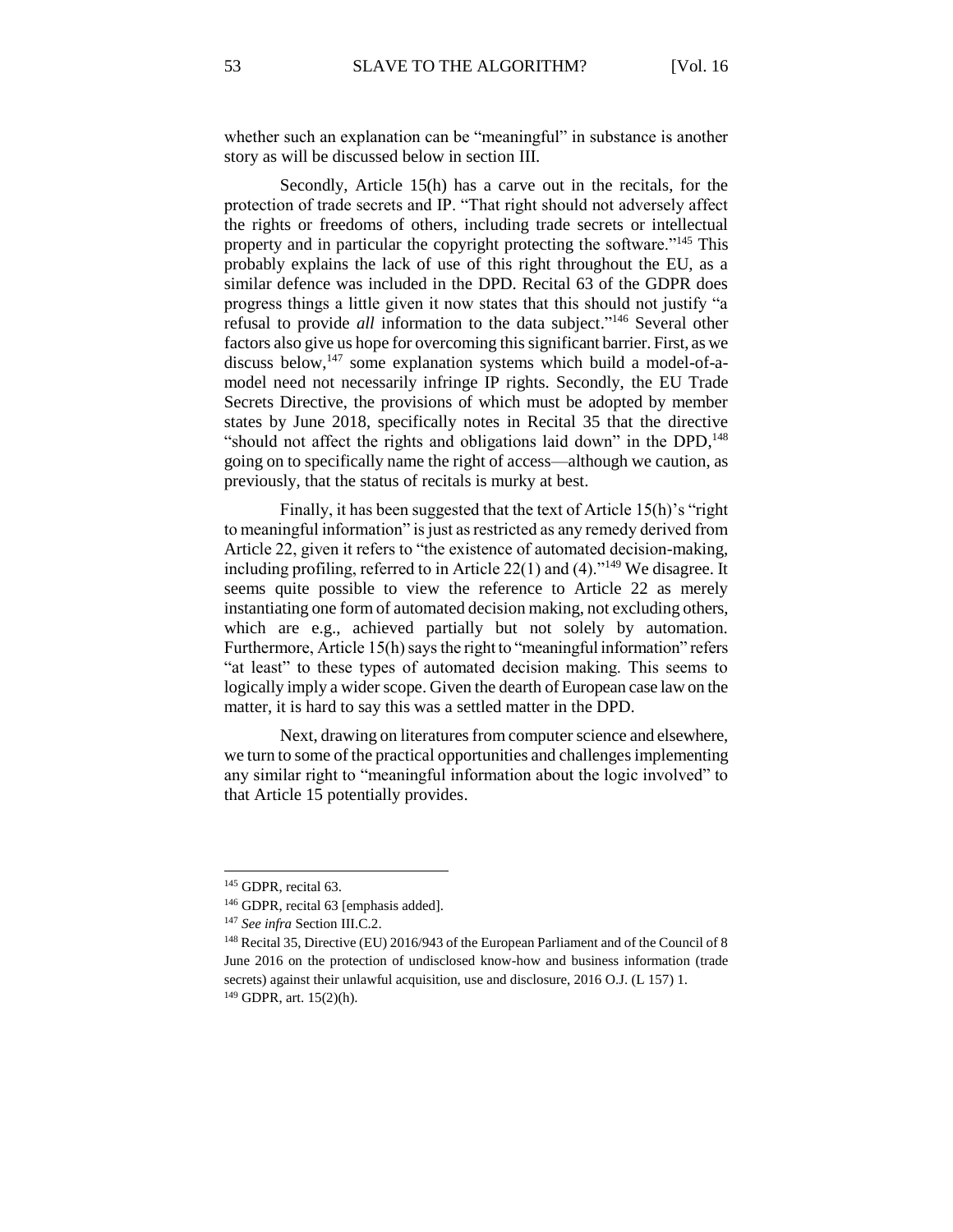whether such an explanation can be "meaningful" in substance is another story as will be discussed below in section III.

Secondly, Article 15(h) has a carve out in the recitals, for the protection of trade secrets and IP. "That right should not adversely affect the rights or freedoms of others, including trade secrets or intellectual property and in particular the copyright protecting the software."<sup>145</sup> This probably explains the lack of use of this right throughout the EU, as a similar defence was included in the DPD. Recital 63 of the GDPR does progress things a little given it now states that this should not justify "a refusal to provide *all* information to the data subject." <sup>146</sup> Several other factors also give us hope for overcoming this significant barrier. First, as we discuss below, $147$  some explanation systems which build a model-of-amodel need not necessarily infringe IP rights. Secondly, the EU Trade Secrets Directive, the provisions of which must be adopted by member states by June 2018, specifically notes in Recital 35 that the directive "should not affect the rights and obligations laid down" in the DPD,<sup>148</sup> going on to specifically name the right of access—although we caution, as previously, that the status of recitals is murky at best.

Finally, it has been suggested that the text of Article 15(h)'s "right to meaningful information" is just as restricted as any remedy derived from Article 22, given it refers to "the existence of automated decision-making, including profiling, referred to in Article  $22(1)$  and  $(4)$ ."<sup>149</sup> We disagree. It seems quite possible to view the reference to Article 22 as merely instantiating one form of automated decision making, not excluding others, which are e.g., achieved partially but not solely by automation. Furthermore, Article 15(h) says the right to "meaningful information" refers "at least" to these types of automated decision making. This seems to logically imply a wider scope. Given the dearth of European case law on the matter, it is hard to say this was a settled matter in the DPD.

Next, drawing on literatures from computer science and elsewhere, we turn to some of the practical opportunities and challenges implementing any similar right to "meaningful information about the logic involved" to that Article 15 potentially provides.

<sup>&</sup>lt;sup>145</sup> GDPR, recital 63.

<sup>146</sup> GDPR, recital 63 [emphasis added].

<sup>147</sup> *See infra* Section III.C.2.

<sup>148</sup> Recital 35, Directive (EU) 2016/943 of the European Parliament and of the Council of 8 June 2016 on the protection of undisclosed know-how and business information (trade secrets) against their unlawful acquisition, use and disclosure, 2016 O.J. (L 157) 1. <sup>149</sup> GDPR, art. 15(2)(h).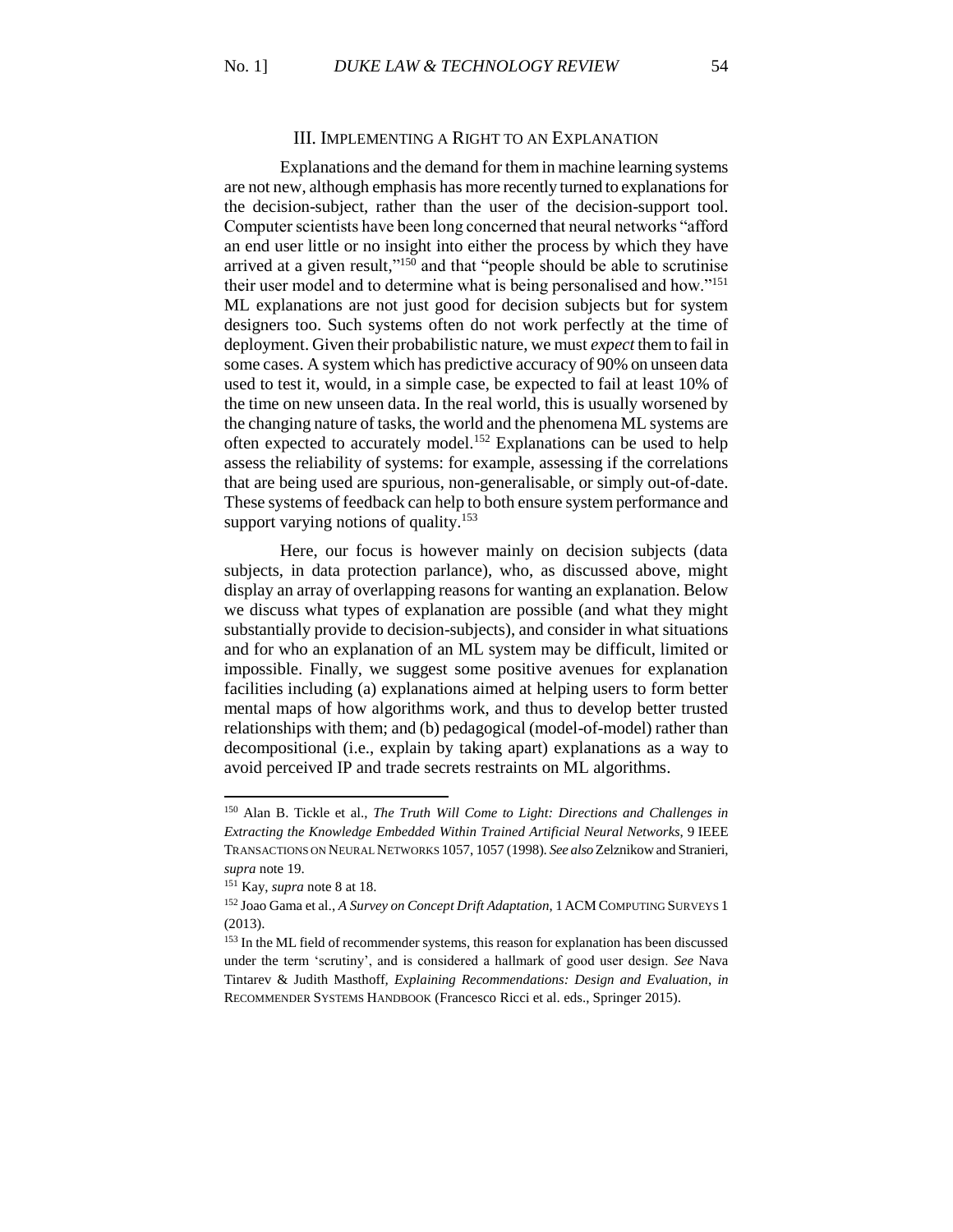## <span id="page-36-1"></span>III. IMPLEMENTING A RIGHT TO AN EXPLANATION

Explanations and the demand for them in machine learning systems are not new, although emphasis has more recently turned to explanations for the decision-subject, rather than the user of the decision-support tool. Computer scientists have been long concerned that neural networks "afford an end user little or no insight into either the process by which they have arrived at a given result,"<sup>150</sup> and that "people should be able to scrutinise their user model and to determine what is being personalised and how."<sup>151</sup> ML explanations are not just good for decision subjects but for system designers too. Such systems often do not work perfectly at the time of deployment. Given their probabilistic nature, we must *expect* them to fail in some cases. A system which has predictive accuracy of 90% on unseen data used to test it, would, in a simple case, be expected to fail at least 10% of the time on new unseen data. In the real world, this is usually worsened by the changing nature of tasks, the world and the phenomena ML systems are often expected to accurately model.<sup>152</sup> Explanations can be used to help assess the reliability of systems: for example, assessing if the correlations that are being used are spurious, non-generalisable, or simply out-of-date. These systems of feedback can help to both ensure system performance and support varying notions of quality.<sup>153</sup>

<span id="page-36-0"></span>Here, our focus is however mainly on decision subjects (data subjects, in data protection parlance), who, as discussed above, might display an array of overlapping reasons for wanting an explanation. Below we discuss what types of explanation are possible (and what they might substantially provide to decision-subjects), and consider in what situations and for who an explanation of an ML system may be difficult, limited or impossible. Finally, we suggest some positive avenues for explanation facilities including (a) explanations aimed at helping users to form better mental maps of how algorithms work, and thus to develop better trusted relationships with them; and (b) pedagogical (model-of-model) rather than decompositional (i.e., explain by taking apart) explanations as a way to avoid perceived IP and trade secrets restraints on ML algorithms.

<sup>150</sup> Alan B. Tickle et al., *The Truth Will Come to Light: Directions and Challenges in Extracting the Knowledge Embedded Within Trained Artificial Neural Networks*, 9 IEEE TRANSACTIONS ON NEURAL NETWORKS 1057, 1057 (1998). *See also* Zelznikow and Stranieri, *supra* not[e 19.](#page-7-0)

<sup>151</sup> Kay, *supra* not[e 8](#page-2-4) at 18.

<sup>152</sup> Joao Gama et al., *A Survey on Concept Drift Adaptation*, 1 ACM COMPUTING SURVEYS 1 (2013).

<sup>&</sup>lt;sup>153</sup> In the ML field of recommender systems, this reason for explanation has been discussed under the term 'scrutiny', and is considered a hallmark of good user design. *See* Nava Tintarev & Judith Masthoff*, Explaining Recommendations: Design and Evaluation*, *in* RECOMMENDER SYSTEMS HANDBOOK (Francesco Ricci et al. eds., Springer 2015).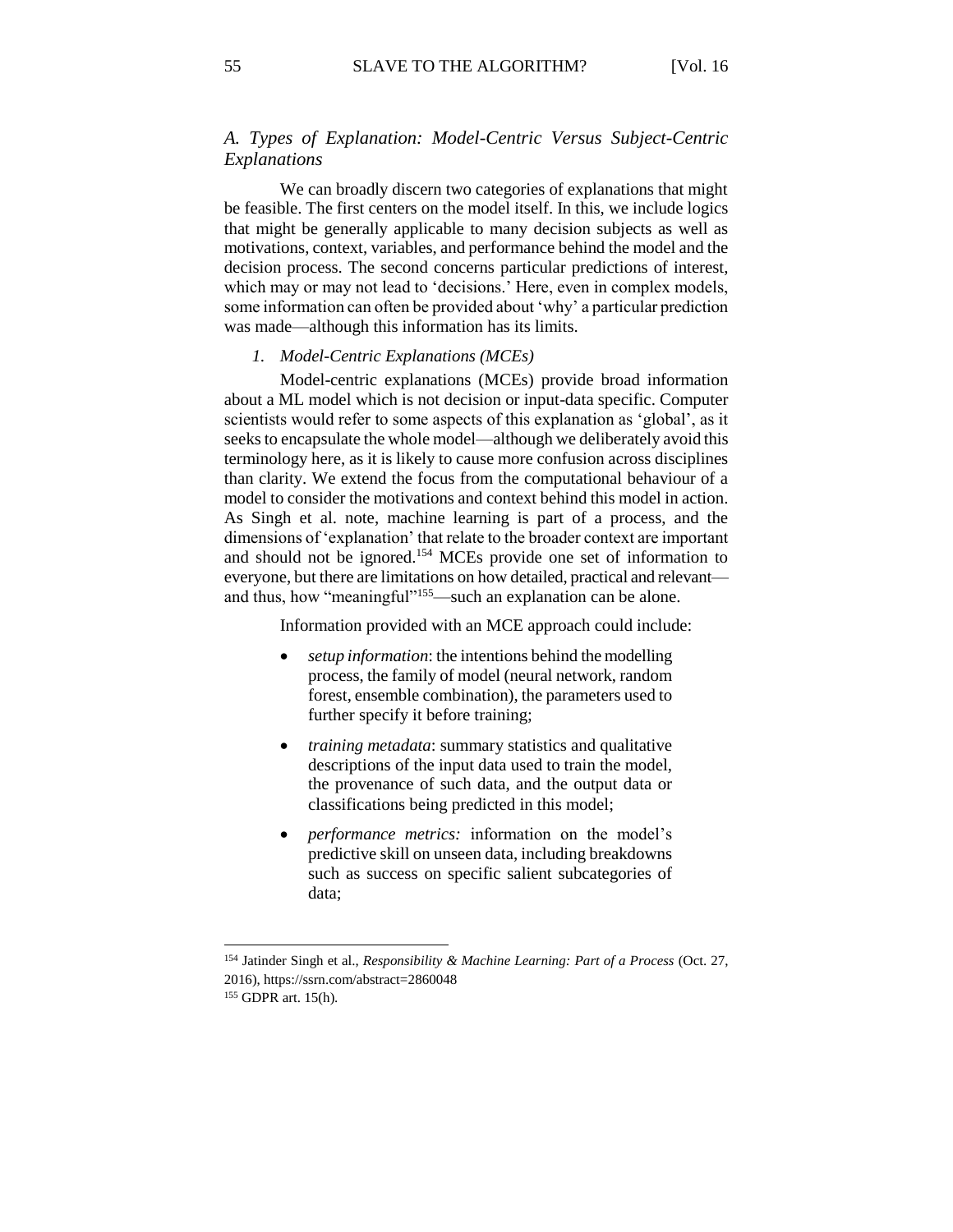## *A. Types of Explanation: Model-Centric Versus Subject-Centric Explanations*

We can broadly discern two categories of explanations that might be feasible. The first centers on the model itself. In this, we include logics that might be generally applicable to many decision subjects as well as motivations, context, variables, and performance behind the model and the decision process. The second concerns particular predictions of interest, which may or may not lead to 'decisions.' Here, even in complex models, some information can often be provided about 'why' a particular prediction was made—although this information has its limits.

### *1. Model-Centric Explanations (MCEs)*

Model-centric explanations (MCEs) provide broad information about a ML model which is not decision or input-data specific. Computer scientists would refer to some aspects of this explanation as 'global', as it seeks to encapsulate the whole model—although we deliberately avoid this terminology here, as it is likely to cause more confusion across disciplines than clarity. We extend the focus from the computational behaviour of a model to consider the motivations and context behind this model in action. As Singh et al. note, machine learning is part of a process, and the dimensions of 'explanation' that relate to the broader context are important and should not be ignored.<sup>154</sup> MCEs provide one set of information to everyone, but there are limitations on how detailed, practical and relevant and thus, how "meaningful"<sup>155</sup>—such an explanation can be alone.

Information provided with an MCE approach could include:

- setup information: the intentions behind the modelling process, the family of model (neural network, random forest, ensemble combination), the parameters used to further specify it before training;
- *training metadata*: summary statistics and qualitative descriptions of the input data used to train the model, the provenance of such data, and the output data or classifications being predicted in this model;
- *performance metrics:* information on the model's predictive skill on unseen data, including breakdowns such as success on specific salient subcategories of data;

<sup>154</sup> Jatinder Singh et al., *Responsibility & Machine Learning: Part of a Process* (Oct. 27, 2016), https://ssrn.com/abstract=2860048 <sup>155</sup> GDPR art. 15(h).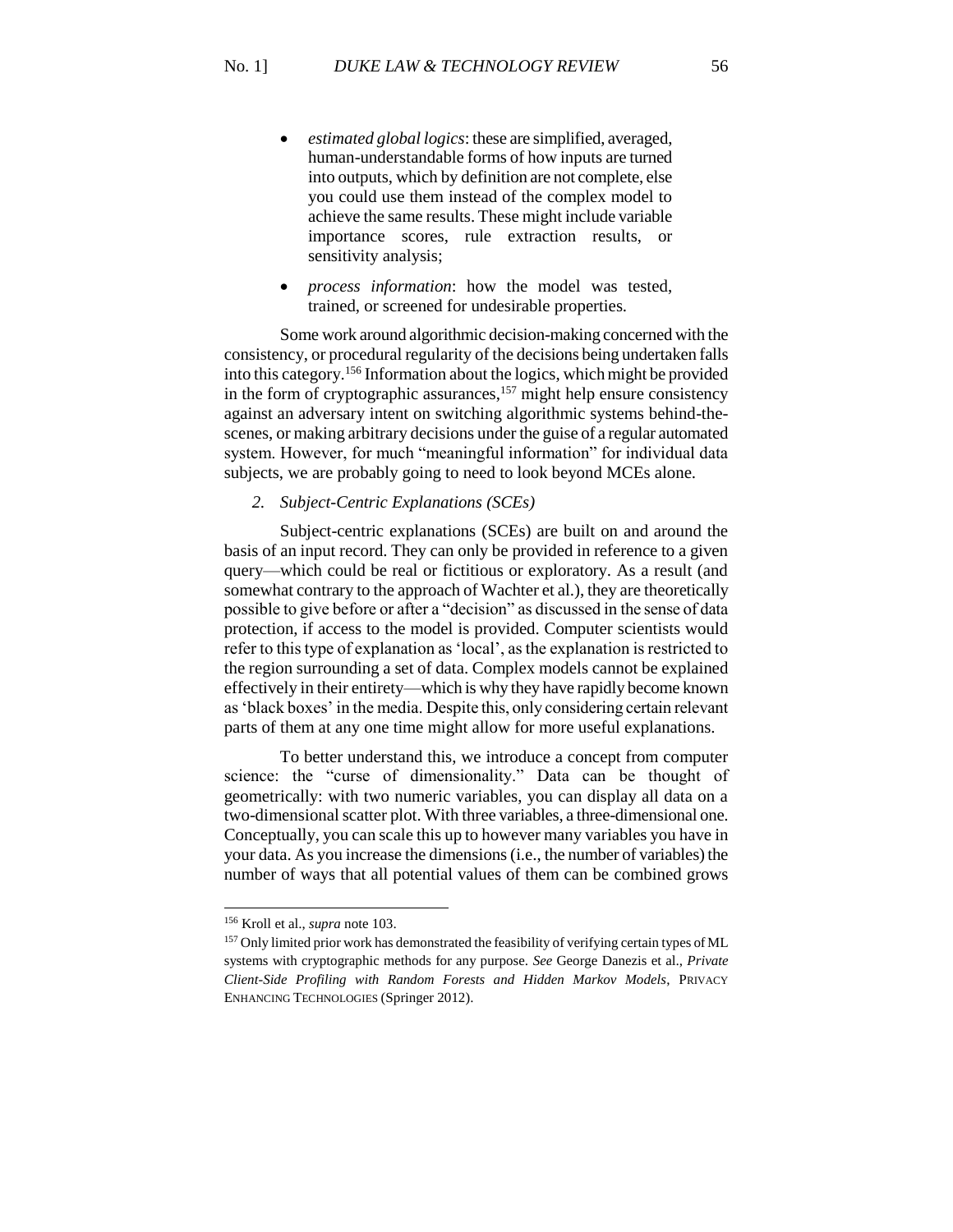- *estimated global logics*: these are simplified, averaged, human-understandable forms of how inputs are turned into outputs, which by definition are not complete, else you could use them instead of the complex model to achieve the same results. These might include variable importance scores, rule extraction results, or sensitivity analysis;
- *process information*: how the model was tested, trained, or screened for undesirable properties.

Some work around algorithmic decision-making concerned with the consistency, or procedural regularity of the decisions being undertaken falls into this category.<sup>156</sup> Information about the logics, which might be provided in the form of cryptographic assurances, $157$  might help ensure consistency against an adversary intent on switching algorithmic systems behind-thescenes, or making arbitrary decisions under the guise of a regular automated system. However, for much "meaningful information" for individual data subjects, we are probably going to need to look beyond MCEs alone.

#### *2. Subject-Centric Explanations (SCEs)*

Subject-centric explanations (SCEs) are built on and around the basis of an input record. They can only be provided in reference to a given query—which could be real or fictitious or exploratory. As a result (and somewhat contrary to the approach of Wachter et al.), they are theoretically possible to give before or after a "decision" as discussed in the sense of data protection, if access to the model is provided. Computer scientists would refer to this type of explanation as 'local', as the explanation is restricted to the region surrounding a set of data. Complex models cannot be explained effectively in their entirety—which is why they have rapidly become known as 'black boxes' in the media. Despite this, only considering certain relevant parts of them at any one time might allow for more useful explanations.

To better understand this, we introduce a concept from computer science: the "curse of dimensionality." Data can be thought of geometrically: with two numeric variables, you can display all data on a two-dimensional scatter plot. With three variables, a three-dimensional one. Conceptually, you can scale this up to however many variables you have in your data. As you increase the dimensions (i.e., the number of variables) the number of ways that all potential values of them can be combined grows

<sup>156</sup> Kroll et al., *supra* note [103.](#page-24-0)

<sup>&</sup>lt;sup>157</sup> Only limited prior work has demonstrated the feasibility of verifying certain types of ML systems with cryptographic methods for any purpose. *See* George Danezis et al., *Private Client-Side Profiling with Random Forests and Hidden Markov Models*, PRIVACY ENHANCING TECHNOLOGIES (Springer 2012).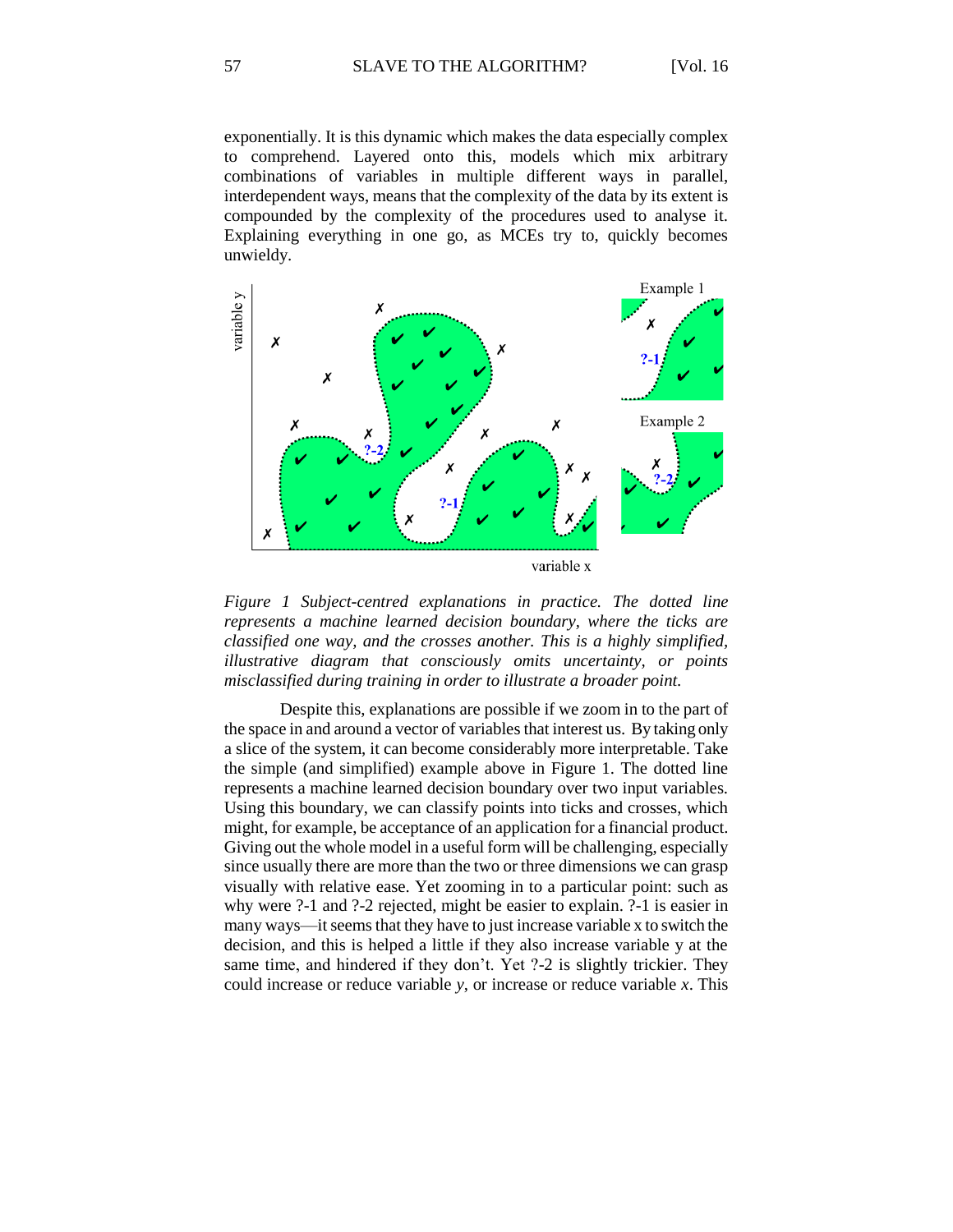exponentially. It is this dynamic which makes the data especially complex to comprehend. Layered onto this, models which mix arbitrary combinations of variables in multiple different ways in parallel, interdependent ways, means that the complexity of the data by its extent is compounded by the complexity of the procedures used to analyse it. Explaining everything in one go, as MCEs try to, quickly becomes unwieldy.



*Figure 1 Subject-centred explanations in practice. The dotted line represents a machine learned decision boundary, where the ticks are classified one way, and the crosses another. This is a highly simplified, illustrative diagram that consciously omits uncertainty, or points misclassified during training in order to illustrate a broader point.*

Despite this, explanations are possible if we zoom in to the part of the space in and around a vector of variables that interest us. By taking only a slice of the system, it can become considerably more interpretable. Take the simple (and simplified) example above in Figure 1. The dotted line represents a machine learned decision boundary over two input variables. Using this boundary, we can classify points into ticks and crosses, which might, for example, be acceptance of an application for a financial product. Giving out the whole model in a useful form will be challenging, especially since usually there are more than the two or three dimensions we can grasp visually with relative ease. Yet zooming in to a particular point: such as why were ?-1 and ?-2 rejected, might be easier to explain. ?-1 is easier in many ways—it seems that they have to just increase variable x to switch the decision, and this is helped a little if they also increase variable y at the same time, and hindered if they don't. Yet ?-2 is slightly trickier. They could increase or reduce variable *y*, or increase or reduce variable *x*. This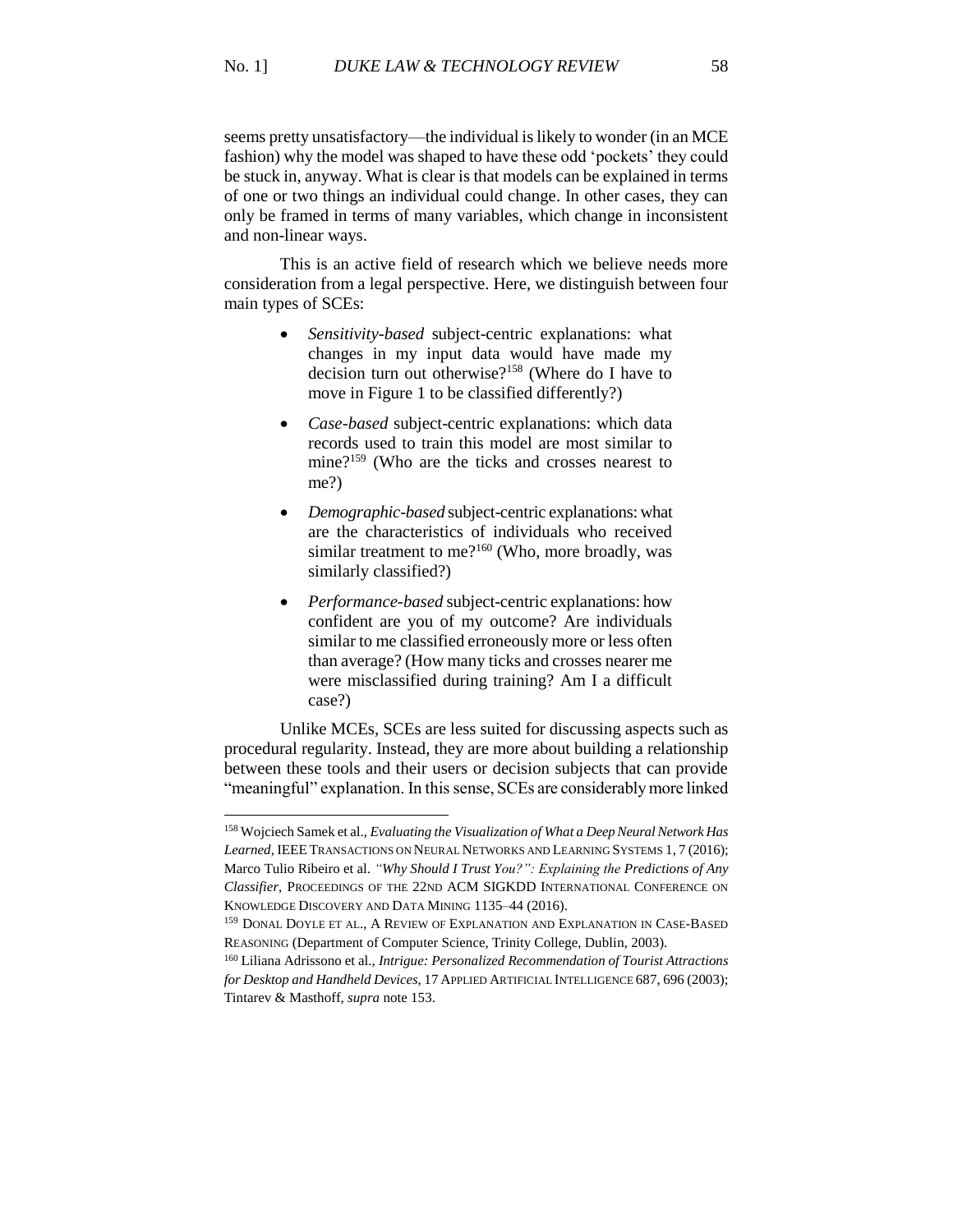seems pretty unsatisfactory—the individual is likely to wonder (in an MCE fashion) why the model was shaped to have these odd 'pockets' they could be stuck in, anyway. What is clear is that models can be explained in terms of one or two things an individual could change. In other cases, they can only be framed in terms of many variables, which change in inconsistent and non-linear ways.

This is an active field of research which we believe needs more consideration from a legal perspective. Here, we distinguish between four main types of SCEs:

- <span id="page-40-0"></span>• *Sensitivity-based* subject-centric explanations: what changes in my input data would have made my decision turn out otherwise?<sup>158</sup> (Where do I have to move in Figure 1 to be classified differently?)
- *Case-based* subject-centric explanations: which data records used to train this model are most similar to mine?<sup>159</sup> (Who are the ticks and crosses nearest to me?)
- *Demographic-based* subject-centric explanations: what are the characteristics of individuals who received similar treatment to me? $160$  (Who, more broadly, was similarly classified?)
- *Performance-based* subject-centric explanations: how confident are you of my outcome? Are individuals similar to me classified erroneously more or less often than average? (How many ticks and crosses nearer me were misclassified during training? Am I a difficult case?)

Unlike MCEs, SCEs are less suited for discussing aspects such as procedural regularity. Instead, they are more about building a relationship between these tools and their users or decision subjects that can provide "meaningful" explanation. In this sense, SCEs are considerably more linked

<sup>158</sup> Wojciech Samek et al., *Evaluating the Visualization of What a Deep Neural Network Has Learned*, IEEETRANSACTIONS ON NEURAL NETWORKS AND LEARNING SYSTEMS 1, 7 (2016); Marco Tulio Ribeiro et al. *"Why Should I Trust You?": Explaining the Predictions of Any Classifier*, PROCEEDINGS OF THE 22ND ACM SIGKDD INTERNATIONAL CONFERENCE ON KNOWLEDGE DISCOVERY AND DATA MINING 1135–44 (2016).

<sup>159</sup> DONAL DOYLE ET AL., A REVIEW OF EXPLANATION AND EXPLANATION IN CASE-BASED REASONING (Department of Computer Science, Trinity College, Dublin, 2003).

<sup>160</sup> Liliana Adrissono et al., *Intrigue: Personalized Recommendation of Tourist Attractions for Desktop and Handheld Devices*, 17 APPLIED ARTIFICIAL INTELLIGENCE 687, 696 (2003); Tintarev & Masthoff*, supra* note [153.](#page-36-0)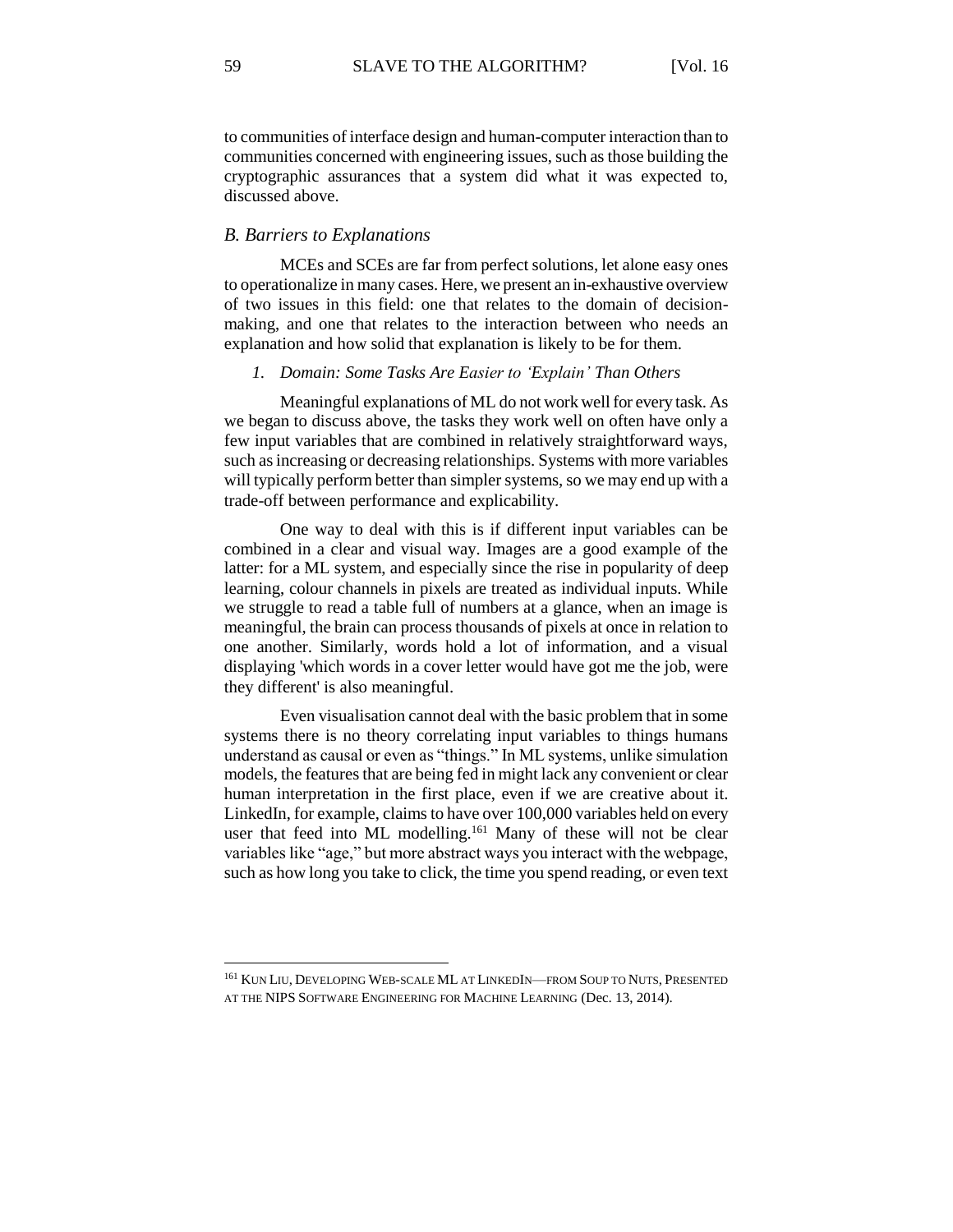to communities of interface design and human-computer interaction than to communities concerned with engineering issues, such as those building the cryptographic assurances that a system did what it was expected to, discussed above.

## *B. Barriers to Explanations*

MCEs and SCEs are far from perfect solutions, let alone easy ones to operationalize in many cases. Here, we present an in-exhaustive overview of two issues in this field: one that relates to the domain of decisionmaking, and one that relates to the interaction between who needs an explanation and how solid that explanation is likely to be for them.

#### *1. Domain: Some Tasks Are Easier to 'Explain' Than Others*

Meaningful explanations of ML do not work well for every task. As we began to discuss above, the tasks they work well on often have only a few input variables that are combined in relatively straightforward ways, such as increasing or decreasing relationships. Systems with more variables will typically perform better than simpler systems, so we may end up with a trade-off between performance and explicability.

One way to deal with this is if different input variables can be combined in a clear and visual way. Images are a good example of the latter: for a ML system, and especially since the rise in popularity of deep learning, colour channels in pixels are treated as individual inputs. While we struggle to read a table full of numbers at a glance, when an image is meaningful, the brain can process thousands of pixels at once in relation to one another. Similarly, words hold a lot of information, and a visual displaying 'which words in a cover letter would have got me the job, were they different' is also meaningful.

Even visualisation cannot deal with the basic problem that in some systems there is no theory correlating input variables to things humans understand as causal or even as "things." In ML systems, unlike simulation models, the features that are being fed in might lack any convenient or clear human interpretation in the first place, even if we are creative about it. LinkedIn, for example, claims to have over 100,000 variables held on every user that feed into ML modelling.<sup>161</sup> Many of these will not be clear variables like "age," but more abstract ways you interact with the webpage, such as how long you take to click, the time you spend reading, or even text

<sup>161</sup> KUN LIU, DEVELOPING WEB-SCALE ML AT LINKEDIN—FROM SOUP TO NUTS, PRESENTED AT THE NIPS SOFTWARE ENGINEERING FOR MACHINE LEARNING (Dec. 13, 2014).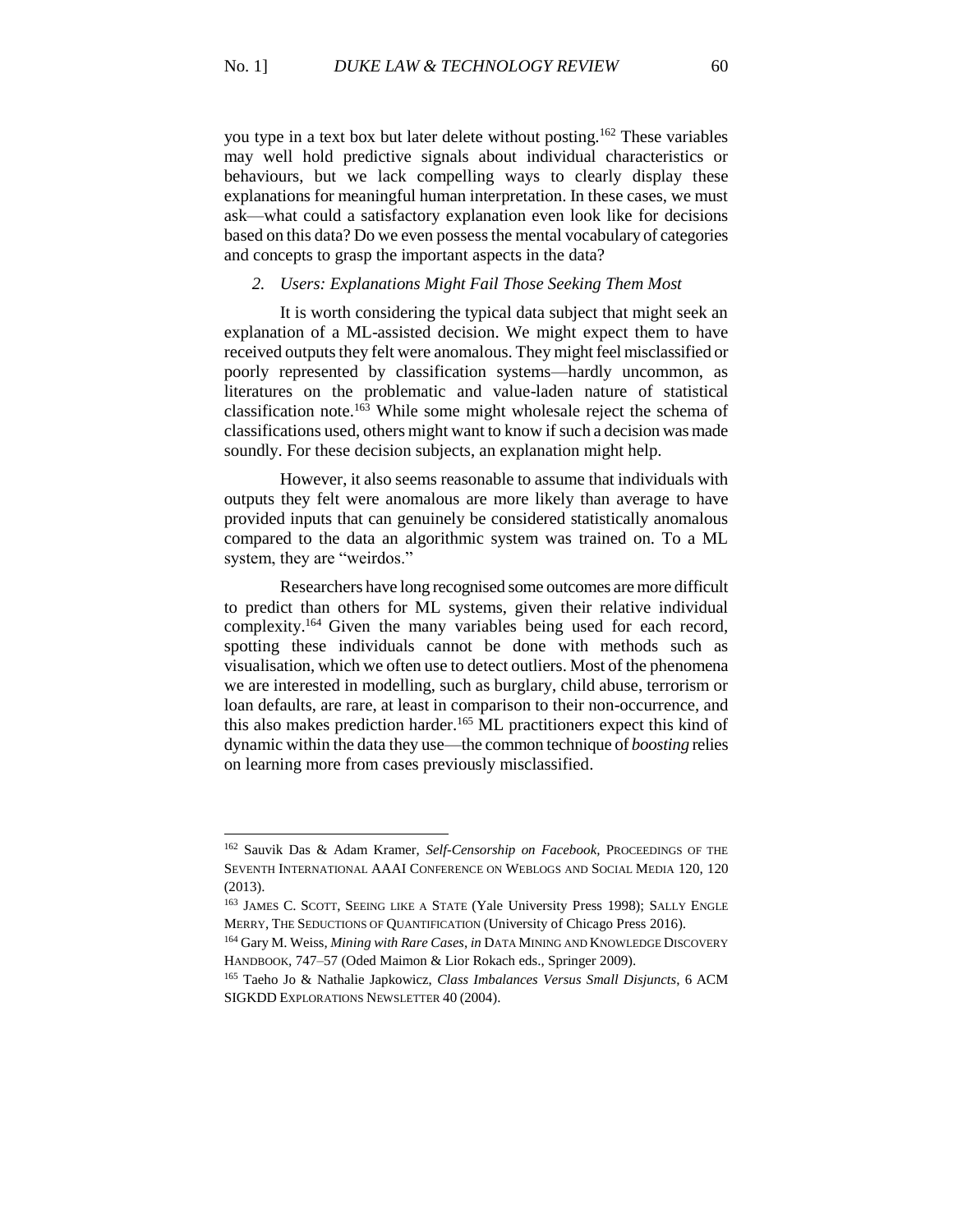you type in a text box but later delete without posting.<sup>162</sup> These variables may well hold predictive signals about individual characteristics or behaviours, but we lack compelling ways to clearly display these explanations for meaningful human interpretation. In these cases, we must ask—what could a satisfactory explanation even look like for decisions based on this data? Do we even possess the mental vocabulary of categories and concepts to grasp the important aspects in the data?

## *2. Users: Explanations Might Fail Those Seeking Them Most*

It is worth considering the typical data subject that might seek an explanation of a ML-assisted decision. We might expect them to have received outputs they felt were anomalous. They might feel misclassified or poorly represented by classification systems—hardly uncommon, as literatures on the problematic and value-laden nature of statistical classification note.<sup>163</sup> While some might wholesale reject the schema of classifications used, others might want to know if such a decision was made soundly. For these decision subjects, an explanation might help.

However, it also seems reasonable to assume that individuals with outputs they felt were anomalous are more likely than average to have provided inputs that can genuinely be considered statistically anomalous compared to the data an algorithmic system was trained on. To a ML system, they are "weirdos."

<span id="page-42-0"></span>Researchers have long recognised some outcomes are more difficult to predict than others for ML systems, given their relative individual complexity.<sup>164</sup> Given the many variables being used for each record, spotting these individuals cannot be done with methods such as visualisation, which we often use to detect outliers. Most of the phenomena we are interested in modelling, such as burglary, child abuse, terrorism or loan defaults, are rare, at least in comparison to their non-occurrence, and this also makes prediction harder.<sup>165</sup> ML practitioners expect this kind of dynamic within the data they use—the common technique of *boosting* relies on learning more from cases previously misclassified.

<sup>162</sup> Sauvik Das & Adam Kramer, *Self-Censorship on Facebook,* PROCEEDINGS OF THE SEVENTH INTERNATIONAL AAAI CONFERENCE ON WEBLOGS AND SOCIAL MEDIA 120, 120 (2013).

<sup>163</sup> JAMES C. SCOTT, SEEING LIKE A STATE (Yale University Press 1998); SALLY ENGLE MERRY, THE SEDUCTIONS OF QUANTIFICATION (University of Chicago Press 2016).

<sup>164</sup> Gary M. Weiss, *Mining with Rare Cases*, *in* DATA MINING AND KNOWLEDGE DISCOVERY HANDBOOK*,* 747–57 (Oded Maimon & Lior Rokach eds., Springer 2009).

<sup>165</sup> Taeho Jo & Nathalie Japkowicz, *Class Imbalances Versus Small Disjuncts*, 6 ACM SIGKDD EXPLORATIONS NEWSLETTER 40 (2004).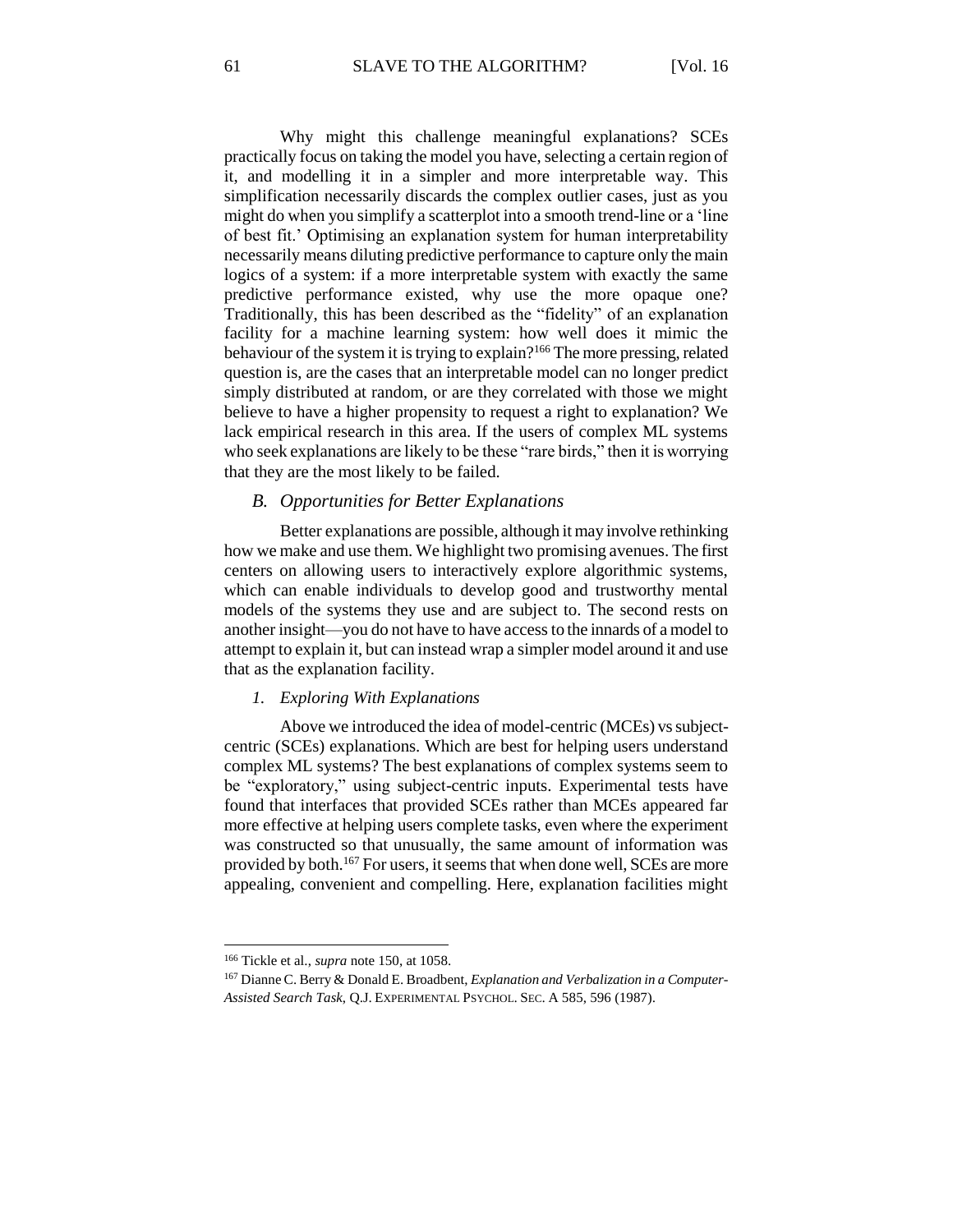Why might this challenge meaningful explanations? SCEs practically focus on taking the model you have, selecting a certain region of it, and modelling it in a simpler and more interpretable way. This simplification necessarily discards the complex outlier cases, just as you might do when you simplify a scatterplot into a smooth trend-line or a 'line of best fit.' Optimising an explanation system for human interpretability necessarily means diluting predictive performance to capture only the main logics of a system: if a more interpretable system with exactly the same predictive performance existed, why use the more opaque one? Traditionally, this has been described as the "fidelity" of an explanation facility for a machine learning system: how well does it mimic the behaviour of the system it is trying to explain?<sup>166</sup> The more pressing, related question is, are the cases that an interpretable model can no longer predict simply distributed at random, or are they correlated with those we might believe to have a higher propensity to request a right to explanation? We lack empirical research in this area. If the users of complex ML systems who seek explanations are likely to be these "rare birds," then it is worrying that they are the most likely to be failed.

### *B. Opportunities for Better Explanations*

Better explanations are possible, although it may involve rethinking how we make and use them. We highlight two promising avenues. The first centers on allowing users to interactively explore algorithmic systems, which can enable individuals to develop good and trustworthy mental models of the systems they use and are subject to. The second rests on another insight—you do not have to have access to the innards of a model to attempt to explain it, but can instead wrap a simpler model around it and use that as the explanation facility.

#### *1. Exploring With Explanations*

Above we introduced the idea of model-centric (MCEs) vs subjectcentric (SCEs) explanations. Which are best for helping users understand complex ML systems? The best explanations of complex systems seem to be "exploratory," using subject-centric inputs. Experimental tests have found that interfaces that provided SCEs rather than MCEs appeared far more effective at helping users complete tasks, even where the experiment was constructed so that unusually, the same amount of information was provided by both.<sup>167</sup> For users, it seems that when done well, SCEs are more appealing, convenient and compelling. Here, explanation facilities might

<sup>166</sup> Tickle et al., *supra* note [150,](#page-36-1) at 1058.

<sup>167</sup> Dianne C. Berry & Donald E. Broadbent, *Explanation and Verbalization in a Computer-Assisted Search Task*, Q.J. EXPERIMENTAL PSYCHOL. SEC. A 585, 596 (1987).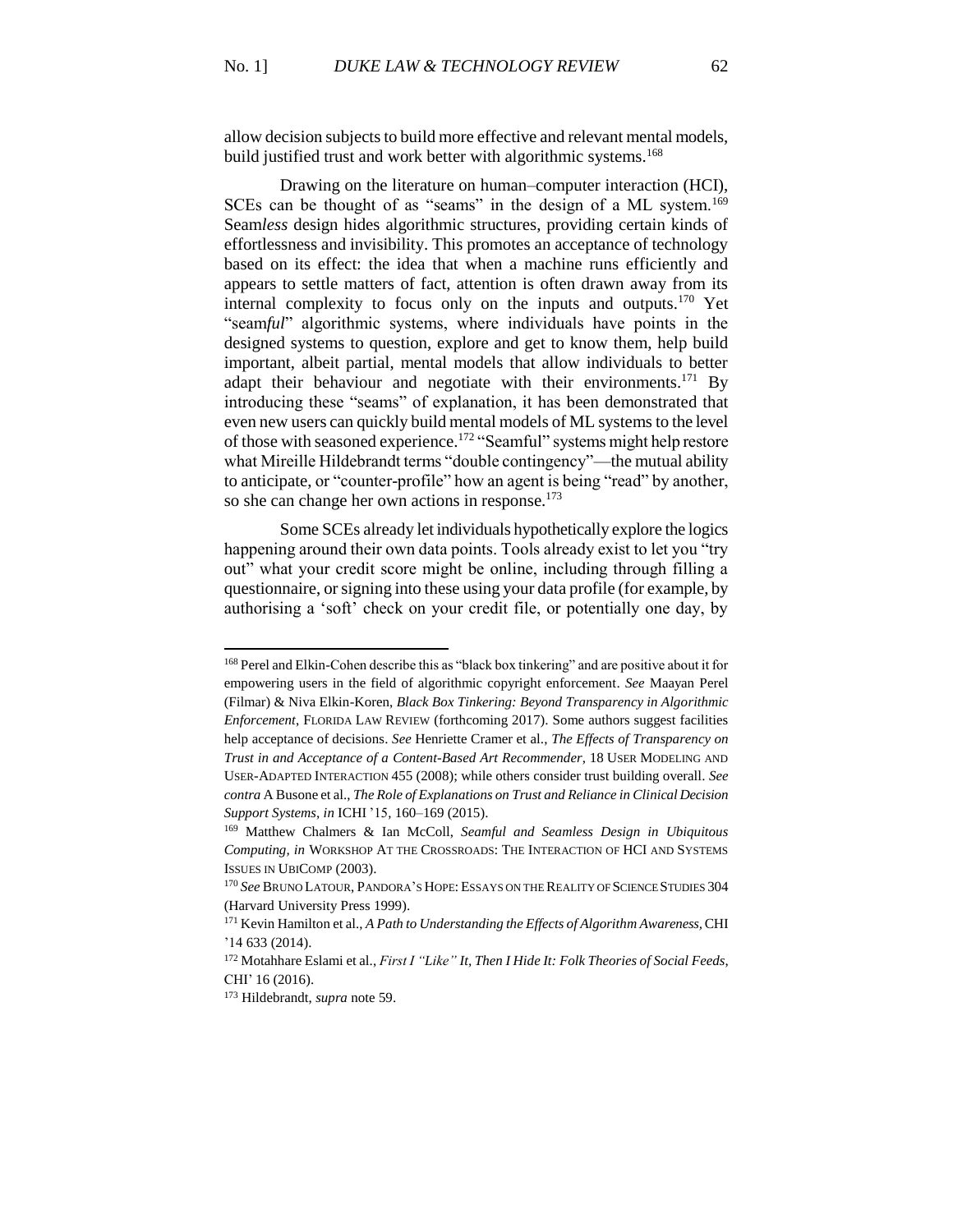allow decision subjects to build more effective and relevant mental models, build justified trust and work better with algorithmic systems.<sup>168</sup>

Drawing on the literature on human–computer interaction (HCI), SCEs can be thought of as "seams" in the design of a ML system.<sup>169</sup> Seam*less* design hides algorithmic structures, providing certain kinds of effortlessness and invisibility. This promotes an acceptance of technology based on its effect: the idea that when a machine runs efficiently and appears to settle matters of fact, attention is often drawn away from its internal complexity to focus only on the inputs and outputs.<sup>170</sup> Yet "seam*ful*" algorithmic systems, where individuals have points in the designed systems to question, explore and get to know them, help build important, albeit partial, mental models that allow individuals to better adapt their behaviour and negotiate with their environments.<sup>171</sup> By introducing these "seams" of explanation, it has been demonstrated that even new users can quickly build mental models of ML systems to the level of those with seasoned experience.<sup>172</sup> "Seamful" systems might help restore what Mireille Hildebrandt terms "double contingency"—the mutual ability to anticipate, or "counter-profile" how an agent is being "read" by another, so she can change her own actions in response.<sup>173</sup>

Some SCEs already let individuals hypothetically explore the logics happening around their own data points. Tools already exist to let you "try out" what your credit score might be online, including through filling a questionnaire, or signing into these using your data profile (for example, by authorising a 'soft' check on your credit file, or potentially one day, by

<sup>168</sup> Perel and Elkin-Cohen describe this as "black box tinkering" and are positive about it for empowering users in the field of algorithmic copyright enforcement. *See* Maayan Perel (Filmar) & Niva Elkin-Koren, *Black Box Tinkering: Beyond Transparency in Algorithmic Enforcement*, FLORIDA LAW REVIEW (forthcoming 2017). Some authors suggest facilities help acceptance of decisions. *See* Henriette Cramer et al., *The Effects of Transparency on Trust in and Acceptance of a Content-Based Art Recommender*, 18 USER MODELING AND USER-ADAPTED INTERACTION 455 (2008); while others consider trust building overall. *See contra* A Busone et al., *The Role of Explanations on Trust and Reliance in Clinical Decision Support Systems, in* ICHI '15*,* 160–169 (2015).

<sup>169</sup> Matthew Chalmers & Ian McColl, *Seamful and Seamless Design in Ubiquitous Computing, in* WORKSHOP AT THE CROSSROADS: THE INTERACTION OF HCI AND SYSTEMS ISSUES IN UBICOMP (2003).

<sup>170</sup> *See* BRUNO LATOUR, PANDORA'S HOPE:ESSAYS ON THE REALITY OF SCIENCE STUDIES 304 (Harvard University Press 1999).

<sup>171</sup> Kevin Hamilton et al., *A Path to Understanding the Effects of Algorithm Awareness,* CHI '14 633 (2014).

<sup>172</sup> Motahhare Eslami et al., *First I "Like" It, Then I Hide It: Folk Theories of Social Feeds*, CHI' 16 (2016).

<sup>173</sup> Hildebrandt, *supra* not[e 59.](#page-16-0)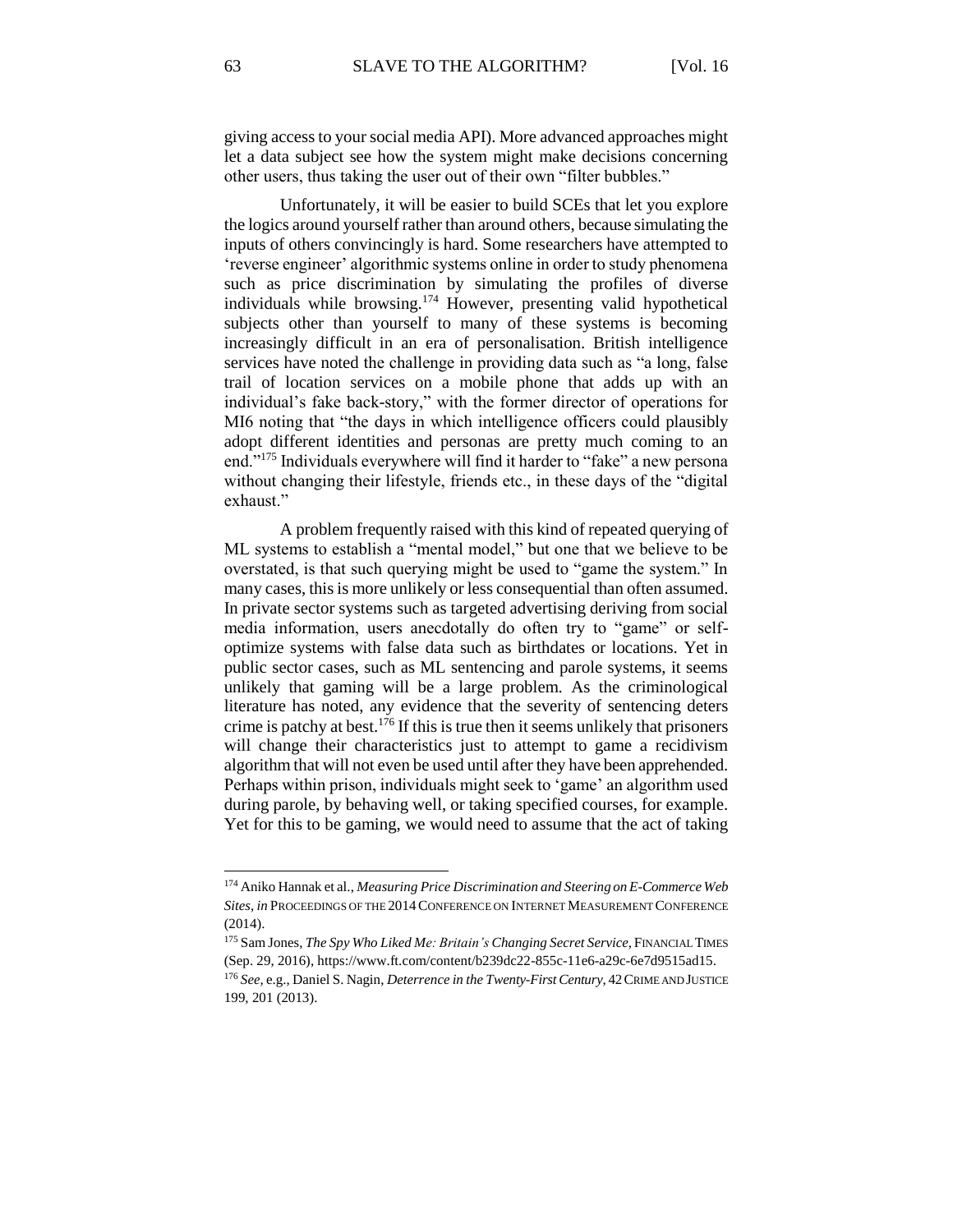giving access to your social media API). More advanced approaches might let a data subject see how the system might make decisions concerning other users, thus taking the user out of their own "filter bubbles."

Unfortunately, it will be easier to build SCEs that let you explore the logics around yourself rather than around others, because simulating the inputs of others convincingly is hard. Some researchers have attempted to 'reverse engineer' algorithmic systems online in order to study phenomena such as price discrimination by simulating the profiles of diverse individuals while browsing.<sup>174</sup> However, presenting valid hypothetical subjects other than yourself to many of these systems is becoming increasingly difficult in an era of personalisation. British intelligence services have noted the challenge in providing data such as "a long, false trail of location services on a mobile phone that adds up with an individual's fake back-story," with the former director of operations for MI6 noting that "the days in which intelligence officers could plausibly adopt different identities and personas are pretty much coming to an end."<sup>175</sup> Individuals everywhere will find it harder to "fake" a new persona without changing their lifestyle, friends etc., in these days of the "digital exhaust."

A problem frequently raised with this kind of repeated querying of ML systems to establish a "mental model," but one that we believe to be overstated, is that such querying might be used to "game the system." In many cases, this is more unlikely or less consequential than often assumed. In private sector systems such as targeted advertising deriving from social media information, users anecdotally do often try to "game" or selfoptimize systems with false data such as birthdates or locations. Yet in public sector cases, such as ML sentencing and parole systems, it seems unlikely that gaming will be a large problem. As the criminological literature has noted, any evidence that the severity of sentencing deters crime is patchy at best.<sup>176</sup> If this is true then it seems unlikely that prisoners will change their characteristics just to attempt to game a recidivism algorithm that will not even be used until after they have been apprehended. Perhaps within prison, individuals might seek to 'game' an algorithm used during parole, by behaving well, or taking specified courses, for example. Yet for this to be gaming, we would need to assume that the act of taking

<sup>174</sup> Aniko Hannak et al., *Measuring Price Discrimination and Steering on E-Commerce Web Sites*, *in* PROCEEDINGS OF THE 2014CONFERENCE ON INTERNET MEASUREMENT CONFERENCE (2014).

<sup>175</sup> Sam Jones, *The Spy Who Liked Me: Britain's Changing Secret Service*, FINANCIAL TIMES (Sep. 29, 2016), https://www.ft.com/content/b239dc22-855c-11e6-a29c-6e7d9515ad15. <sup>176</sup> *See,* e.g., Daniel S. Nagin, *Deterrence in the Twenty-First Century*, 42CRIME AND JUSTICE 199, 201 (2013).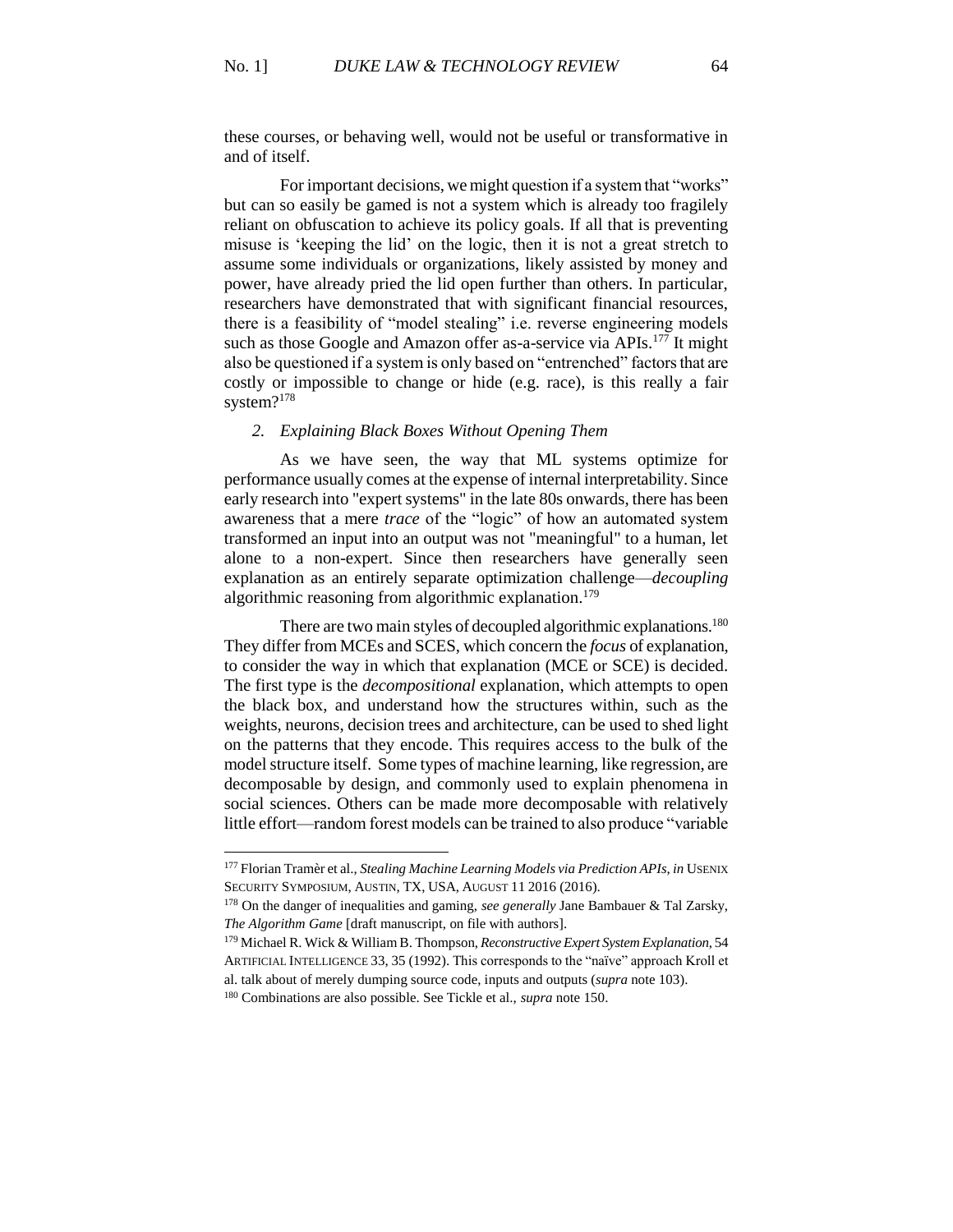these courses, or behaving well, would not be useful or transformative in and of itself.

For important decisions, we might question if a system that "works" but can so easily be gamed is not a system which is already too fragilely reliant on obfuscation to achieve its policy goals. If all that is preventing misuse is 'keeping the lid' on the logic, then it is not a great stretch to assume some individuals or organizations, likely assisted by money and power, have already pried the lid open further than others. In particular, researchers have demonstrated that with significant financial resources, there is a feasibility of "model stealing" i.e. reverse engineering models such as those Google and Amazon offer as-a-service via APIs.<sup>177</sup> It might also be questioned if a system is only based on "entrenched" factors that are costly or impossible to change or hide (e.g. race), is this really a fair system?<sup>178</sup>

#### *2. Explaining Black Boxes Without Opening Them*

As we have seen, the way that ML systems optimize for performance usually comes at the expense of internal interpretability. Since early research into "expert systems" in the late 80s onwards, there has been awareness that a mere *trace* of the "logic" of how an automated system transformed an input into an output was not "meaningful" to a human, let alone to a non-expert. Since then researchers have generally seen explanation as an entirely separate optimization challenge—*decoupling* algorithmic reasoning from algorithmic explanation.<sup>179</sup>

There are two main styles of decoupled algorithmic explanations.<sup>180</sup> They differ from MCEs and SCES, which concern the *focus* of explanation, to consider the way in which that explanation (MCE or SCE) is decided. The first type is the *decompositional* explanation, which attempts to open the black box, and understand how the structures within, such as the weights, neurons, decision trees and architecture, can be used to shed light on the patterns that they encode. This requires access to the bulk of the model structure itself. Some types of machine learning, like regression, are decomposable by design, and commonly used to explain phenomena in social sciences. Others can be made more decomposable with relatively little effort—random forest models can be trained to also produce "variable

<sup>177</sup> Florian Tramèr et al., *Stealing Machine Learning Models via Prediction APIs*, *in* USENIX SECURITY SYMPOSIUM, AUSTIN, TX, USA, AUGUST 11 2016 (2016).

<sup>178</sup> On the danger of inequalities and gaming, *see generally* Jane Bambauer & Tal Zarsky, *The Algorithm Game* [draft manuscript, on file with authors].

<sup>179</sup> Michael R. Wick & William B. Thompson, *Reconstructive Expert System Explanation*, 54 ARTIFICIAL INTELLIGENCE 33, 35 (1992). This corresponds to the "naïve" approach Kroll et al. talk about of merely dumping source code, inputs and outputs (*supra* not[e 103\)](#page-24-0).

<sup>180</sup> Combinations are also possible. See Tickle et al., *supra* note [150.](#page-36-1)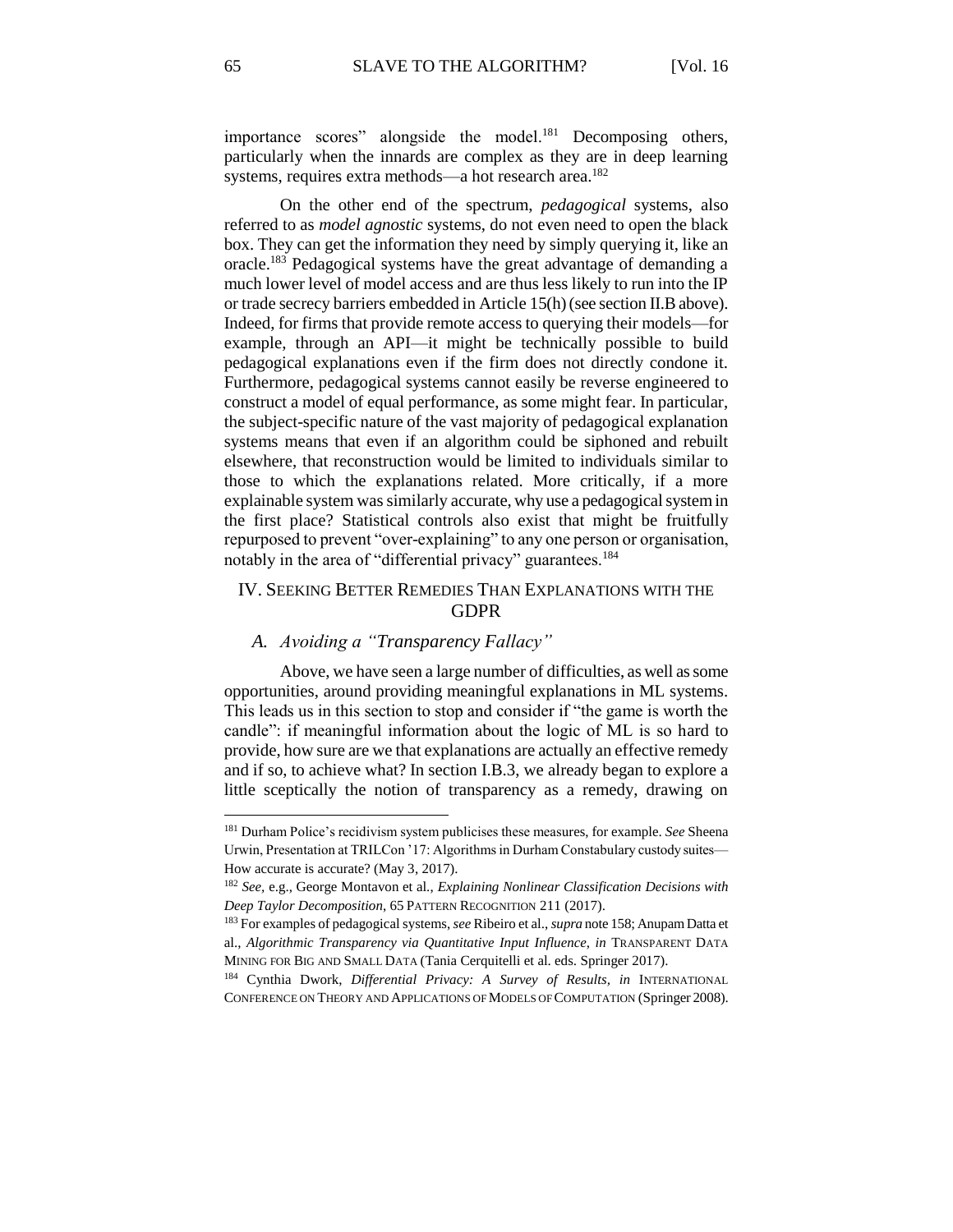importance scores" alongside the model.<sup>181</sup> Decomposing others, particularly when the innards are complex as they are in deep learning systems, requires extra methods—a hot research area.<sup>182</sup>

On the other end of the spectrum, *pedagogical* systems, also referred to as *model agnostic* systems, do not even need to open the black box. They can get the information they need by simply querying it, like an oracle.<sup>183</sup> Pedagogical systems have the great advantage of demanding a much lower level of model access and are thus less likely to run into the IP or trade secrecy barriers embedded in Article 15(h) (see section II.Babove). Indeed, for firms that provide remote access to querying their models—for example, through an API—it might be technically possible to build pedagogical explanations even if the firm does not directly condone it. Furthermore, pedagogical systems cannot easily be reverse engineered to construct a model of equal performance, as some might fear. In particular, the subject-specific nature of the vast majority of pedagogical explanation systems means that even if an algorithm could be siphoned and rebuilt elsewhere, that reconstruction would be limited to individuals similar to those to which the explanations related. More critically, if a more explainable system was similarly accurate, why use a pedagogical system in the first place? Statistical controls also exist that might be fruitfully repurposed to prevent "over-explaining" to any one person or organisation, notably in the area of "differential privacy" guarantees.<sup>184</sup>

## IV. SEEKING BETTER REMEDIES THAN EXPLANATIONS WITH THE GDPR

## *A. Avoiding a "Transparency Fallacy"*

Above, we have seen a large number of difficulties, as well as some opportunities, around providing meaningful explanations in ML systems. This leads us in this section to stop and consider if "the game is worth the candle": if meaningful information about the logic of ML is so hard to provide, how sure are we that explanations are actually an effective remedy and if so, to achieve what? In section I.B.3, we already began to explore a little sceptically the notion of transparency as a remedy, drawing on

<sup>181</sup> Durham Police's recidivism system publicises these measures, for example. *See* Sheena Urwin, Presentation at TRILCon '17: Algorithms in Durham Constabulary custody suites— How accurate is accurate? (May 3, 2017).

<sup>182</sup> *See,* e.g., George Montavon et al., *Explaining Nonlinear Classification Decisions with Deep Taylor Decomposition*, 65 PATTERN RECOGNITION 211 (2017).

<sup>183</sup> For examples of pedagogical systems, *see* Ribeiro et al., *supra* not[e 158;](#page-40-0) Anupam Datta et al., *Algorithmic Transparency via Quantitative Input Influence*, *in* TRANSPARENT DATA MINING FOR BIG AND SMALL DATA (Tania Cerquitelli et al. eds. Springer 2017).

<sup>184</sup> Cynthia Dwork, *Differential Privacy: A Survey of Results, in* INTERNATIONAL CONFERENCE ON THEORY AND APPLICATIONS OF MODELS OF COMPUTATION (Springer 2008).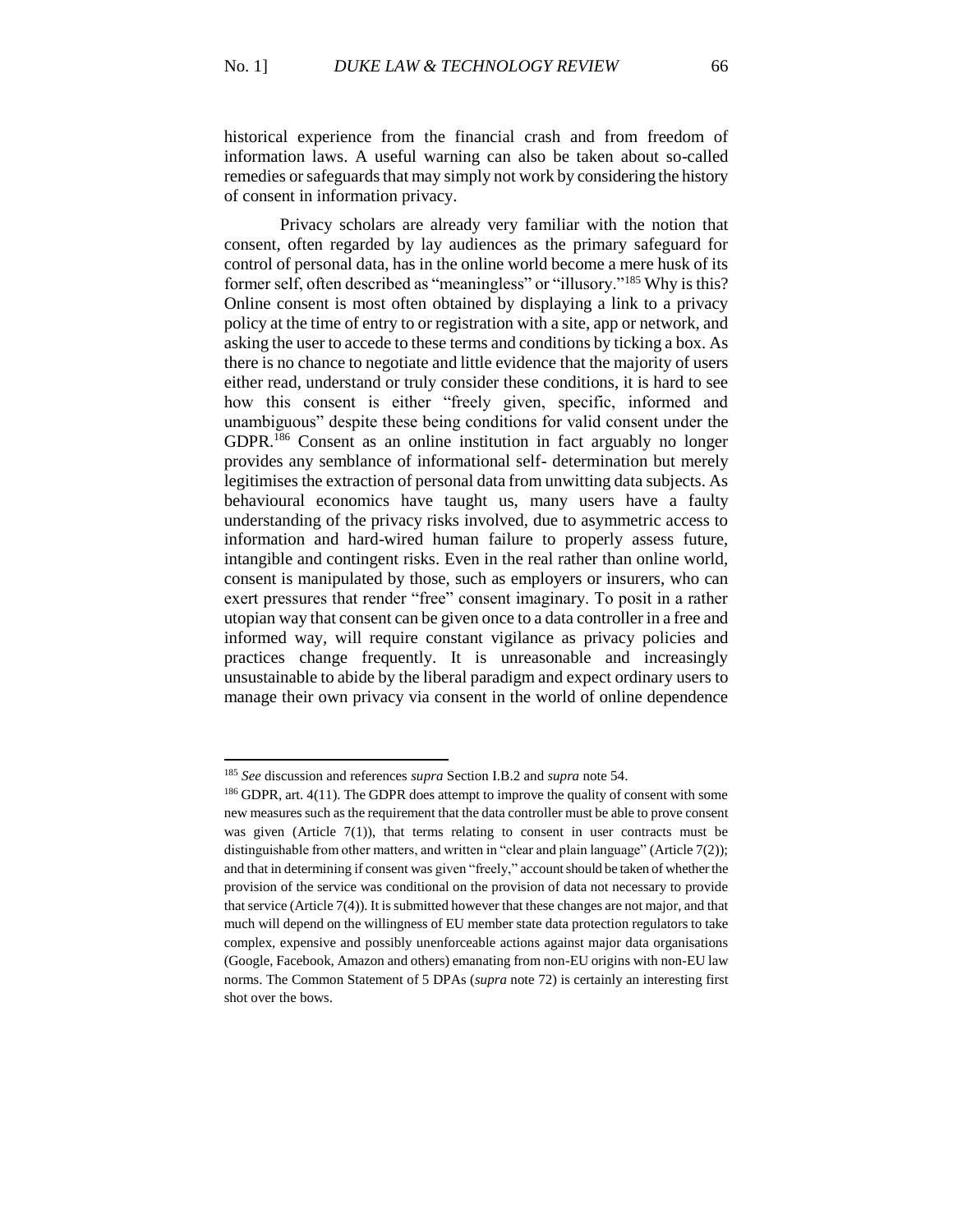historical experience from the financial crash and from freedom of information laws. A useful warning can also be taken about so-called remedies or safeguards that may simply not work by considering the history of consent in information privacy.

Privacy scholars are already very familiar with the notion that consent, often regarded by lay audiences as the primary safeguard for control of personal data, has in the online world become a mere husk of its former self, often described as "meaningless" or "illusory."<sup>185</sup> Why is this? Online consent is most often obtained by displaying a link to a privacy policy at the time of entry to or registration with a site, app or network, and asking the user to accede to these terms and conditions by ticking a box. As there is no chance to negotiate and little evidence that the majority of users either read, understand or truly consider these conditions, it is hard to see how this consent is either "freely given, specific, informed and unambiguous" despite these being conditions for valid consent under the GDPR.<sup>186</sup> Consent as an online institution in fact arguably no longer provides any semblance of informational self- determination but merely legitimises the extraction of personal data from unwitting data subjects. As behavioural economics have taught us, many users have a faulty understanding of the privacy risks involved, due to asymmetric access to information and hard-wired human failure to properly assess future, intangible and contingent risks. Even in the real rather than online world, consent is manipulated by those, such as employers or insurers, who can exert pressures that render "free" consent imaginary. To posit in a rather utopian way that consent can be given once to a data controller in a free and informed way, will require constant vigilance as privacy policies and practices change frequently. It is unreasonable and increasingly unsustainable to abide by the liberal paradigm and expect ordinary users to manage their own privacy via consent in the world of online dependence

<sup>185</sup> *See* discussion and references *supra* Section I.B.2 and *supra* not[e 54.](#page-15-1)

<sup>&</sup>lt;sup>186</sup> GDPR, art. 4(11). The GDPR does attempt to improve the quality of consent with some new measures such as the requirement that the data controller must be able to prove consent was given (Article  $7(1)$ ), that terms relating to consent in user contracts must be distinguishable from other matters, and written in "clear and plain language" (Article 7(2)); and that in determining if consent was given "freely," account should be taken of whether the provision of the service was conditional on the provision of data not necessary to provide that service (Article 7(4)). It is submitted however that these changes are not major, and that much will depend on the willingness of EU member state data protection regulators to take complex, expensive and possibly unenforceable actions against major data organisations (Google, Facebook, Amazon and others) emanating from non-EU origins with non-EU law norms. The Common Statement of 5 DPAs (*supra* note [72\)](#page-19-1) is certainly an interesting first shot over the bows.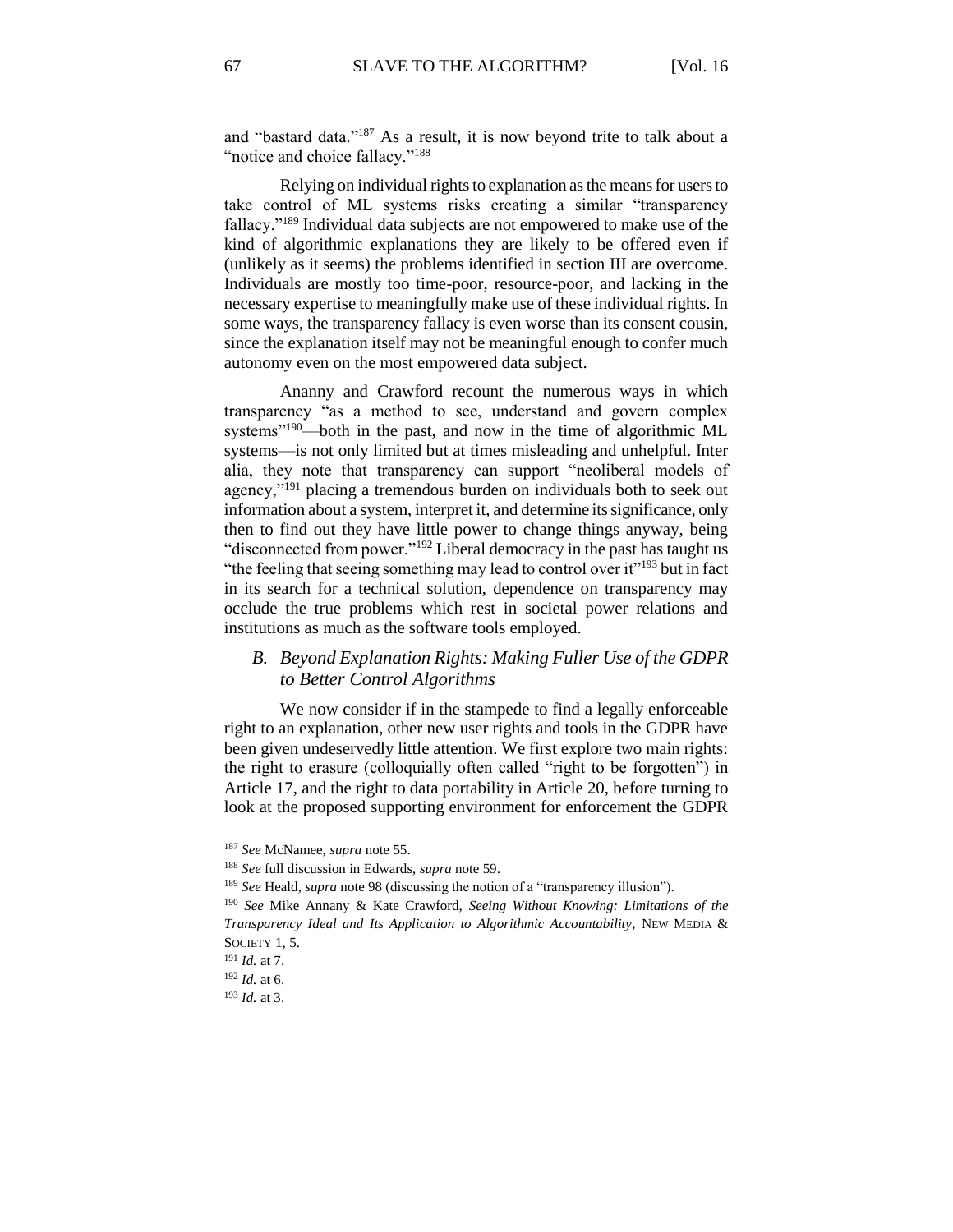and "bastard data." <sup>187</sup> As a result, it is now beyond trite to talk about a "notice and choice fallacy."<sup>188</sup>

Relying on individual rights to explanation as the means for users to take control of ML systems risks creating a similar "transparency fallacy."<sup>189</sup> Individual data subjects are not empowered to make use of the kind of algorithmic explanations they are likely to be offered even if (unlikely as it seems) the problems identified in section III are overcome. Individuals are mostly too time-poor, resource-poor, and lacking in the necessary expertise to meaningfully make use of these individual rights. In some ways, the transparency fallacy is even worse than its consent cousin, since the explanation itself may not be meaningful enough to confer much autonomy even on the most empowered data subject.

Ananny and Crawford recount the numerous ways in which transparency "as a method to see, understand and govern complex systems"<sup>190</sup>—both in the past, and now in the time of algorithmic ML systems—is not only limited but at times misleading and unhelpful. Inter alia, they note that transparency can support "neoliberal models of agency,"<sup>191</sup> placing a tremendous burden on individuals both to seek out information about a system, interpret it, and determine its significance, only then to find out they have little power to change things anyway, being "disconnected from power."<sup>192</sup> Liberal democracy in the past has taught us "the feeling that seeing something may lead to control over it"<sup>193</sup> but in fact" in its search for a technical solution, dependence on transparency may occlude the true problems which rest in societal power relations and institutions as much as the software tools employed.

## *B. Beyond Explanation Rights: Making Fuller Use of the GDPR to Better Control Algorithms*

We now consider if in the stampede to find a legally enforceable right to an explanation, other new user rights and tools in the GDPR have been given undeservedly little attention. We first explore two main rights: the right to erasure (colloquially often called "right to be forgotten") in Article 17, and the right to data portability in Article 20, before turning to look at the proposed supporting environment for enforcement the GDPR

<sup>187</sup> *See* McNamee, *supra* not[e 55.](#page-16-1)

<sup>188</sup> *See* full discussion in Edwards, *supra* not[e 59.](#page-16-0)

<sup>189</sup> *See* Heald, *supra* not[e 98](#page-23-1) (discussing the notion of a "transparency illusion").

<sup>190</sup> *See* Mike Annany & Kate Crawford, *Seeing Without Knowing: Limitations of the Transparency Ideal and Its Application to Algorithmic Accountability*, NEW MEDIA & SOCIETY 1, 5.

<sup>191</sup> *Id.* at 7.

<sup>192</sup> *Id.* at 6.

<sup>193</sup> *Id.* at 3.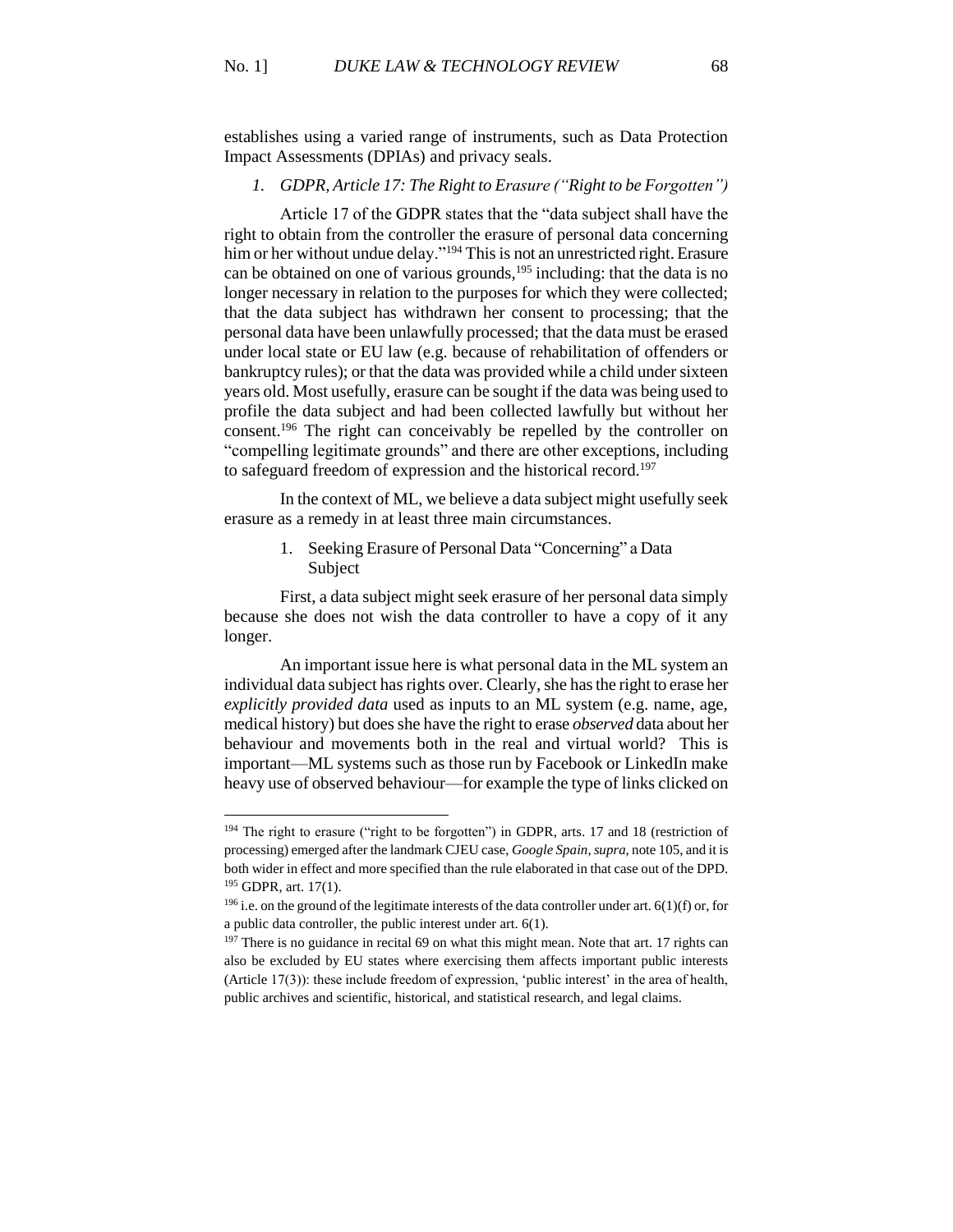establishes using a varied range of instruments, such as Data Protection Impact Assessments (DPIAs) and privacy seals.

#### *1. GDPR, Article 17: The Right to Erasure ("Right to be Forgotten")*

Article 17 of the GDPR states that the "data subject shall have the right to obtain from the controller the erasure of personal data concerning him or her without undue delay."<sup>194</sup> This is not an unrestricted right. Erasure can be obtained on one of various grounds,<sup>195</sup> including: that the data is no longer necessary in relation to the purposes for which they were collected; that the data subject has withdrawn her consent to processing; that the personal data have been unlawfully processed; that the data must be erased under local state or EU law (e.g. because of rehabilitation of offenders or bankruptcy rules); or that the data was provided while a child under sixteen years old. Most usefully, erasure can be sought if the data was being used to profile the data subject and had been collected lawfully but without her consent.<sup>196</sup> The right can conceivably be repelled by the controller on "compelling legitimate grounds" and there are other exceptions, including to safeguard freedom of expression and the historical record.<sup>197</sup>

In the context of ML, we believe a data subject might usefully seek erasure as a remedy in at least three main circumstances.

> 1. Seeking Erasure of Personal Data "Concerning" a Data Subject

First, a data subject might seek erasure of her personal data simply because she does not wish the data controller to have a copy of it any longer.

An important issue here is what personal data in the ML system an individual data subject has rights over. Clearly, she has the right to erase her *explicitly provided data* used as inputs to an ML system (e.g. name, age, medical history) but does she have the right to erase *observed* data about her behaviour and movements both in the real and virtual world? This is important—ML systems such as those run by Facebook or LinkedIn make heavy use of observed behaviour—for example the type of links clicked on

<sup>194</sup> The right to erasure ("right to be forgotten") in GDPR, arts. 17 and 18 (restriction of processing) emerged after the landmark CJEU case, *Google Spain*,*supra*, not[e 105,](#page-24-1) and it is both wider in effect and more specified than the rule elaborated in that case out of the DPD. <sup>195</sup> GDPR, art. 17(1).

<sup>&</sup>lt;sup>196</sup> i.e. on the ground of the legitimate interests of the data controller under art.  $6(1)(f)$  or, for a public data controller, the public interest under art. 6(1).

<sup>&</sup>lt;sup>197</sup> There is no guidance in recital 69 on what this might mean. Note that art. 17 rights can also be excluded by EU states where exercising them affects important public interests (Article 17(3)): these include freedom of expression, 'public interest' in the area of health, public archives and scientific, historical, and statistical research, and legal claims.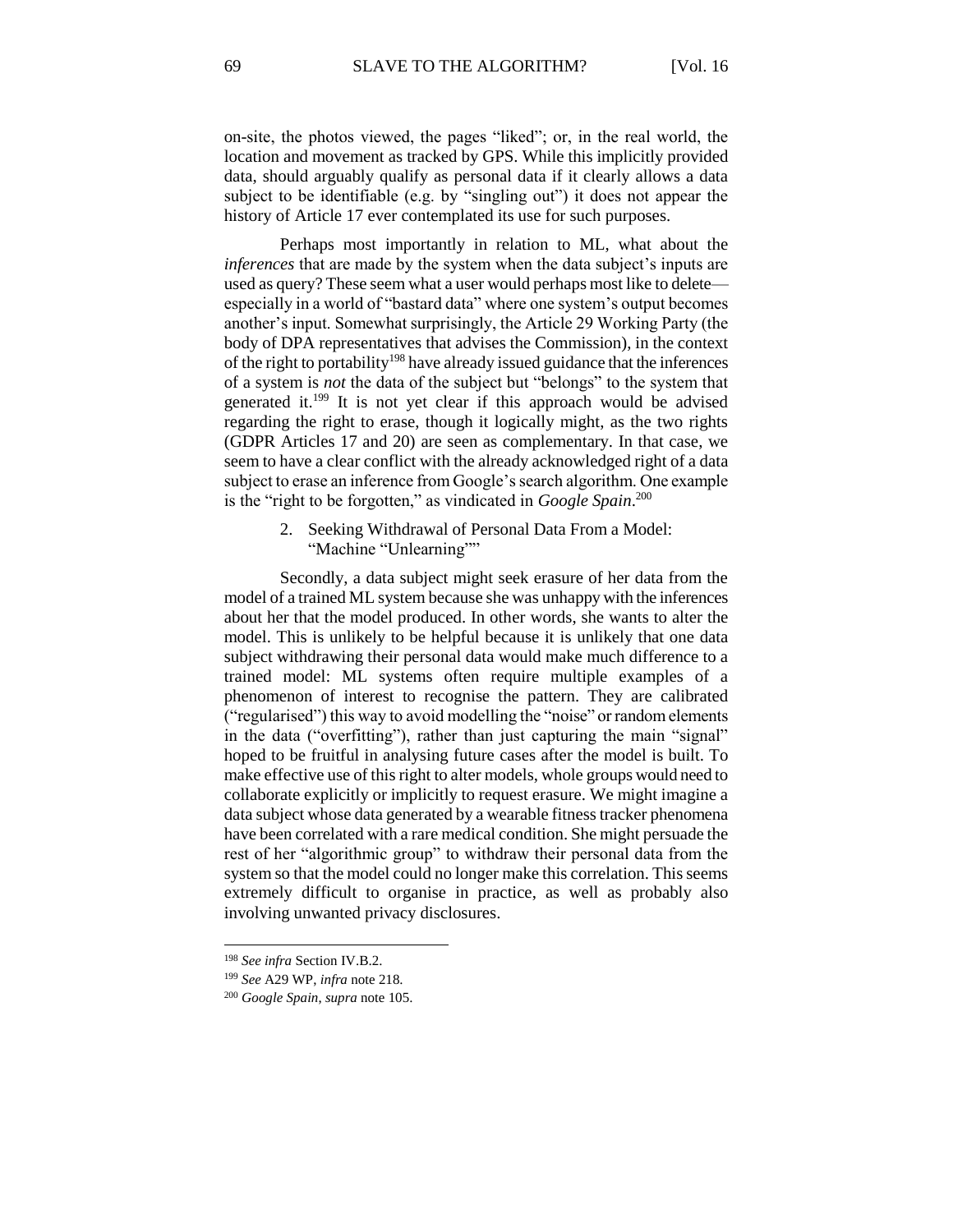on-site, the photos viewed, the pages "liked"; or, in the real world, the location and movement as tracked by GPS. While this implicitly provided data, should arguably qualify as personal data if it clearly allows a data subject to be identifiable (e.g. by "singling out") it does not appear the history of Article 17 ever contemplated its use for such purposes.

Perhaps most importantly in relation to ML, what about the *inferences* that are made by the system when the data subject's inputs are used as query? These seem what a user would perhaps most like to delete especially in a world of "bastard data" where one system's output becomes another's input. Somewhat surprisingly, the Article 29 Working Party (the body of DPA representatives that advises the Commission), in the context of the right to portability<sup>198</sup> have already issued guidance that the inferences of a system is *not* the data of the subject but "belongs" to the system that generated it.<sup>199</sup> It is not yet clear if this approach would be advised regarding the right to erase, though it logically might, as the two rights (GDPR Articles 17 and 20) are seen as complementary. In that case, we seem to have a clear conflict with the already acknowledged right of a data subject to erase an inference from Google's search algorithm. One example is the "right to be forgotten," as vindicated in *Google Spain*. 200

> 2. Seeking Withdrawal of Personal Data From a Model: "Machine "Unlearning""

Secondly, a data subject might seek erasure of her data from the model of a trained ML system because she was unhappy with the inferences about her that the model produced. In other words, she wants to alter the model. This is unlikely to be helpful because it is unlikely that one data subject withdrawing their personal data would make much difference to a trained model: ML systems often require multiple examples of a phenomenon of interest to recognise the pattern. They are calibrated ("regularised") this way to avoid modelling the "noise" or random elements in the data ("overfitting"), rather than just capturing the main "signal" hoped to be fruitful in analysing future cases after the model is built. To make effective use of this right to alter models, whole groups would need to collaborate explicitly or implicitly to request erasure. We might imagine a data subject whose data generated by a wearable fitness tracker phenomena have been correlated with a rare medical condition. She might persuade the rest of her "algorithmic group" to withdraw their personal data from the system so that the model could no longer make this correlation. This seems extremely difficult to organise in practice, as well as probably also involving unwanted privacy disclosures.

<sup>198</sup> *See infra* Section IV.B.2.

<sup>199</sup> *See* A29 WP, *infra* not[e 218.](#page-56-0)

<sup>200</sup> *Google Spain*, *supra* not[e 105.](#page-24-1)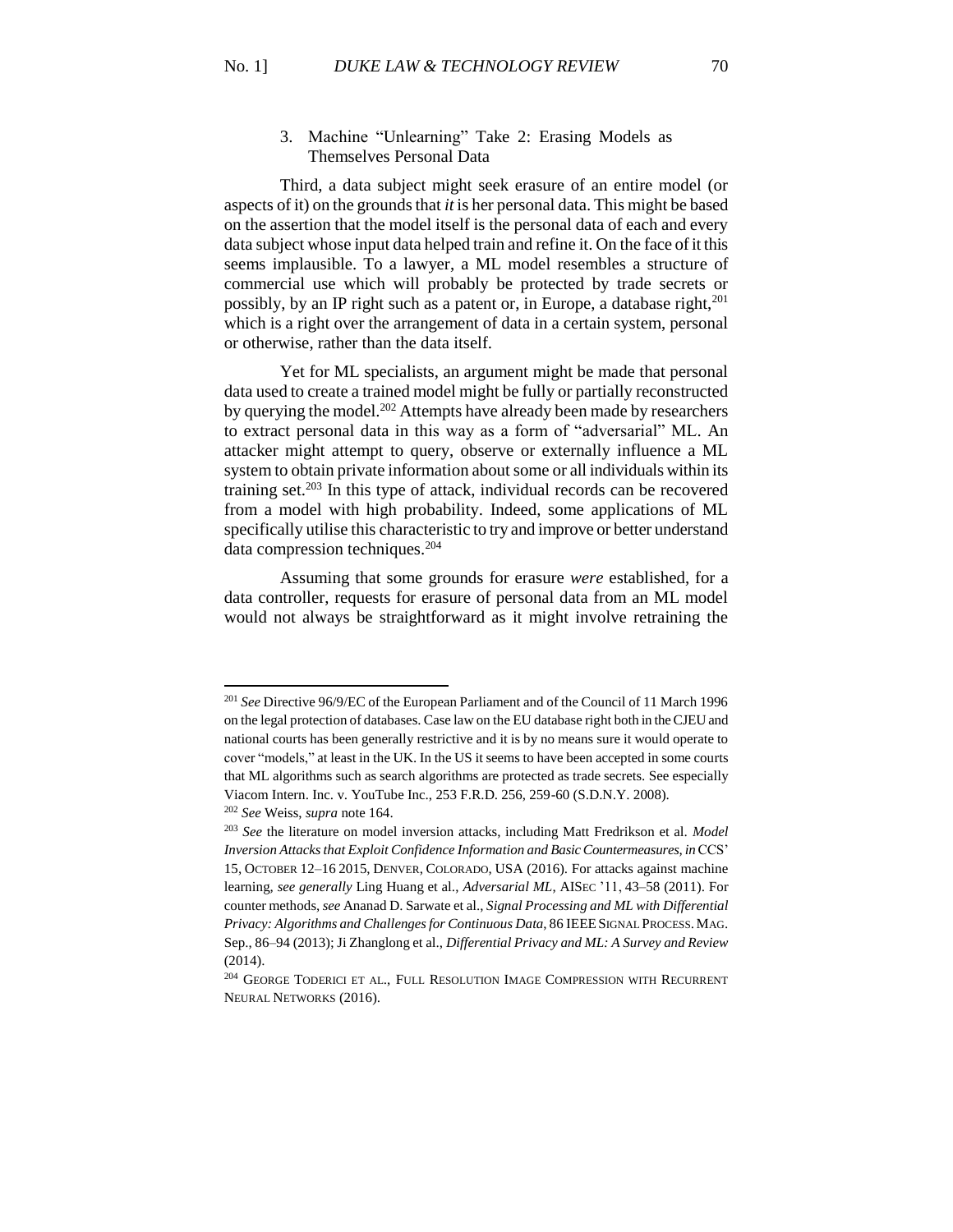## 3. Machine "Unlearning" Take 2: Erasing Models as Themselves Personal Data

Third, a data subject might seek erasure of an entire model (or aspects of it) on the grounds that *it* is her personal data. This might be based on the assertion that the model itself is the personal data of each and every data subject whose input data helped train and refine it. On the face of it this seems implausible. To a lawyer, a ML model resembles a structure of commercial use which will probably be protected by trade secrets or possibly, by an IP right such as a patent or, in Europe, a database right,  $^{201}$ which is a right over the arrangement of data in a certain system, personal or otherwise, rather than the data itself.

Yet for ML specialists, an argument might be made that personal data used to create a trained model might be fully or partially reconstructed by querying the model.<sup>202</sup> Attempts have already been made by researchers to extract personal data in this way as a form of "adversarial" ML. An attacker might attempt to query, observe or externally influence a ML system to obtain private information about some or all individuals within its training set. $203$  In this type of attack, individual records can be recovered from a model with high probability. Indeed, some applications of ML specifically utilise this characteristic to try and improve or better understand data compression techniques.<sup>204</sup>

Assuming that some grounds for erasure *were* established, for a data controller, requests for erasure of personal data from an ML model would not always be straightforward as it might involve retraining the

<sup>201</sup> *See* Directive 96/9/EC of the European Parliament and of the Council of 11 March 1996 on the legal protection of databases. Case law on the EU database right both in the CJEU and national courts has been generally restrictive and it is by no means sure it would operate to cover "models," at least in the UK. In the US it seems to have been accepted in some courts that ML algorithms such as search algorithms are protected as trade secrets. See especially Viacom Intern. Inc. v. YouTube Inc., 253 F.R.D. 256, 259-60 (S.D.N.Y. 2008). <sup>202</sup> *See* Weiss, *supra* note [164.](#page-42-0)

<sup>203</sup> *See* the literature on model inversion attacks, including Matt Fredrikson et al. *Model Inversion Attacks that Exploit Confidence Information and Basic Countermeasures*, *in* CCS' 15, OCTOBER 12–16 2015, DENVER, COLORADO, USA (2016). For attacks against machine learning, *see generally* Ling Huang et al., *Adversarial ML*, AISEC '11, 43–58 (2011). For counter methods, *see* Ananad D. Sarwate et al., *Signal Processing and ML with Differential Privacy: Algorithms and Challenges for Continuous Data*, 86 IEEESIGNAL PROCESS. MAG. Sep., 86–94 (2013); Ji Zhanglong et al., *Differential Privacy and ML: A Survey and Review* (2014).

<sup>&</sup>lt;sup>204</sup> GEORGE TODERICI ET AL., FULL RESOLUTION IMAGE COMPRESSION WITH RECURRENT NEURAL NETWORKS (2016).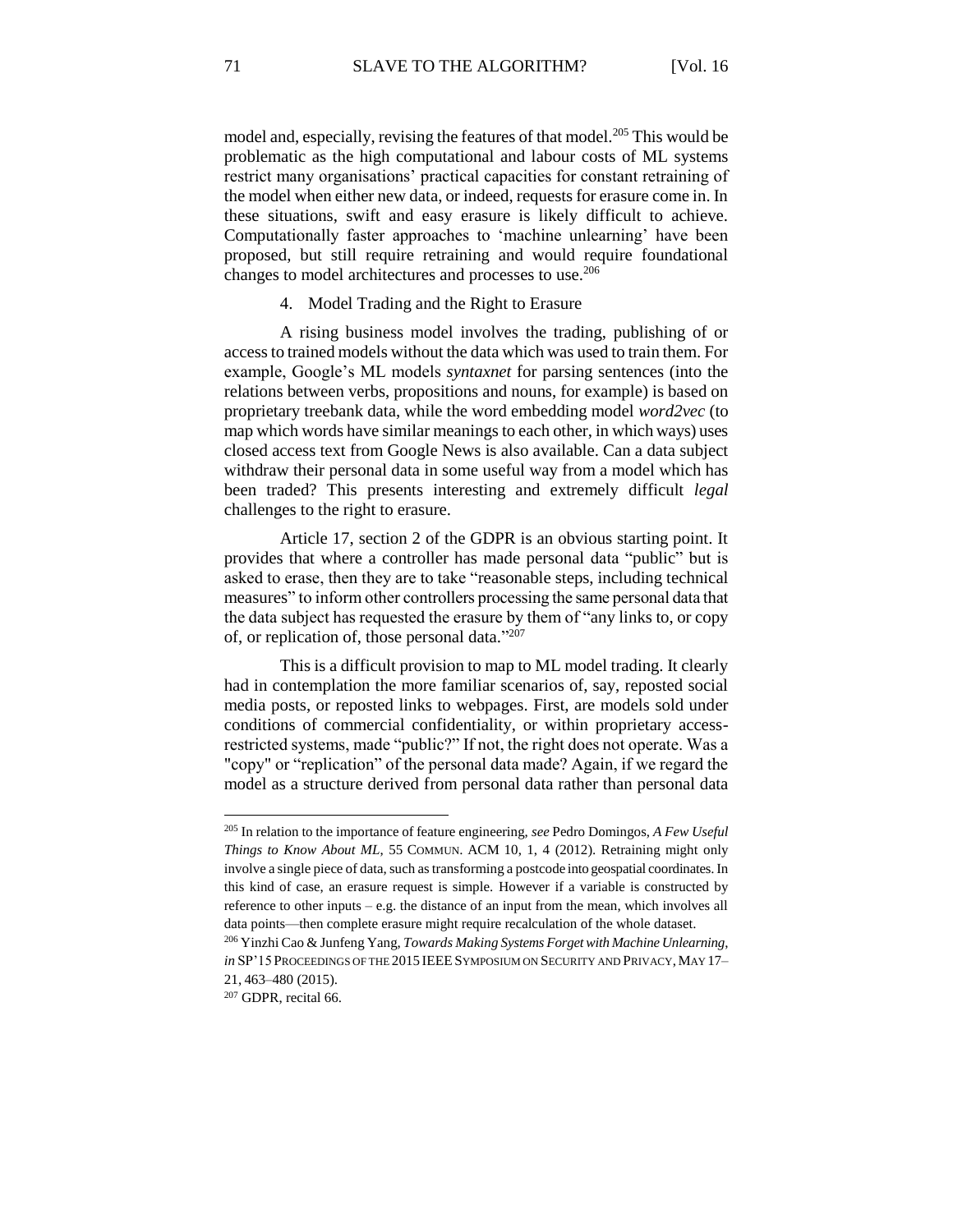model and, especially, revising the features of that model.<sup>205</sup> This would be problematic as the high computational and labour costs of ML systems restrict many organisations' practical capacities for constant retraining of the model when either new data, or indeed, requests for erasure come in. In these situations, swift and easy erasure is likely difficult to achieve. Computationally faster approaches to 'machine unlearning' have been proposed, but still require retraining and would require foundational changes to model architectures and processes to use.<sup>206</sup>

4. Model Trading and the Right to Erasure

A rising business model involves the trading, publishing of or access to trained models without the data which was used to train them. For example, Google's ML models *syntaxnet* for parsing sentences (into the relations between verbs, propositions and nouns, for example) is based on proprietary treebank data, while the word embedding model *word2vec* (to map which words have similar meanings to each other, in which ways) uses closed access text from Google News is also available. Can a data subject withdraw their personal data in some useful way from a model which has been traded? This presents interesting and extremely difficult *legal* challenges to the right to erasure.

Article 17, section 2 of the GDPR is an obvious starting point. It provides that where a controller has made personal data "public" but is asked to erase, then they are to take "reasonable steps, including technical measures" to inform other controllers processing the same personal data that the data subject has requested the erasure by them of "any links to, or copy of, or replication of, those personal data." 207

This is a difficult provision to map to ML model trading. It clearly had in contemplation the more familiar scenarios of, say, reposted social media posts, or reposted links to webpages. First, are models sold under conditions of commercial confidentiality, or within proprietary accessrestricted systems, made "public?" If not, the right does not operate. Was a "copy" or "replication" of the personal data made? Again, if we regard the model as a structure derived from personal data rather than personal data

<sup>205</sup> In relation to the importance of feature engineering, *see* Pedro Domingos, *A Few Useful Things to Know About ML*, 55 COMMUN. ACM 10, 1, 4 (2012). Retraining might only involve a single piece of data, such as transforming a postcode into geospatial coordinates. In this kind of case, an erasure request is simple. However if a variable is constructed by reference to other inputs – e.g. the distance of an input from the mean, which involves all data points—then complete erasure might require recalculation of the whole dataset.

<sup>206</sup> Yinzhi Cao & Junfeng Yang, *Towards Making Systems Forget with Machine Unlearning*, *in* SP'15 PROCEEDINGS OF THE 2015 IEEESYMPOSIUM ON SECURITY AND PRIVACY, MAY 17– 21, 463–480 (2015).

<sup>207</sup> GDPR, recital 66.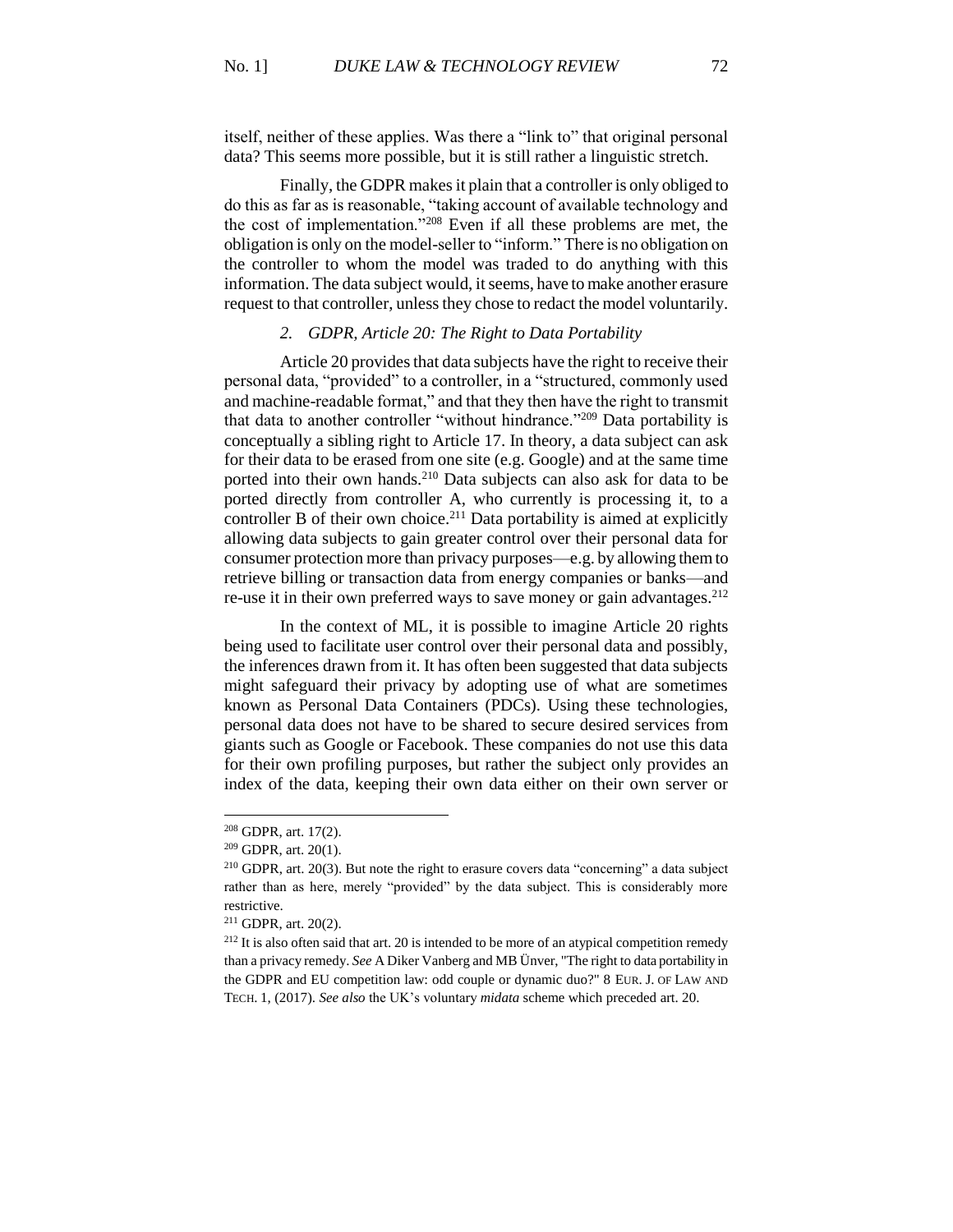itself, neither of these applies. Was there a "link to" that original personal data? This seems more possible, but it is still rather a linguistic stretch.

Finally, the GDPR makes it plain that a controller is only obliged to do this as far as is reasonable, "taking account of available technology and the cost of implementation."<sup>208</sup> Even if all these problems are met, the obligation is only on the model-seller to "inform." There is no obligation on the controller to whom the model was traded to do anything with this information. The data subject would, it seems, have to make another erasure request to that controller, unless they chose to redact the model voluntarily.

## *2. GDPR, Article 20: The Right to Data Portability*

Article 20 provides that data subjects have the right to receive their personal data, "provided" to a controller, in a "structured, commonly used and machine-readable format," and that they then have the right to transmit that data to another controller "without hindrance."<sup>209</sup> Data portability is conceptually a sibling right to Article 17. In theory, a data subject can ask for their data to be erased from one site (e.g. Google) and at the same time ported into their own hands.<sup>210</sup> Data subjects can also ask for data to be ported directly from controller A, who currently is processing it, to a controller B of their own choice.<sup>211</sup> Data portability is aimed at explicitly allowing data subjects to gain greater control over their personal data for consumer protection more than privacy purposes—e.g. by allowing them to retrieve billing or transaction data from energy companies or banks—and re-use it in their own preferred ways to save money or gain advantages.<sup>212</sup>

In the context of ML, it is possible to imagine Article 20 rights being used to facilitate user control over their personal data and possibly, the inferences drawn from it. It has often been suggested that data subjects might safeguard their privacy by adopting use of what are sometimes known as Personal Data Containers (PDCs). Using these technologies, personal data does not have to be shared to secure desired services from giants such as Google or Facebook. These companies do not use this data for their own profiling purposes, but rather the subject only provides an index of the data, keeping their own data either on their own server or

<sup>208</sup> GDPR, art. 17(2).

<sup>209</sup> GDPR, art. 20(1).

<sup>210</sup> GDPR, art. 20(3). But note the right to erasure covers data "concerning" a data subject rather than as here, merely "provided" by the data subject. This is considerably more restrictive.

<sup>211</sup> GDPR, art. 20(2).

<sup>&</sup>lt;sup>212</sup> It is also often said that art. 20 is intended to be more of an atypical competition remedy than a privacy remedy. *See* A Diker Vanberg and MB Ünver, "The right to data portability in the GDPR and EU competition law: odd couple or dynamic duo?" 8 EUR. J. OF LAW AND TECH. 1, (2017). *See also* the UK's voluntary *midata* scheme which preceded art. 20.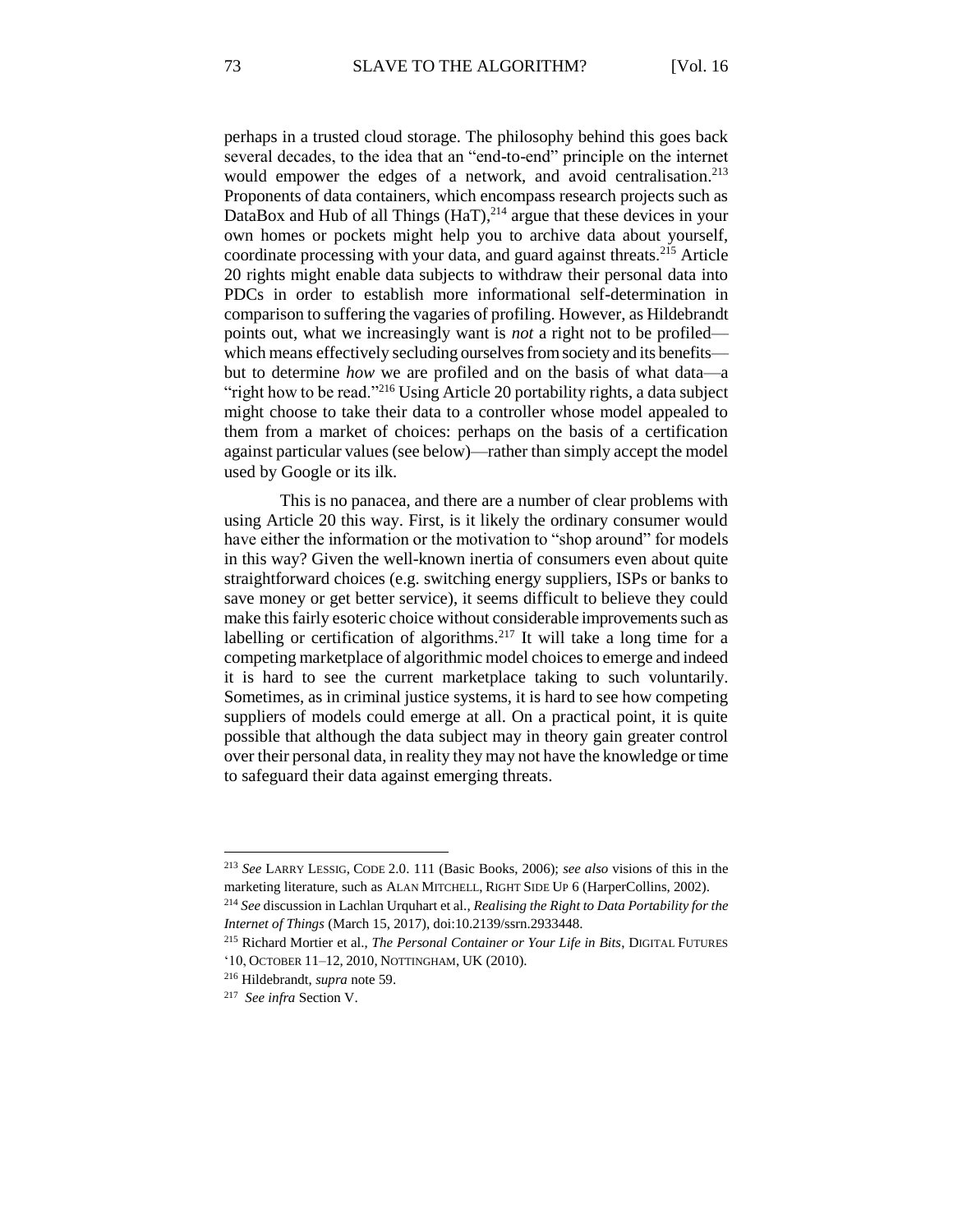perhaps in a trusted cloud storage. The philosophy behind this goes back several decades, to the idea that an "end-to-end" principle on the internet would empower the edges of a network, and avoid centralisation.<sup>213</sup> Proponents of data containers, which encompass research projects such as DataBox and Hub of all Things (HaT),<sup>214</sup> argue that these devices in your own homes or pockets might help you to archive data about yourself, coordinate processing with your data, and guard against threats.<sup>215</sup> Article 20 rights might enable data subjects to withdraw their personal data into PDCs in order to establish more informational self-determination in comparison to suffering the vagaries of profiling. However, as Hildebrandt points out, what we increasingly want is *not* a right not to be profiled which means effectively secluding ourselves from society and its benefits but to determine *how* we are profiled and on the basis of what data—a "right how to be read."<sup>216</sup> Using Article 20 portability rights, a data subject might choose to take their data to a controller whose model appealed to them from a market of choices: perhaps on the basis of a certification against particular values (see below)—rather than simply accept the model used by Google or its ilk.

This is no panacea, and there are a number of clear problems with using Article 20 this way. First, is it likely the ordinary consumer would have either the information or the motivation to "shop around" for models in this way? Given the well-known inertia of consumers even about quite straightforward choices (e.g. switching energy suppliers, ISPs or banks to save money or get better service), it seems difficult to believe they could make this fairly esoteric choice without considerable improvements such as labelling or certification of algorithms.<sup>217</sup> It will take a long time for a competing marketplace of algorithmic model choices to emerge and indeed it is hard to see the current marketplace taking to such voluntarily. Sometimes, as in criminal justice systems, it is hard to see how competing suppliers of models could emerge at all. On a practical point, it is quite possible that although the data subject may in theory gain greater control over their personal data, in reality they may not have the knowledge or time to safeguard their data against emerging threats.

<sup>213</sup> *See* LARRY LESSIG, CODE 2.0. 111 (Basic Books, 2006); *see also* visions of this in the marketing literature, such as ALAN MITCHELL, RIGHT SIDE UP 6 (HarperCollins, 2002).

<sup>214</sup> *See* discussion in Lachlan Urquhart et al., *Realising the Right to Data Portability for the Internet of Things* (March 15, 2017), doi:10.2139/ssrn.2933448.

<sup>215</sup> Richard Mortier et al., *The Personal Container or Your Life in Bits*, DIGITAL FUTURES '10, OCTOBER 11–12, 2010, NOTTINGHAM, UK (2010).

<sup>216</sup> Hildebrandt, *supra* not[e 59.](#page-16-2)

<sup>217</sup> *See infra* Section V.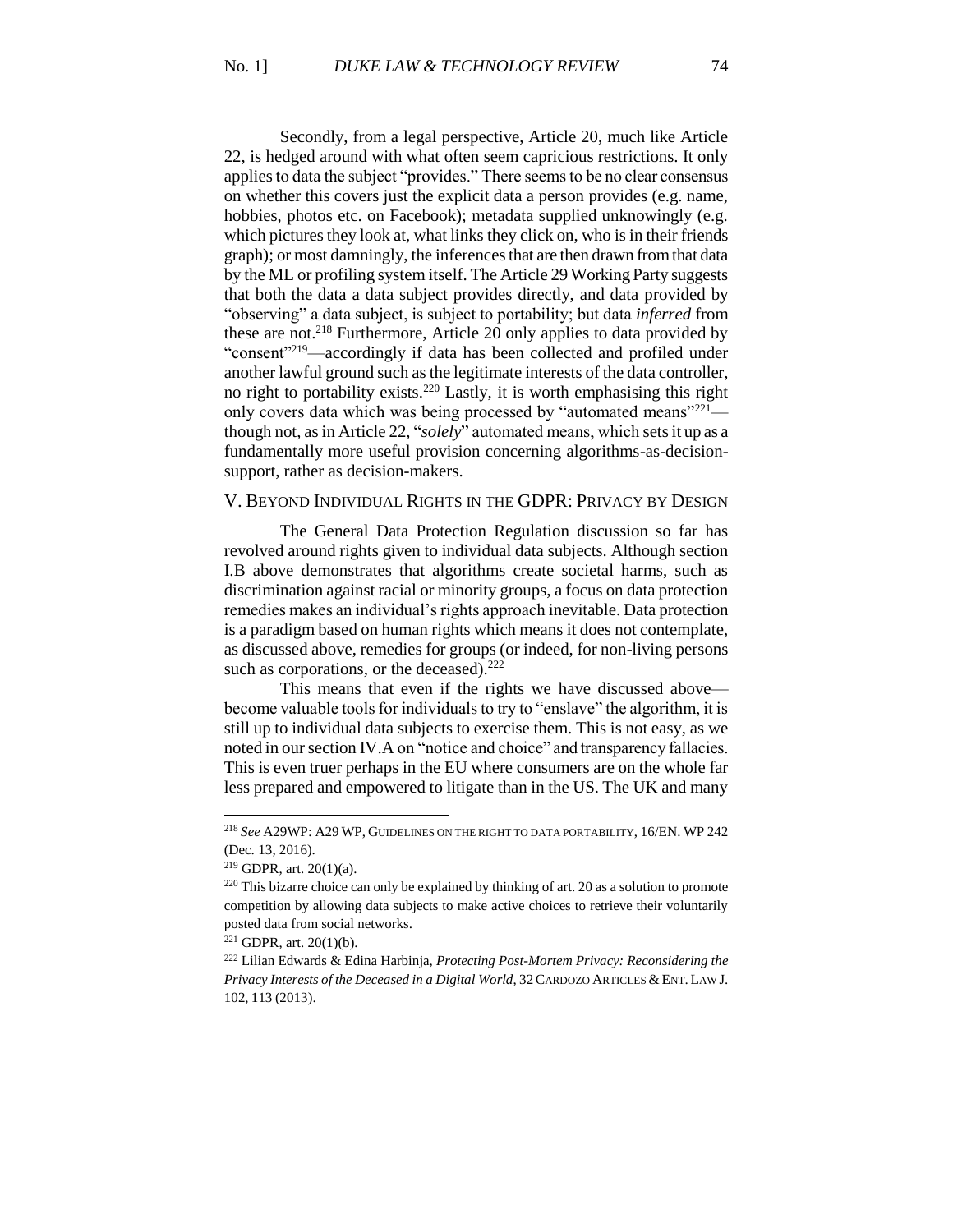Secondly, from a legal perspective, Article 20, much like Article 22, is hedged around with what often seem capricious restrictions. It only applies to data the subject "provides." There seems to be no clear consensus on whether this covers just the explicit data a person provides (e.g. name, hobbies, photos etc. on Facebook); metadata supplied unknowingly (e.g. which pictures they look at, what links they click on, who is in their friends graph); or most damningly, the inferences that are then drawn from that data by the ML or profiling system itself. The Article 29 Working Party suggests that both the data a data subject provides directly, and data provided by "observing" a data subject, is subject to portability; but data *inferred* from these are not.<sup>218</sup> Furthermore, Article 20 only applies to data provided by "consent"<sup>219</sup>—accordingly if data has been collected and profiled under another lawful ground such as the legitimate interests of the data controller, no right to portability exists.<sup>220</sup> Lastly, it is worth emphasising this right only covers data which was being processed by "automated means"<sup>221</sup> though not, as in Article 22*,* "*solely*" automated means, which sets it up as a fundamentally more useful provision concerning algorithms-as-decisionsupport, rather as decision-makers.

### <span id="page-56-0"></span>V. BEYOND INDIVIDUAL RIGHTS IN THE GDPR: PRIVACY BY DESIGN

The General Data Protection Regulation discussion so far has revolved around rights given to individual data subjects. Although section I.B above demonstrates that algorithms create societal harms, such as discrimination against racial or minority groups, a focus on data protection remedies makes an individual's rights approach inevitable. Data protection is a paradigm based on human rights which means it does not contemplate, as discussed above, remedies for groups (or indeed, for non-living persons such as corporations, or the deceased). $222$ 

This means that even if the rights we have discussed above become valuable tools for individuals to try to "enslave" the algorithm, it is still up to individual data subjects to exercise them. This is not easy, as we noted in our section IV.A on "notice and choice" and transparency fallacies. This is even truer perhaps in the EU where consumers are on the whole far less prepared and empowered to litigate than in the US. The UK and many

<sup>218</sup> *See* A29WP: A29 WP, GUIDELINES ON THE RIGHT TO DATA PORTABILITY, 16/EN. WP 242 (Dec. 13, 2016).

 $219$  GDPR, art.  $20(1)(a)$ .

 $220$  This bizarre choice can only be explained by thinking of art. 20 as a solution to promote competition by allowing data subjects to make active choices to retrieve their voluntarily posted data from social networks.

<sup>221</sup> GDPR, art. 20(1)(b).

<sup>222</sup> Lilian Edwards & Edina Harbinja, *Protecting Post-Mortem Privacy: Reconsidering the Privacy Interests of the Deceased in a Digital World*, 32 CARDOZO ARTICLES & ENT. LAW J. 102, 113 (2013).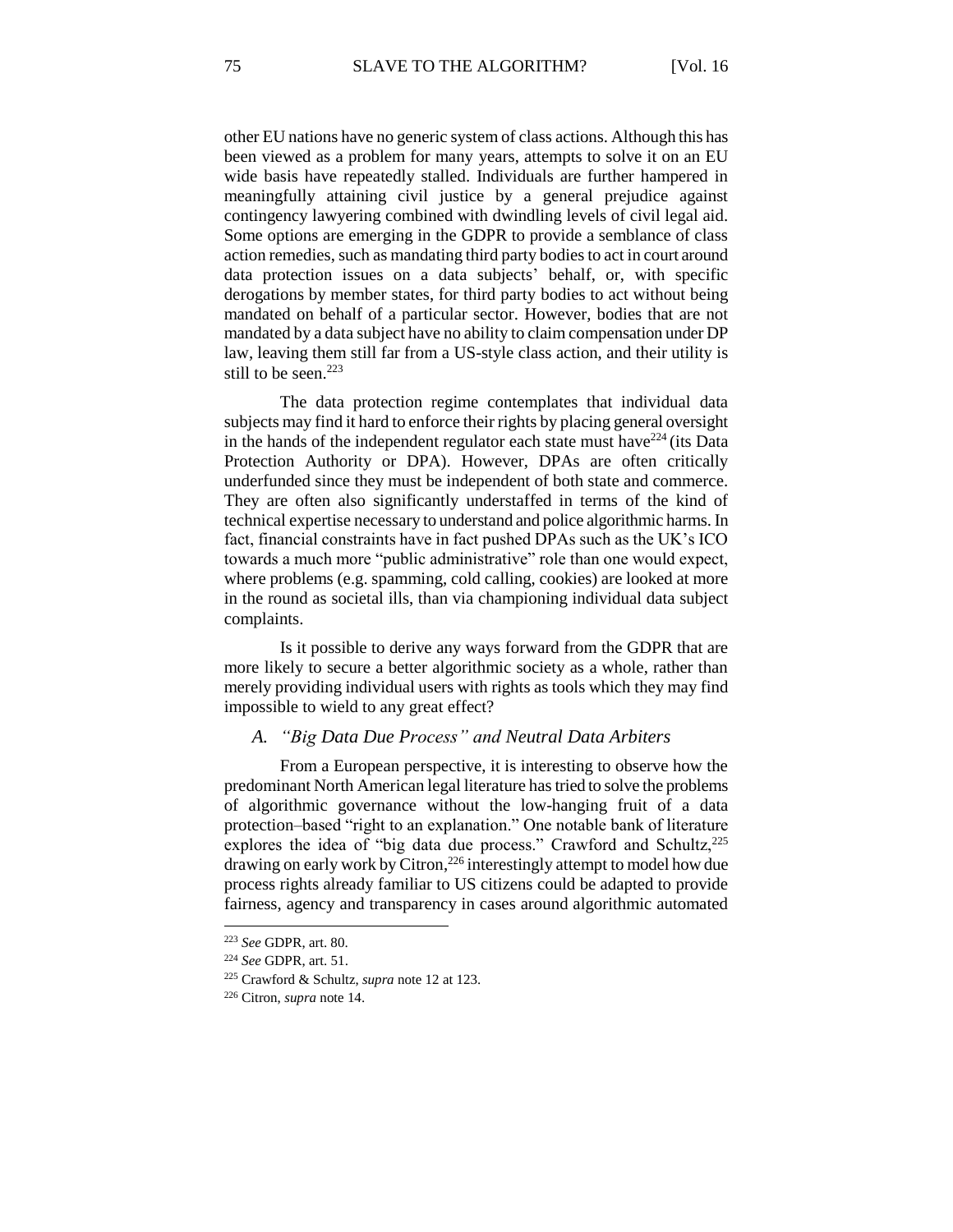other EU nations have no generic system of class actions. Although this has been viewed as a problem for many years, attempts to solve it on an EU wide basis have repeatedly stalled. Individuals are further hampered in meaningfully attaining civil justice by a general prejudice against contingency lawyering combined with dwindling levels of civil legal aid. Some options are emerging in the GDPR to provide a semblance of class action remedies, such as mandating third party bodies to act in court around data protection issues on a data subjects' behalf, or, with specific derogations by member states, for third party bodies to act without being mandated on behalf of a particular sector. However, bodies that are not mandated by a data subject have no ability to claim compensation under DP law, leaving them still far from a US-style class action, and their utility is still to be seen.<sup>223</sup>

The data protection regime contemplates that individual data subjects may find it hard to enforce their rights by placing general oversight in the hands of the independent regulator each state must have<sup>224</sup> (its Data Protection Authority or DPA). However, DPAs are often critically underfunded since they must be independent of both state and commerce. They are often also significantly understaffed in terms of the kind of technical expertise necessary to understand and police algorithmic harms. In fact, financial constraints have in fact pushed DPAs such as the UK's ICO towards a much more "public administrative" role than one would expect, where problems (e.g. spamming, cold calling, cookies) are looked at more in the round as societal ills, than via championing individual data subject complaints.

Is it possible to derive any ways forward from the GDPR that are more likely to secure a better algorithmic society as a whole, rather than merely providing individual users with rights as tools which they may find impossible to wield to any great effect?

## *A. "Big Data Due Process" and Neutral Data Arbiters*

From a European perspective, it is interesting to observe how the predominant North American legal literature has tried to solve the problems of algorithmic governance without the low-hanging fruit of a data protection–based "right to an explanation." One notable bank of literature explores the idea of "big data due process." Crawford and Schultz, <sup>225</sup> drawing on early work by Citron,<sup>226</sup> interestingly attempt to model how due process rights already familiar to US citizens could be adapted to provide fairness, agency and transparency in cases around algorithmic automated

<sup>223</sup> *See* GDPR, art. 80.

<sup>224</sup> *See* GDPR, art. 51.

<sup>225</sup> Crawford & Schultz, *supra* not[e 12](#page-5-2) at 123.

<sup>226</sup> Citron, *supra* not[e 14.](#page-5-1)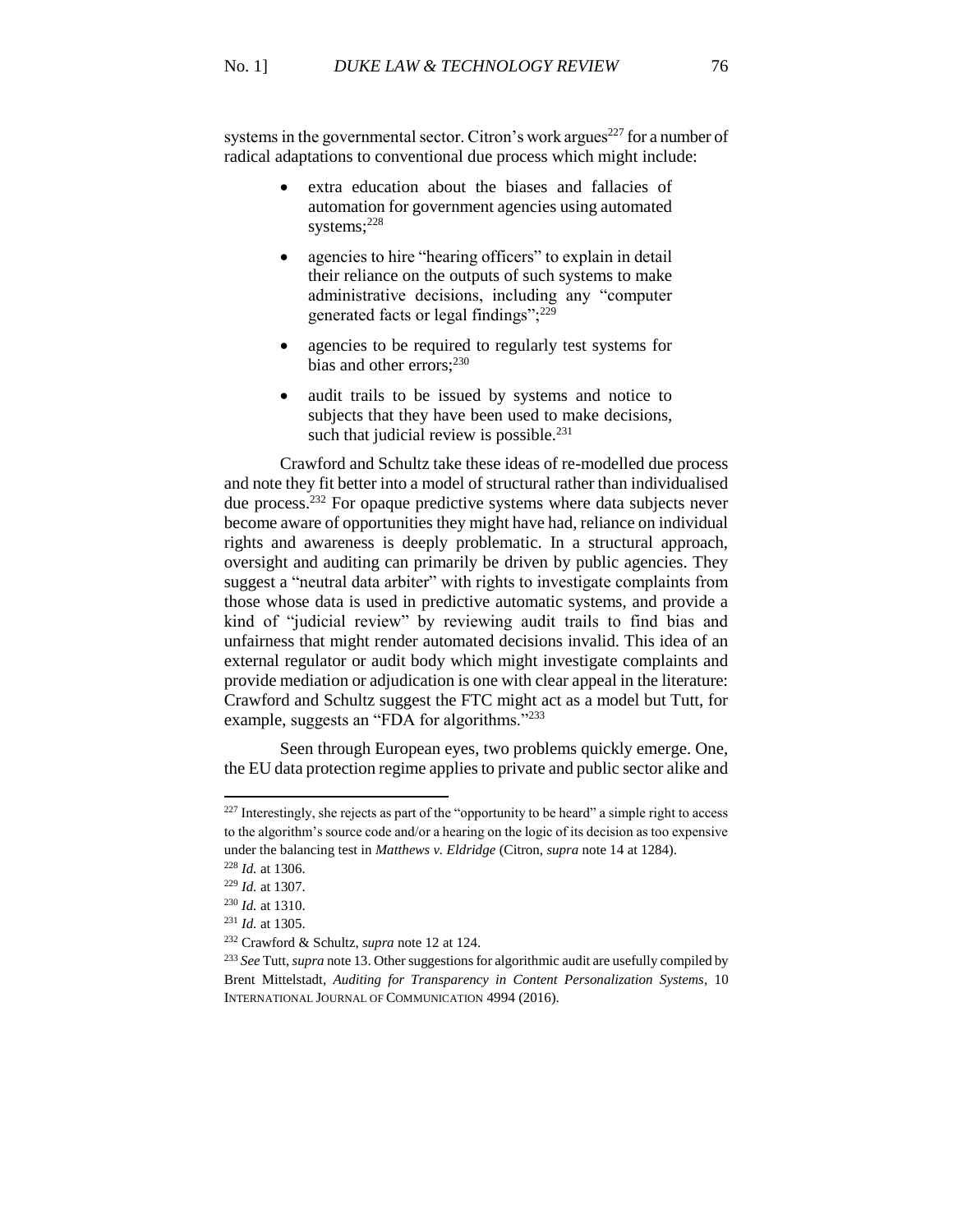systems in the governmental sector. Citron's work argues<sup>227</sup> for a number of radical adaptations to conventional due process which might include:

- extra education about the biases and fallacies of automation for government agencies using automated systems;<sup>228</sup>
- agencies to hire "hearing officers" to explain in detail their reliance on the outputs of such systems to make administrative decisions, including any "computer generated facts or legal findings";<sup>229</sup>
- agencies to be required to regularly test systems for bias and other errors:<sup>230</sup>
- audit trails to be issued by systems and notice to subjects that they have been used to make decisions, such that judicial review is possible. $^{231}$

Crawford and Schultz take these ideas of re-modelled due process and note they fit better into a model of structural rather than individualised due process.<sup>232</sup> For opaque predictive systems where data subjects never become aware of opportunities they might have had, reliance on individual rights and awareness is deeply problematic. In a structural approach, oversight and auditing can primarily be driven by public agencies. They suggest a "neutral data arbiter" with rights to investigate complaints from those whose data is used in predictive automatic systems, and provide a kind of "judicial review" by reviewing audit trails to find bias and unfairness that might render automated decisions invalid. This idea of an external regulator or audit body which might investigate complaints and provide mediation or adjudication is one with clear appeal in the literature: Crawford and Schultz suggest the FTC might act as a model but Tutt, for example, suggests an "FDA for algorithms."<sup>233</sup>

Seen through European eyes, two problems quickly emerge. One, the EU data protection regime applies to private and public sector alike and

<sup>&</sup>lt;sup>227</sup> Interestingly, she rejects as part of the "opportunity to be heard" a simple right to access to the algorithm's source code and/or a hearing on the logic of its decision as too expensive under the balancing test in *Matthews v. Eldridge* (Citron, *supra* not[e 14](#page-5-1) at 1284). <sup>228</sup> *Id.* at 1306.

<sup>229</sup> *Id.* at 1307. <sup>230</sup> *Id.* at 1310.

<sup>231</sup> *Id.* at 1305.

<sup>232</sup> Crawford & Schultz, *supra* not[e 12](#page-5-2) at 124.

<sup>233</sup> *See* Tutt, *supra* not[e 13.](#page-5-3) Other suggestions for algorithmic audit are usefully compiled by Brent Mittelstadt, *Auditing for Transparency in Content Personalization Systems*, 10 INTERNATIONAL JOURNAL OF COMMUNICATION 4994 (2016).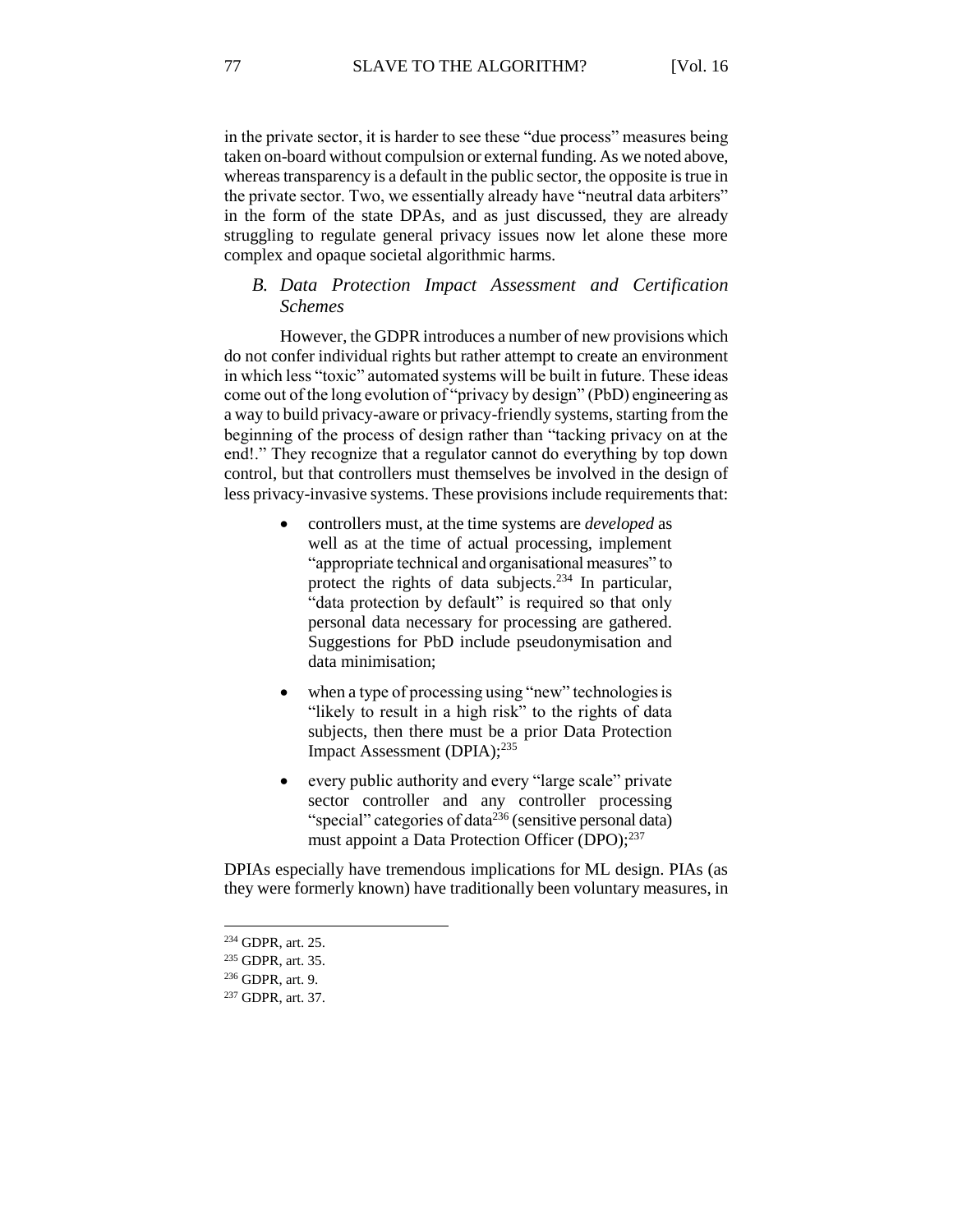in the private sector, it is harder to see these "due process" measures being taken on-board without compulsion or external funding. As we noted above, whereas transparency is a default in the public sector, the opposite is true in the private sector. Two, we essentially already have "neutral data arbiters" in the form of the state DPAs, and as just discussed, they are already struggling to regulate general privacy issues now let alone these more complex and opaque societal algorithmic harms.

## *B. Data Protection Impact Assessment and Certification Schemes*

However, the GDPR introduces a number of new provisions which do not confer individual rights but rather attempt to create an environment in which less "toxic" automated systems will be built in future. These ideas come out of the long evolution of "privacy by design" (PbD) engineering as a way to build privacy-aware or privacy-friendly systems, starting from the beginning of the process of design rather than "tacking privacy on at the end!." They recognize that a regulator cannot do everything by top down control, but that controllers must themselves be involved in the design of less privacy-invasive systems. These provisions include requirements that:

- controllers must, at the time systems are *developed* as well as at the time of actual processing, implement "appropriate technical and organisational measures" to protect the rights of data subjects.<sup>234</sup> In particular, "data protection by default" is required so that only personal data necessary for processing are gathered. Suggestions for PbD include pseudonymisation and data minimisation;
- when a type of processing using "new" technologies is "likely to result in a high risk" to the rights of data subjects, then there must be a prior Data Protection Impact Assessment (DPIA);<sup>235</sup>
- every public authority and every "large scale" private sector controller and any controller processing "special" categories of data<sup>236</sup> (sensitive personal data) must appoint a Data Protection Officer (DPO);<sup>237</sup>

DPIAs especially have tremendous implications for ML design. PIAs (as they were formerly known) have traditionally been voluntary measures, in

<sup>234</sup> GDPR, art. 25.

<sup>235</sup> GDPR, art. 35.

<sup>236</sup> GDPR, art. 9.

<sup>237</sup> GDPR, art. 37.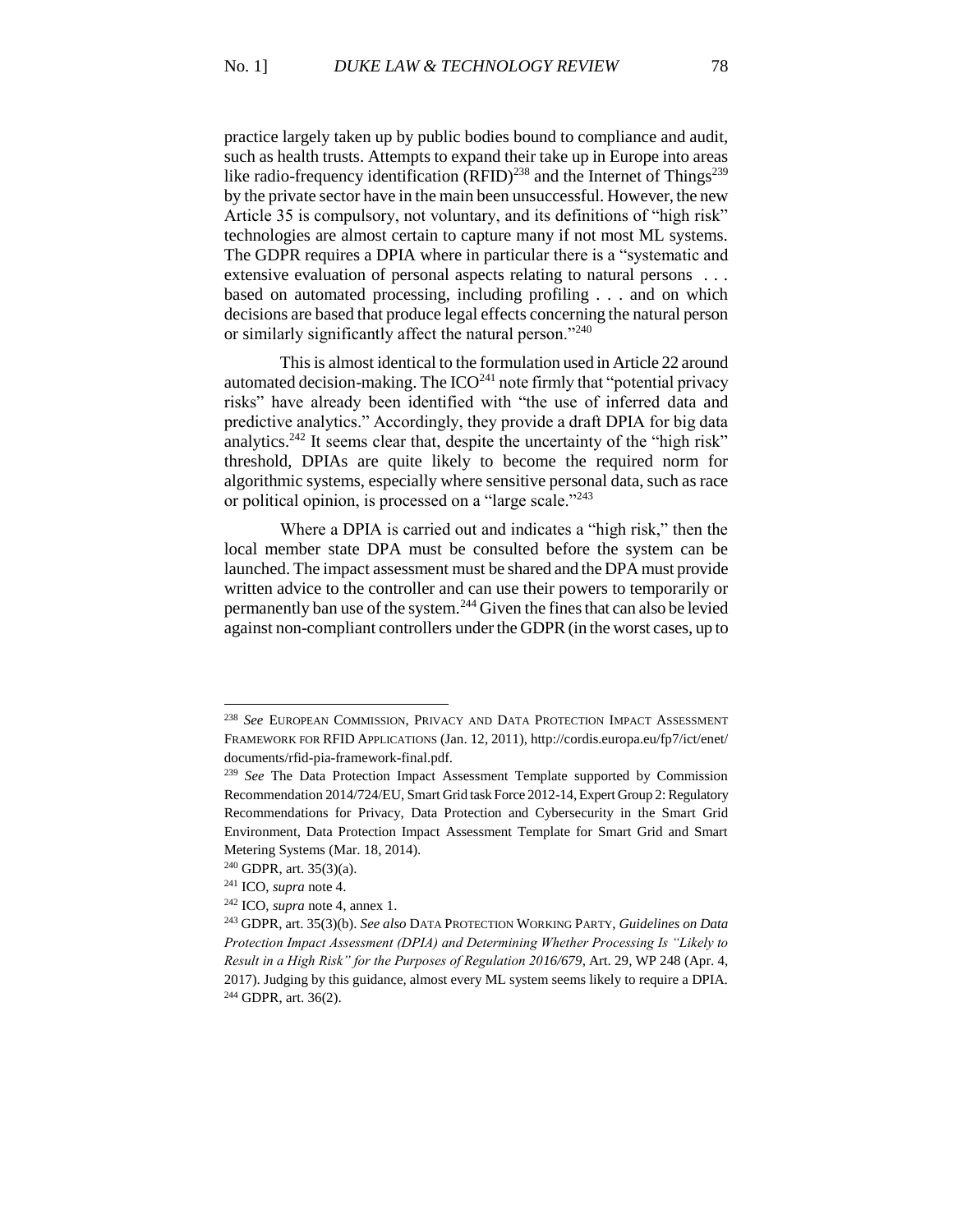practice largely taken up by public bodies bound to compliance and audit, such as health trusts. Attempts to expand their take up in Europe into areas like radio-frequency identification  $(RFID)^{238}$  and the Internet of Things<sup>239</sup> by the private sector have in the main been unsuccessful. However, the new Article 35 is compulsory, not voluntary, and its definitions of "high risk" technologies are almost certain to capture many if not most ML systems. The GDPR requires a DPIA where in particular there is a "systematic and extensive evaluation of personal aspects relating to natural persons ... based on automated processing, including profiling . . . and on which decisions are based that produce legal effects concerning the natural person or similarly significantly affect the natural person."<sup>240</sup>

This is almost identical to the formulation used in Article 22 around automated decision-making. The  $\text{ICO}^{241}$  note firmly that "potential privacy risks" have already been identified with "the use of inferred data and predictive analytics." Accordingly, they provide a draft DPIA for big data analytics.<sup>242</sup> It seems clear that, despite the uncertainty of the "high risk" threshold, DPIAs are quite likely to become the required norm for algorithmic systems, especially where sensitive personal data, such as race or political opinion, is processed on a "large scale."<sup>243</sup>

Where a DPIA is carried out and indicates a "high risk," then the local member state DPA must be consulted before the system can be launched. The impact assessment must be shared and the DPA must provide written advice to the controller and can use their powers to temporarily or permanently ban use of the system.<sup>244</sup> Given the fines that can also be levied against non-compliant controllers under the GDPR (in the worst cases, up to

<sup>238</sup> *See* EUROPEAN COMMISSION, PRIVACY AND DATA PROTECTION IMPACT ASSESSMENT FRAMEWORK FOR RFID APPLICATIONS (Jan. 12, 2011), http://cordis.europa.eu/fp7/ict/enet/ documents/rfid-pia-framework-final.pdf.

<sup>239</sup> *See* The Data Protection Impact Assessment Template supported by Commission Recommendation 2014/724/EU, Smart Grid task Force 2012-14, Expert Group 2: Regulatory Recommendations for Privacy, Data Protection and Cybersecurity in the Smart Grid Environment, Data Protection Impact Assessment Template for Smart Grid and Smart Metering Systems (Mar. 18, 2014).

<sup>240</sup> GDPR, art. 35(3)(a).

<sup>241</sup> ICO, *supra* note [4.](#page-2-1)

<sup>242</sup> ICO, *supra* note [4,](#page-2-1) annex 1.

<sup>243</sup> GDPR, art. 35(3)(b). *See also* DATA PROTECTION WORKING PARTY, *Guidelines on Data Protection Impact Assessment (DPIA) and Determining Whether Processing Is "Likely to Result in a High Risk" for the Purposes of Regulation 2016/679*, Art. 29, WP 248 (Apr. 4, 2017). Judging by this guidance, almost every ML system seems likely to require a DPIA. <sup>244</sup> GDPR, art. 36(2).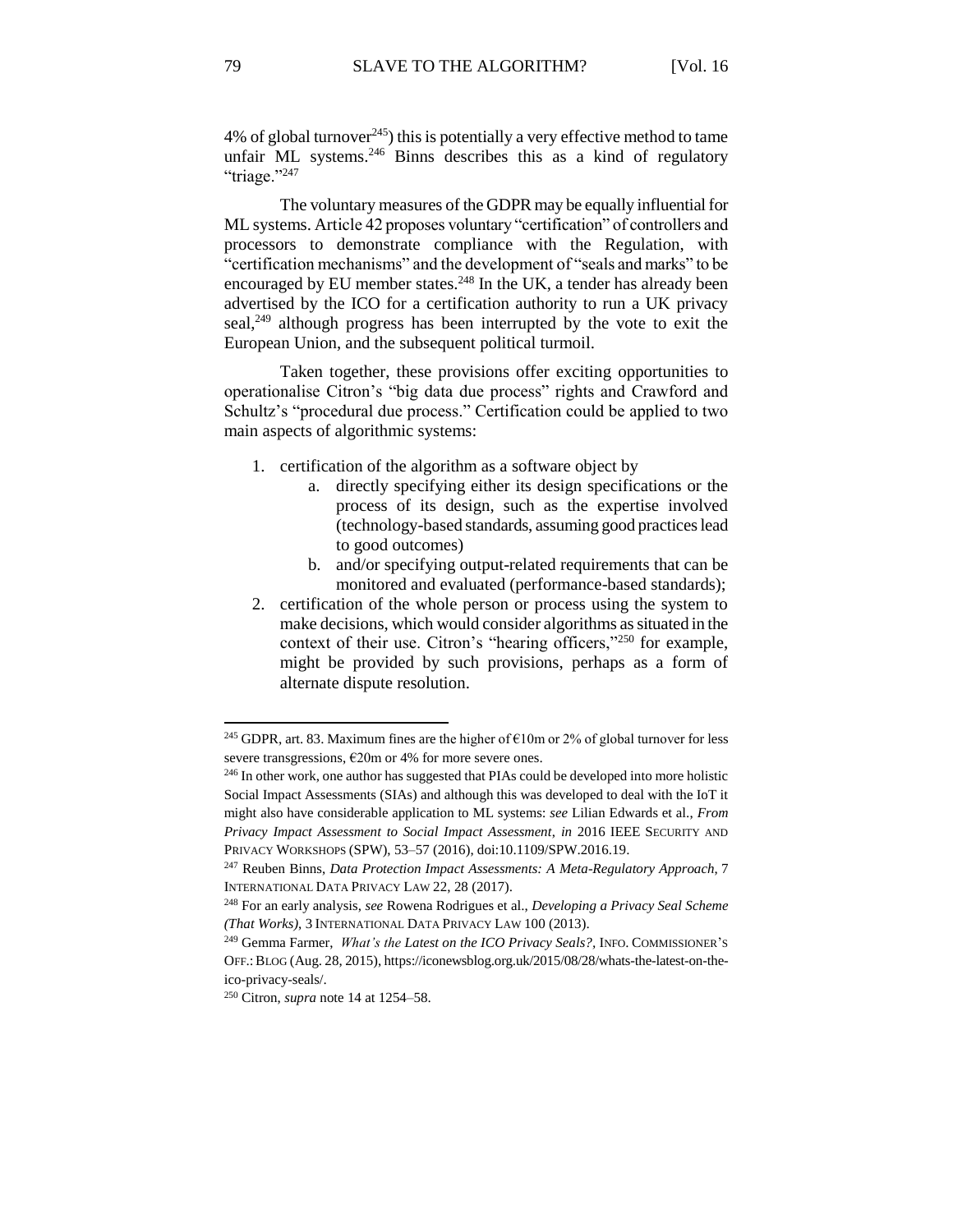$4\%$  of global turnover<sup>245</sup>) this is potentially a very effective method to tame unfair ML systems. $246$  Binns describes this as a kind of regulatory "triage."<sup>247</sup>

The voluntary measures of the GDPR may be equally influential for ML systems. Article 42 proposes voluntary "certification" of controllers and processors to demonstrate compliance with the Regulation, with "certification mechanisms" and the development of "seals and marks" to be encouraged by EU member states.<sup>248</sup> In the UK, a tender has already been advertised by the ICO for a certification authority to run a UK privacy seal,<sup>249</sup> although progress has been interrupted by the vote to exit the European Union, and the subsequent political turmoil.

Taken together, these provisions offer exciting opportunities to operationalise Citron's "big data due process" rights and Crawford and Schultz's "procedural due process." Certification could be applied to two main aspects of algorithmic systems:

- 1. certification of the algorithm as a software object by
	- a. directly specifying either its design specifications or the process of its design, such as the expertise involved (technology-based standards, assuming good practices lead to good outcomes)
	- b. and/or specifying output-related requirements that can be monitored and evaluated (performance-based standards);
- 2. certification of the whole person or process using the system to make decisions, which would consider algorithms as situated in the context of their use. Citron's "hearing officers,"<sup>250</sup> for example, might be provided by such provisions, perhaps as a form of alternate dispute resolution.

<sup>&</sup>lt;sup>245</sup> GDPR, art. 83. Maximum fines are the higher of  $\epsilon$ 10m or 2% of global turnover for less severe transgressions, €20m or 4% for more severe ones.

<sup>246</sup> In other work, one author has suggested that PIAs could be developed into more holistic Social Impact Assessments (SIAs) and although this was developed to deal with the IoT it might also have considerable application to ML systems: *see* Lilian Edwards et al., *From Privacy Impact Assessment to Social Impact Assessment*, *in* 2016 IEEE SECURITY AND PRIVACY WORKSHOPS (SPW), 53–57 (2016), doi:10.1109/SPW.2016.19.

<sup>247</sup> Reuben Binns, *Data Protection Impact Assessments: A Meta-Regulatory Approach*, 7 INTERNATIONAL DATA PRIVACY LAW 22, 28 (2017).

<sup>248</sup> For an early analysis, *see* Rowena Rodrigues et al., *Developing a Privacy Seal Scheme (That Works)*, 3 INTERNATIONAL DATA PRIVACY LAW 100 (2013).

<sup>249</sup> Gemma Farmer, *What's the Latest on the ICO Privacy Seals?,* INFO. COMMISSIONER'S OFF.:BLOG (Aug. 28, 2015), https://iconewsblog.org.uk/2015/08/28/whats-the-latest-on-theico-privacy-seals/.

<sup>250</sup> Citron, *supra* not[e 14](#page-5-1) at 1254–58.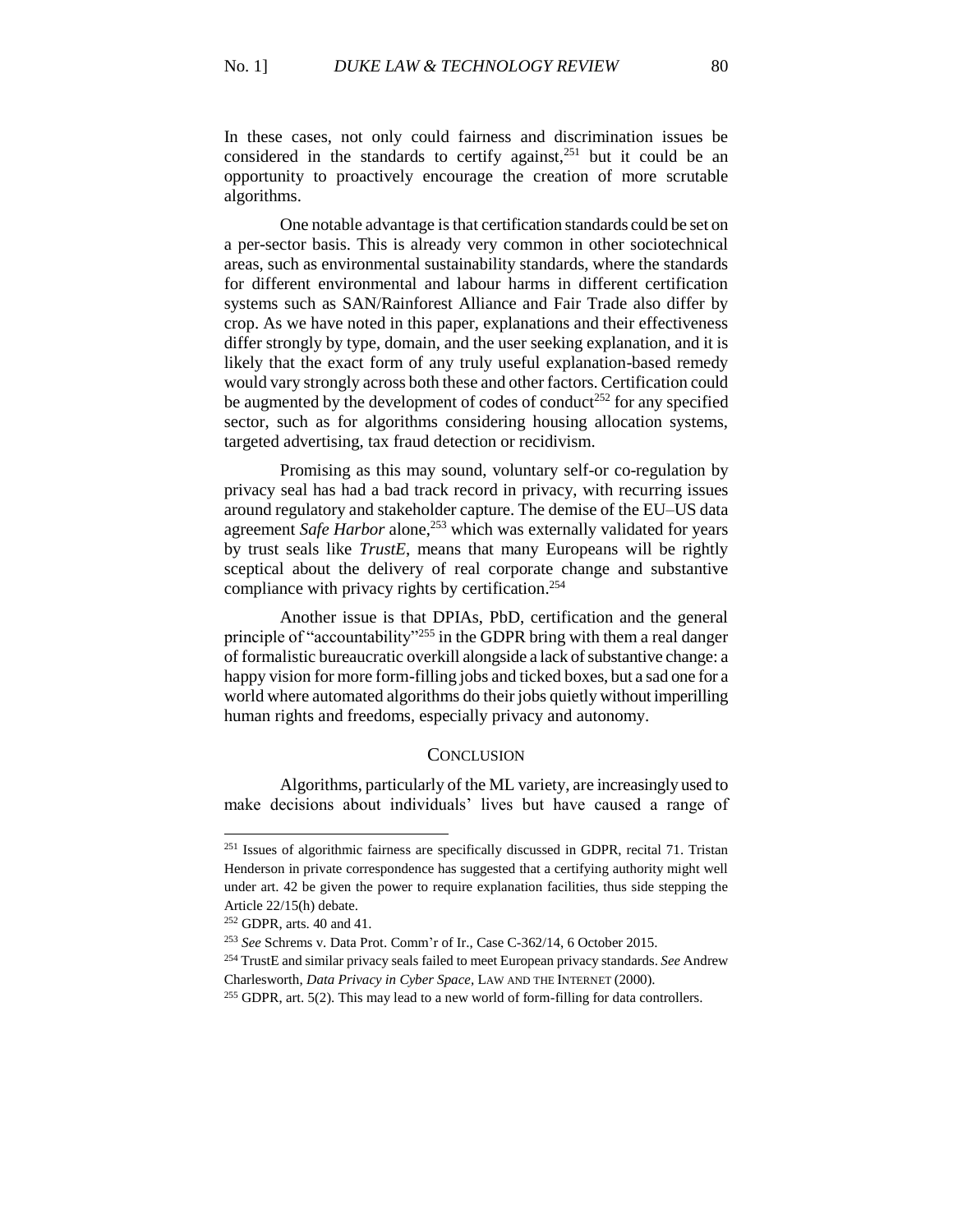In these cases, not only could fairness and discrimination issues be considered in the standards to certify against,<sup>251</sup> but it could be an opportunity to proactively encourage the creation of more scrutable algorithms.

One notable advantage is that certification standards could be set on a per-sector basis. This is already very common in other sociotechnical areas, such as environmental sustainability standards, where the standards for different environmental and labour harms in different certification systems such as SAN/Rainforest Alliance and Fair Trade also differ by crop. As we have noted in this paper, explanations and their effectiveness differ strongly by type, domain, and the user seeking explanation, and it is likely that the exact form of any truly useful explanation-based remedy would vary strongly across both these and other factors. Certification could be augmented by the development of codes of conduct<sup>252</sup> for any specified sector, such as for algorithms considering housing allocation systems, targeted advertising, tax fraud detection or recidivism.

Promising as this may sound, voluntary self-or co-regulation by privacy seal has had a bad track record in privacy, with recurring issues around regulatory and stakeholder capture. The demise of the EU–US data agreement *Safe Harbor* alone, <sup>253</sup> which was externally validated for years by trust seals like *TrustE*, means that many Europeans will be rightly sceptical about the delivery of real corporate change and substantive compliance with privacy rights by certification. 254

Another issue is that DPIAs, PbD, certification and the general principle of "accountability"<sup>255</sup> in the GDPR bring with them a real danger of formalistic bureaucratic overkill alongside a lack of substantive change: a happy vision for more form-filling jobs and ticked boxes, but a sad one for a world where automated algorithms do their jobs quietly without imperilling human rights and freedoms, especially privacy and autonomy.

## **CONCLUSION**

Algorithms, particularly of the ML variety, are increasingly used to make decisions about individuals' lives but have caused a range of

<sup>251</sup> Issues of algorithmic fairness are specifically discussed in GDPR, recital 71. Tristan Henderson in private correspondence has suggested that a certifying authority might well under art. 42 be given the power to require explanation facilities, thus side stepping the Article 22/15(h) debate.

<sup>252</sup> GDPR, arts. 40 and 41.

<sup>253</sup> *See* Schrems v. Data Prot. Comm'r of Ir., Case C-362/14, 6 October 2015.

<sup>254</sup> TrustE and similar privacy seals failed to meet European privacy standards. *See* Andrew Charlesworth, *Data Privacy in Cyber Space,* LAW AND THE INTERNET (2000).

<sup>255</sup> GDPR, art. 5(2). This may lead to a new world of form-filling for data controllers.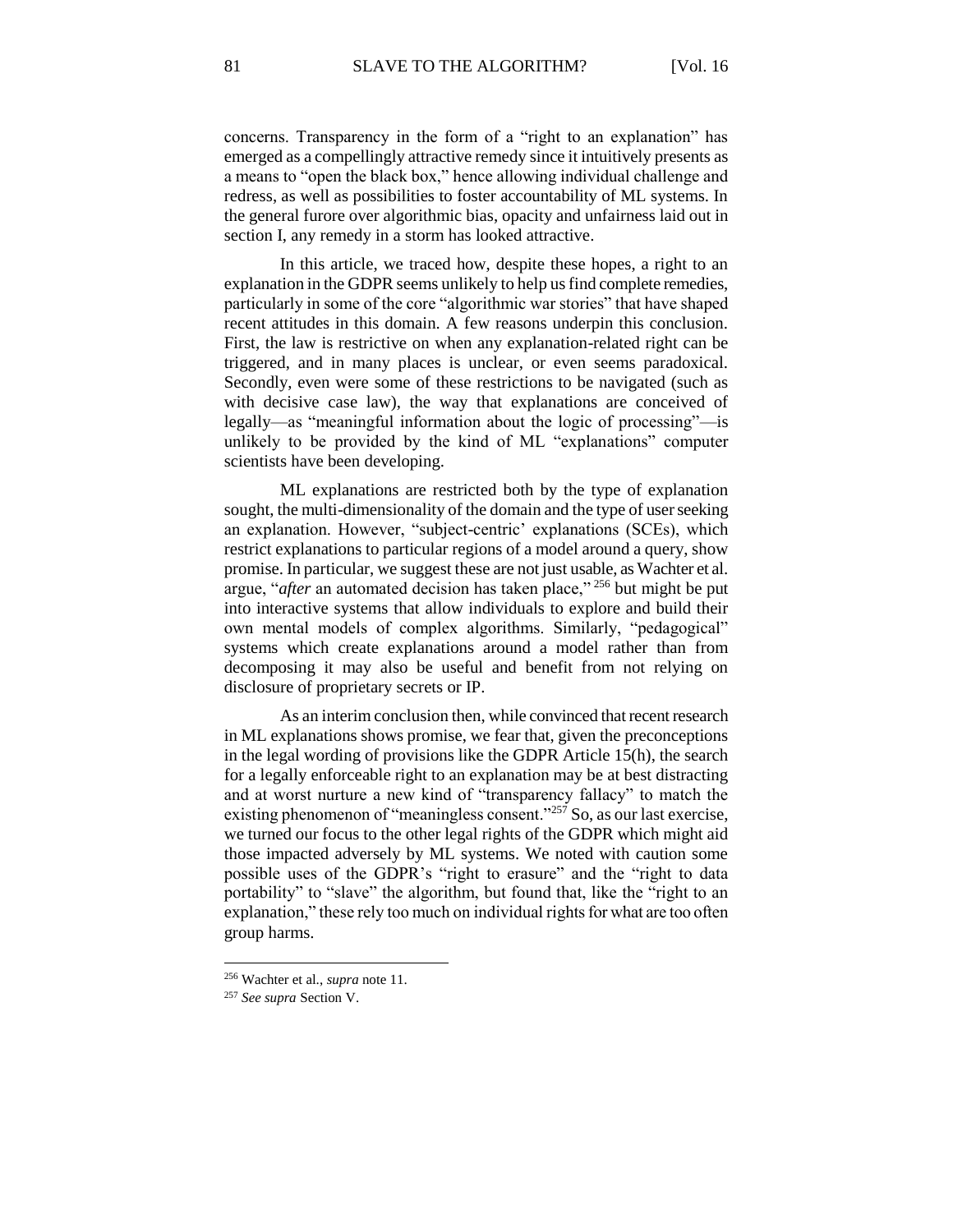concerns. Transparency in the form of a "right to an explanation" has emerged as a compellingly attractive remedy since it intuitively presents as a means to "open the black box," hence allowing individual challenge and redress, as well as possibilities to foster accountability of ML systems. In the general furore over algorithmic bias, opacity and unfairness laid out in section I, any remedy in a storm has looked attractive.

In this article, we traced how, despite these hopes, a right to an explanation in the GDPR seems unlikely to help us find complete remedies, particularly in some of the core "algorithmic war stories" that have shaped recent attitudes in this domain. A few reasons underpin this conclusion. First, the law is restrictive on when any explanation-related right can be triggered, and in many places is unclear, or even seems paradoxical. Secondly, even were some of these restrictions to be navigated (such as with decisive case law), the way that explanations are conceived of legally—as "meaningful information about the logic of processing"—is unlikely to be provided by the kind of ML "explanations" computer scientists have been developing.

ML explanations are restricted both by the type of explanation sought, the multi-dimensionality of the domain and the type of user seeking an explanation. However, "subject-centric' explanations (SCEs), which restrict explanations to particular regions of a model around a query, show promise. In particular, we suggest these are not just usable, as Wachter et al. argue, "*after* an automated decision has taken place," <sup>256</sup> but might be put into interactive systems that allow individuals to explore and build their own mental models of complex algorithms. Similarly, "pedagogical" systems which create explanations around a model rather than from decomposing it may also be useful and benefit from not relying on disclosure of proprietary secrets or IP.

As an interim conclusion then, while convinced that recent research in ML explanations shows promise, we fear that, given the preconceptions in the legal wording of provisions like the GDPR Article 15(h), the search for a legally enforceable right to an explanation may be at best distracting and at worst nurture a new kind of "transparency fallacy" to match the existing phenomenon of "meaningless consent."<sup>257</sup> So, as our last exercise, we turned our focus to the other legal rights of the GDPR which might aid those impacted adversely by ML systems. We noted with caution some possible uses of the GDPR's "right to erasure" and the "right to data portability" to "slave" the algorithm, but found that, like the "right to an explanation," these rely too much on individual rights for what are too often group harms.

<sup>256</sup> Wachter et al., *supra* not[e 11.](#page-3-0)

<sup>257</sup> *See supra* Section V.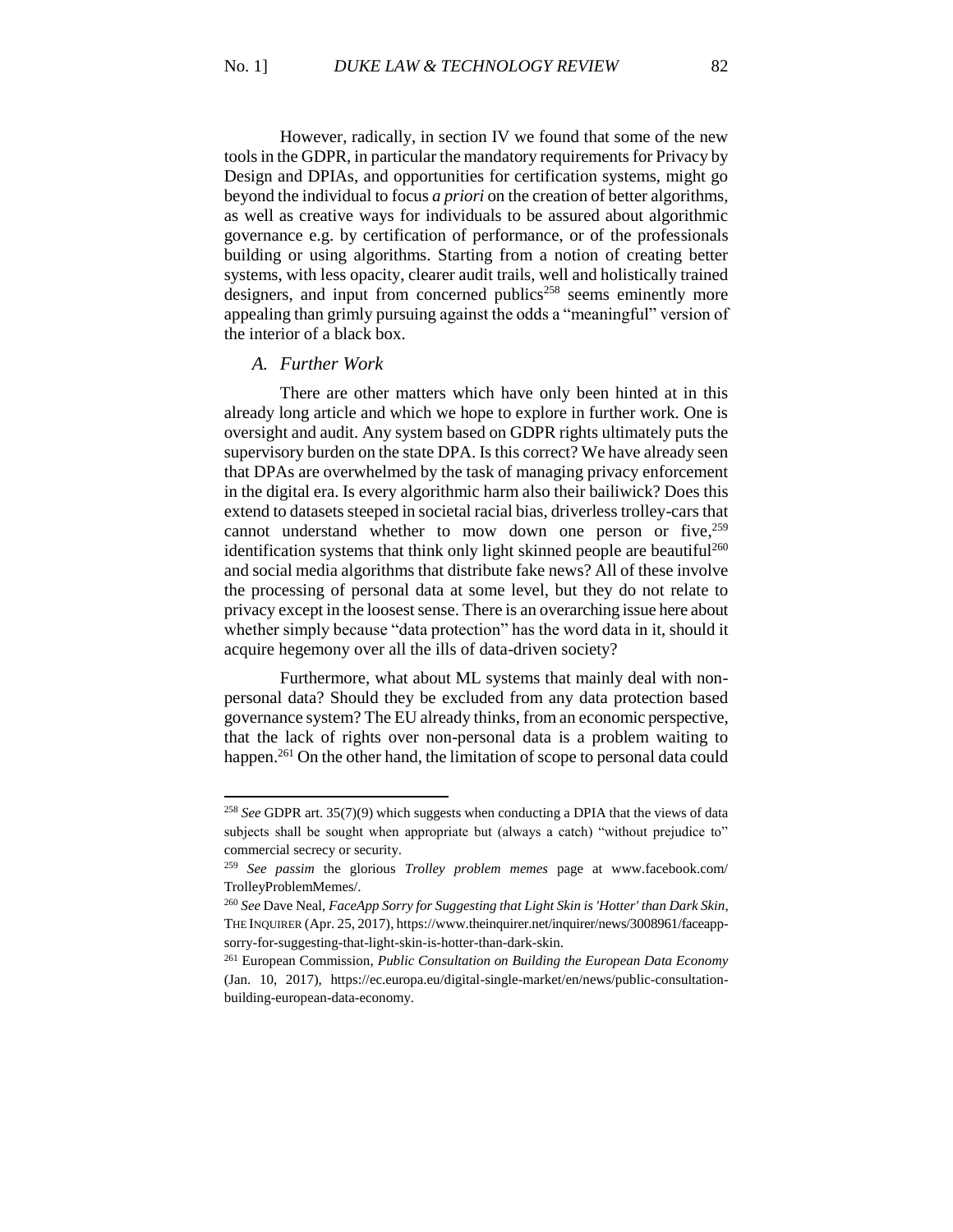However, radically, in section IV we found that some of the new tools in the GDPR, in particular the mandatory requirements for Privacy by Design and DPIAs, and opportunities for certification systems, might go beyond the individual to focus *a priori* on the creation of better algorithms, as well as creative ways for individuals to be assured about algorithmic governance e.g. by certification of performance, or of the professionals building or using algorithms. Starting from a notion of creating better systems, with less opacity, clearer audit trails, well and holistically trained designers, and input from concerned publics<sup> $258$ </sup> seems eminently more appealing than grimly pursuing against the odds a "meaningful" version of the interior of a black box.

#### *A. Further Work*

 $\overline{a}$ 

There are other matters which have only been hinted at in this already long article and which we hope to explore in further work. One is oversight and audit. Any system based on GDPR rights ultimately puts the supervisory burden on the state DPA. Is this correct? We have already seen that DPAs are overwhelmed by the task of managing privacy enforcement in the digital era. Is every algorithmic harm also their bailiwick? Does this extend to datasets steeped in societal racial bias, driverless trolley-cars that cannot understand whether to mow down one person or five,<sup>259</sup> identification systems that think only light skinned people are beautiful<sup>260</sup> and social media algorithms that distribute fake news? All of these involve the processing of personal data at some level, but they do not relate to privacy except in the loosest sense. There is an overarching issue here about whether simply because "data protection" has the word data in it, should it acquire hegemony over all the ills of data-driven society?

Furthermore, what about ML systems that mainly deal with nonpersonal data? Should they be excluded from any data protection based governance system? The EU already thinks, from an economic perspective, that the lack of rights over non-personal data is a problem waiting to happen.<sup>261</sup> On the other hand, the limitation of scope to personal data could

<sup>258</sup> *See* GDPR art. 35(7)(9) which suggests when conducting a DPIA that the views of data subjects shall be sought when appropriate but (always a catch) "without prejudice to" commercial secrecy or security.

<sup>259</sup> *See passim* the glorious *Trolley problem memes* page at [www.faceb](http://www.face/)ook.com/ TrolleyProblemMemes/.

<sup>260</sup> *See* Dave Neal, *FaceApp Sorry for Suggesting that Light Skin is 'Hotter' than Dark Skin*, THE INQUIRER (Apr. 25, 2017), https://www.theinquirer.net/inquirer/news/3008961/faceappsorry-for-suggesting-that-light-skin-is-hotter-than-dark-skin.

<sup>261</sup> European Commission, *Public Consultation on Building the European Data Economy* (Jan. 10, 2017), https://ec.europa.eu/digital-single-market/en/news/public-consultationbuilding-european-data-economy.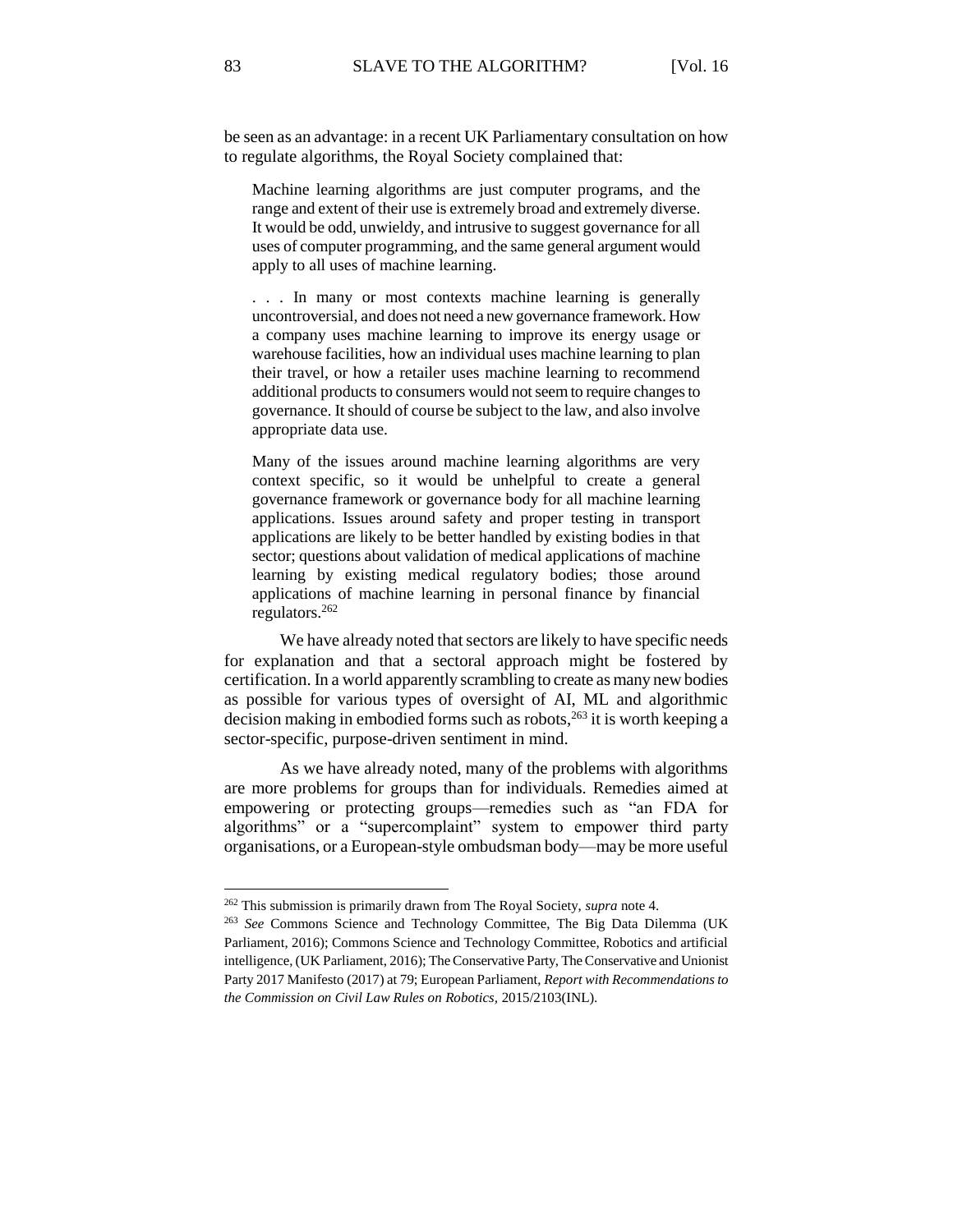be seen as an advantage: in a recent UK Parliamentary consultation on how to regulate algorithms, the Royal Society complained that:

Machine learning algorithms are just computer programs, and the range and extent of their use is extremely broad and extremely diverse. It would be odd, unwieldy, and intrusive to suggest governance for all uses of computer programming, and the same general argument would apply to all uses of machine learning.

. . . In many or most contexts machine learning is generally uncontroversial, and does not need a new governance framework. How a company uses machine learning to improve its energy usage or warehouse facilities, how an individual uses machine learning to plan their travel, or how a retailer uses machine learning to recommend additional products to consumers would not seem to require changes to governance. Itshould of course be subject to the law, and also involve appropriate data use.

Many of the issues around machine learning algorithms are very context specific, so it would be unhelpful to create a general governance framework or governance body for all machine learning applications. Issues around safety and proper testing in transport applications are likely to be better handled by existing bodies in that sector; questions about validation of medical applications of machine learning by existing medical regulatory bodies; those around applications of machine learning in personal finance by financial regulators.<sup>262</sup>

We have already noted that sectors are likely to have specific needs for explanation and that a sectoral approach might be fostered by certification. In a world apparently scrambling to create as many new bodies as possible for various types of oversight of AI, ML and algorithmic decision making in embodied forms such as robots,  $263$  it is worth keeping a sector-specific, purpose-driven sentiment in mind.

As we have already noted, many of the problems with algorithms are more problems for groups than for individuals. Remedies aimed at empowering or protecting groups—remedies such as "an FDA for algorithms" or a "supercomplaint" system to empower third party organisations, or a European-style ombudsman body—may be more useful

<sup>262</sup> This submission is primarily drawn from The Royal Society, *supra* not[e 4.](#page-2-1)

<sup>&</sup>lt;sup>263</sup> See Commons Science and Technology Committee, The Big Data Dilemma (UK Parliament, 2016); Commons Science and Technology Committee, Robotics and artificial intelligence, (UK Parliament, 2016); The Conservative Party, The Conservative and Unionist Party 2017 Manifesto (2017) at 79; European Parliament, *Report with Recommendations to the Commission on Civil Law Rules on Robotics,* 2015/2103(INL).